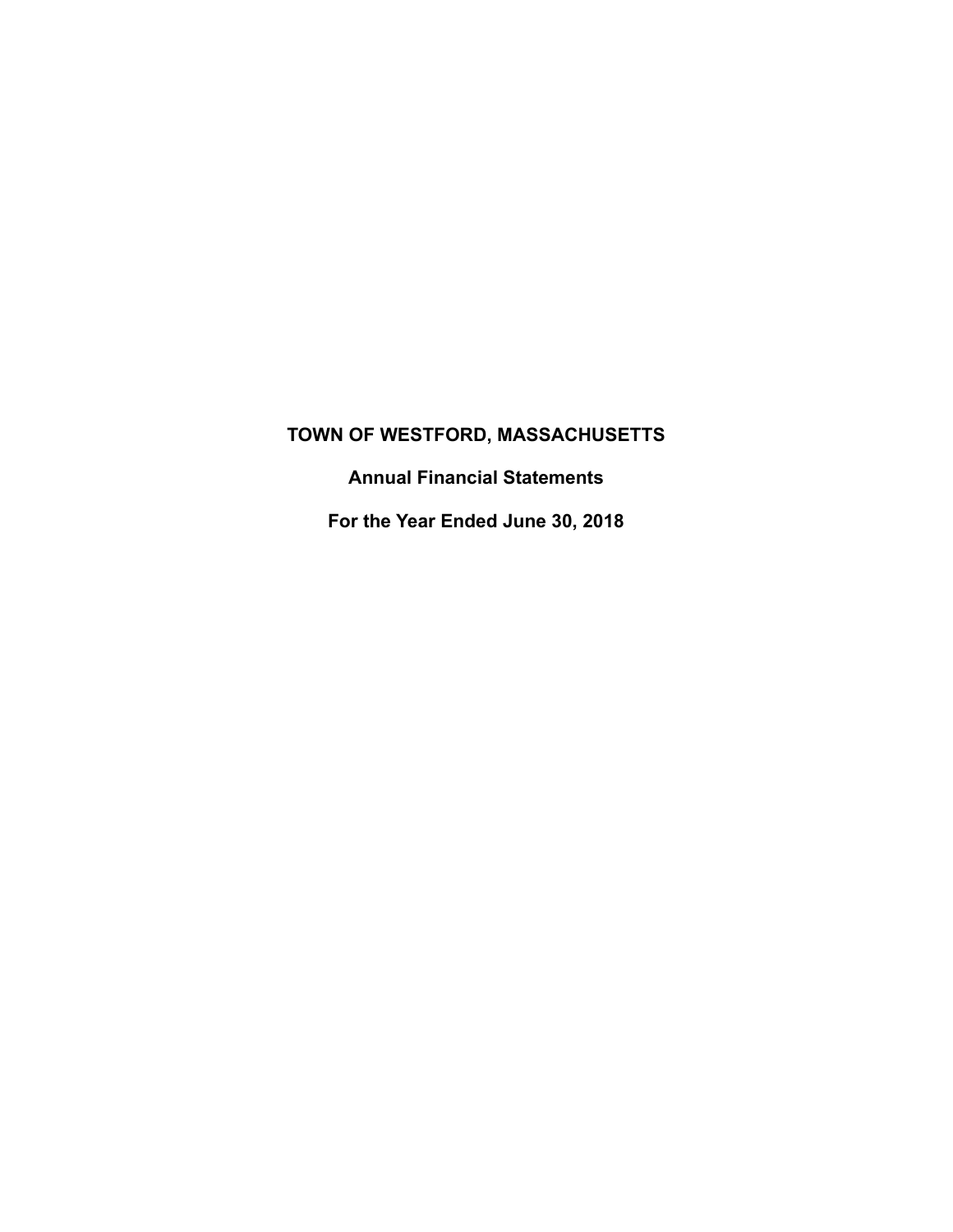**Annual Financial Statements** 

**For the Year Ended June 30, 2018**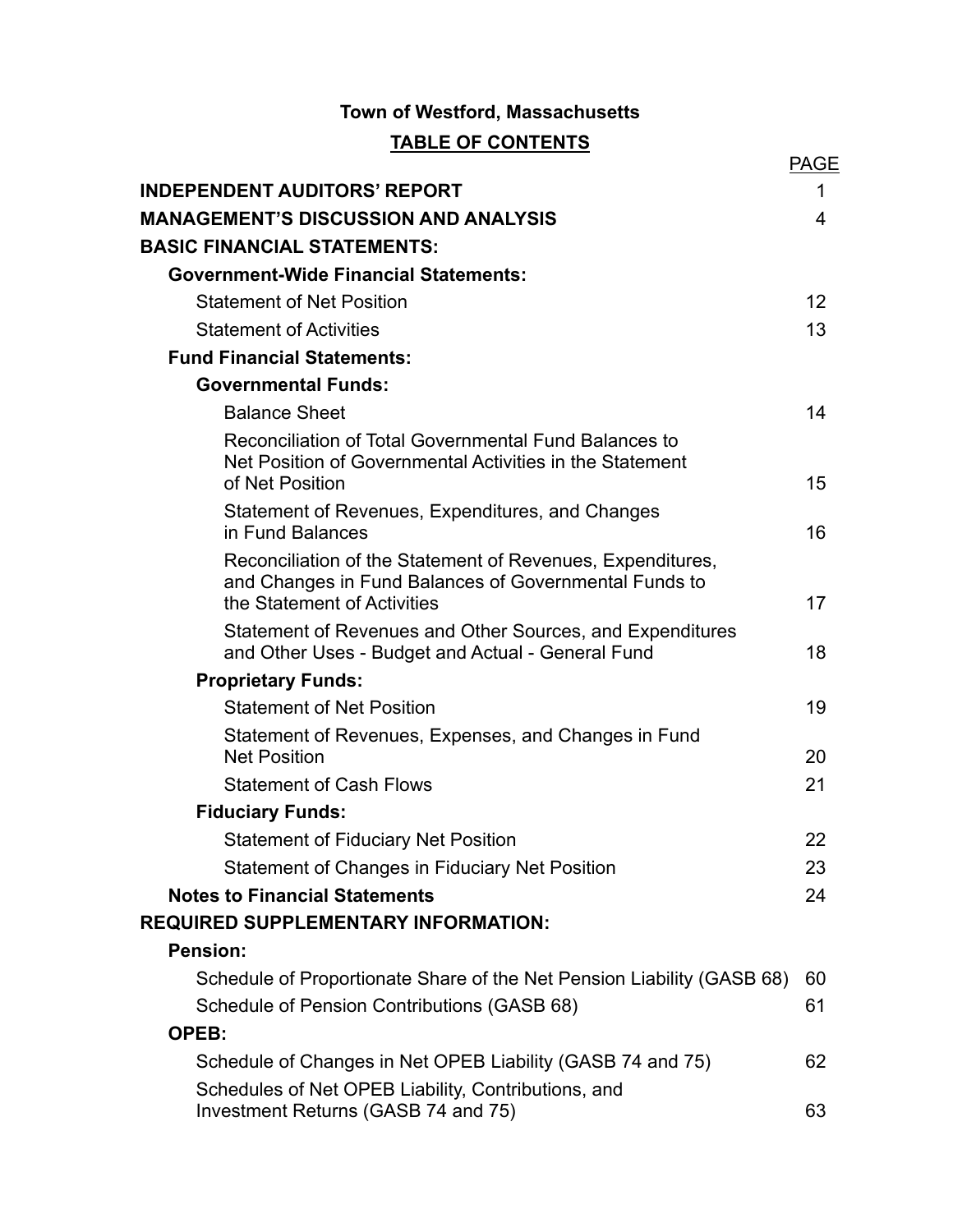# **Town of Westford, Massachusetts**

| <b>TABLE OF CONTENTS</b>                                                                                                                           |             |
|----------------------------------------------------------------------------------------------------------------------------------------------------|-------------|
|                                                                                                                                                    | <b>PAGE</b> |
| <b>INDEPENDENT AUDITORS' REPORT</b>                                                                                                                | 1           |
| <b>MANAGEMENT'S DISCUSSION AND ANALYSIS</b>                                                                                                        | 4           |
| <b>BASIC FINANCIAL STATEMENTS:</b>                                                                                                                 |             |
| <b>Government-Wide Financial Statements:</b>                                                                                                       |             |
| <b>Statement of Net Position</b>                                                                                                                   | 12          |
| <b>Statement of Activities</b>                                                                                                                     | 13          |
| <b>Fund Financial Statements:</b>                                                                                                                  |             |
| <b>Governmental Funds:</b>                                                                                                                         |             |
| <b>Balance Sheet</b>                                                                                                                               | 14          |
| Reconciliation of Total Governmental Fund Balances to<br>Net Position of Governmental Activities in the Statement<br>of Net Position               | 15          |
| Statement of Revenues, Expenditures, and Changes<br>in Fund Balances                                                                               | 16          |
| Reconciliation of the Statement of Revenues, Expenditures,<br>and Changes in Fund Balances of Governmental Funds to<br>the Statement of Activities | 17          |
| Statement of Revenues and Other Sources, and Expenditures<br>and Other Uses - Budget and Actual - General Fund                                     | 18          |
| <b>Proprietary Funds:</b>                                                                                                                          |             |
| <b>Statement of Net Position</b>                                                                                                                   | 19          |
| Statement of Revenues, Expenses, and Changes in Fund<br><b>Net Position</b>                                                                        | 20          |
| <b>Statement of Cash Flows</b>                                                                                                                     | 21          |
| <b>Fiduciary Funds:</b>                                                                                                                            |             |
| <b>Statement of Fiduciary Net Position</b>                                                                                                         | 22          |
| <b>Statement of Changes in Fiduciary Net Position</b>                                                                                              | 23          |
| <b>Notes to Financial Statements</b>                                                                                                               | 24          |
| <b>REQUIRED SUPPLEMENTARY INFORMATION:</b>                                                                                                         |             |
| <b>Pension:</b>                                                                                                                                    |             |
| Schedule of Proportionate Share of the Net Pension Liability (GASB 68)                                                                             | 60          |
| Schedule of Pension Contributions (GASB 68)                                                                                                        | 61          |
| <b>OPEB:</b>                                                                                                                                       |             |
| Schedule of Changes in Net OPEB Liability (GASB 74 and 75)                                                                                         | 62          |
| Schedules of Net OPEB Liability, Contributions, and<br>Investment Returns (GASB 74 and 75)                                                         | 63          |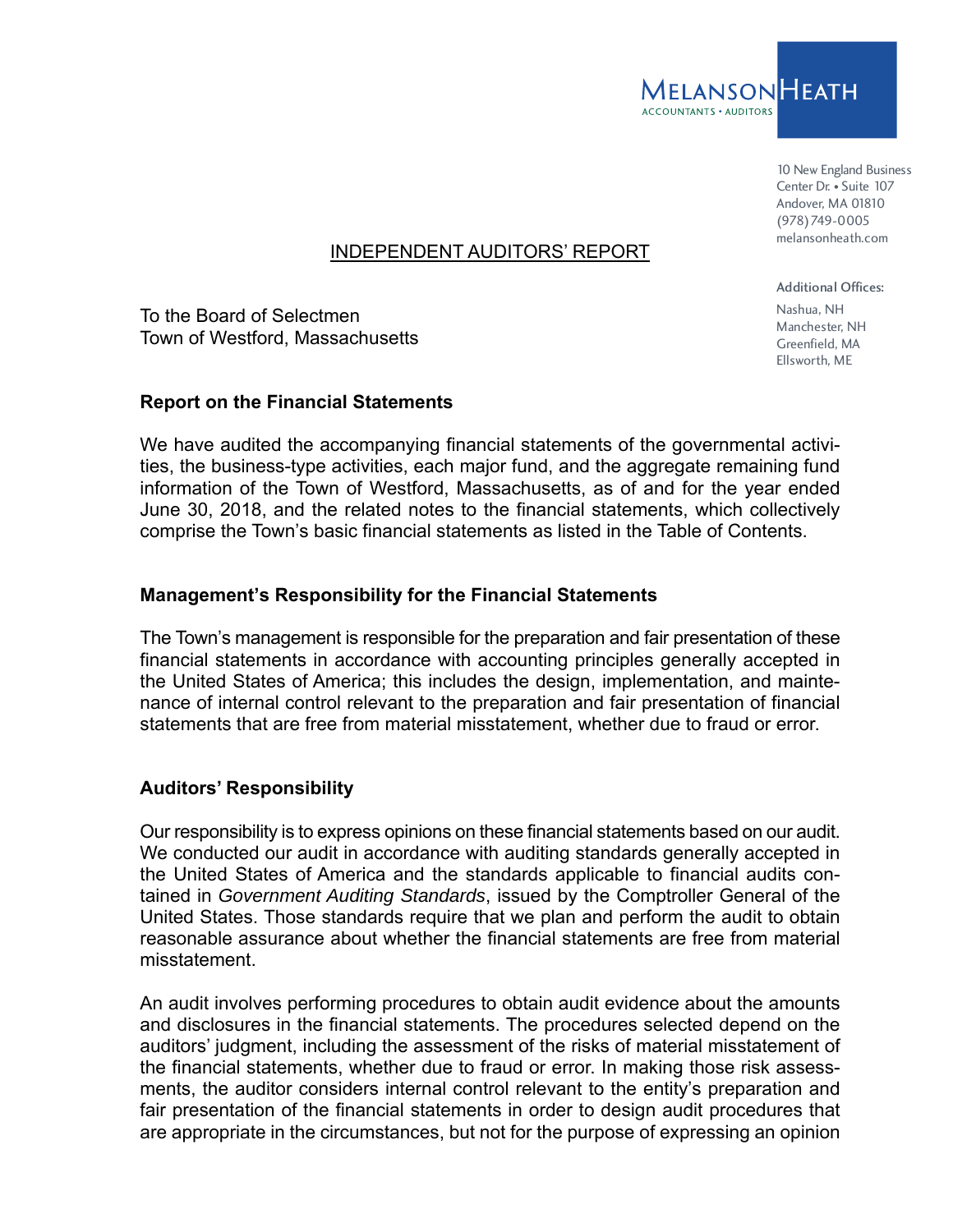

10 New England Business Center Dr. • Suite 107 Andover, MA 01810 (978)749-0005 melansonheath.com

### INDEPENDENT AUDITORS' REPORT

To the Board of Selectmen Town of Westford, Massachusetts

#### **Report on the Financial Statements**

We have audited the accompanying financial statements of the governmental activities, the business-type activities, each major fund, and the aggregate remaining fund information of the Town of Westford, Massachusetts, as of and for the year ended June 30, 2018, and the related notes to the financial statements, which collectively comprise the Town's basic financial statements as listed in the Table of Contents.

### **Management's Responsibility for the Financial Statements**

The Town's management is responsible for the preparation and fair presentation of these financial statements in accordance with accounting principles generally accepted in the United States of America; this includes the design, implementation, and maintenance of internal control relevant to the preparation and fair presentation of financial statements that are free from material misstatement, whether due to fraud or error.

### **Auditors' Responsibility**

Our responsibility is to express opinions on these financial statements based on our audit. We conducted our audit in accordance with auditing standards generally accepted in the United States of America and the standards applicable to financial audits contained in *Government Auditing Standards*, issued by the Comptroller General of the United States. Those standards require that we plan and perform the audit to obtain reasonable assurance about whether the financial statements are free from material misstatement.

An audit involves performing procedures to obtain audit evidence about the amounts and disclosures in the financial statements. The procedures selected depend on the auditors' judgment, including the assessment of the risks of material misstatement of the financial statements, whether due to fraud or error. In making those risk assessments, the auditor considers internal control relevant to the entity's preparation and fair presentation of the financial statements in order to design audit procedures that are appropriate in the circumstances, but not for the purpose of expressing an opinion

Additional Offices: Nashua, NH Manchester, NH Greenfield, MA Ellsworth, ME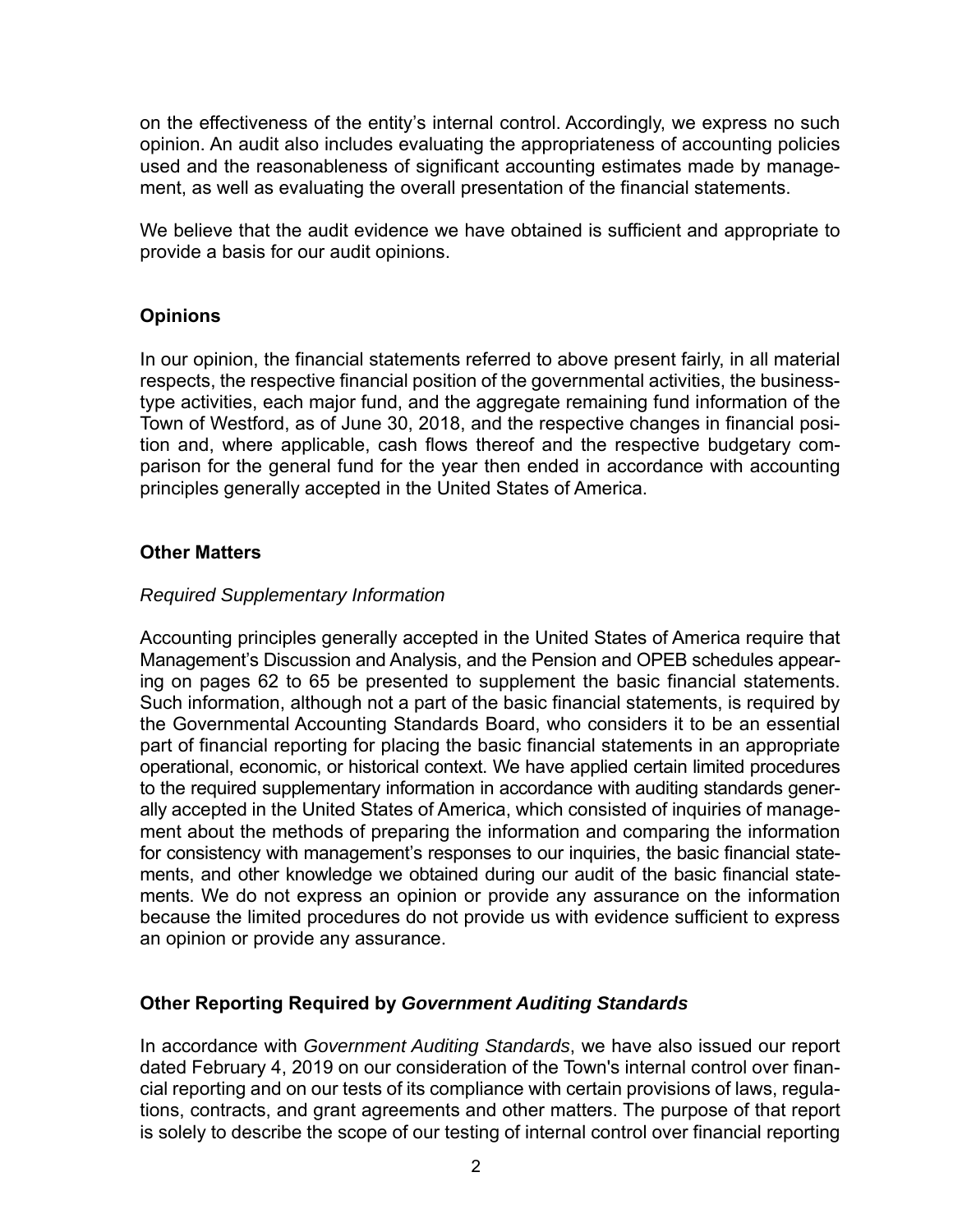on the effectiveness of the entity's internal control. Accordingly, we express no such opinion. An audit also includes evaluating the appropriateness of accounting policies used and the reasonableness of significant accounting estimates made by management, as well as evaluating the overall presentation of the financial statements.

We believe that the audit evidence we have obtained is sufficient and appropriate to provide a basis for our audit opinions.

# **Opinions**

In our opinion, the financial statements referred to above present fairly, in all material respects, the respective financial position of the governmental activities, the businesstype activities, each major fund, and the aggregate remaining fund information of the Town of Westford, as of June 30, 2018, and the respective changes in financial position and, where applicable, cash flows thereof and the respective budgetary comparison for the general fund for the year then ended in accordance with accounting principles generally accepted in the United States of America.

# **Other Matters**

## *Required Supplementary Information*

Accounting principles generally accepted in the United States of America require that Management's Discussion and Analysis, and the Pension and OPEB schedules appearing on pages 62 to 65 be presented to supplement the basic financial statements. Such information, although not a part of the basic financial statements, is required by the Governmental Accounting Standards Board, who considers it to be an essential part of financial reporting for placing the basic financial statements in an appropriate operational, economic, or historical context. We have applied certain limited procedures to the required supplementary information in accordance with auditing standards generally accepted in the United States of America, which consisted of inquiries of management about the methods of preparing the information and comparing the information for consistency with management's responses to our inquiries, the basic financial statements, and other knowledge we obtained during our audit of the basic financial statements. We do not express an opinion or provide any assurance on the information because the limited procedures do not provide us with evidence sufficient to express an opinion or provide any assurance.

### **Other Reporting Required by** *Government Auditing Standards*

In accordance with *Government Auditing Standards*, we have also issued our report dated February 4, 2019 on our consideration of the Town's internal control over financial reporting and on our tests of its compliance with certain provisions of laws, regulations, contracts, and grant agreements and other matters. The purpose of that report is solely to describe the scope of our testing of internal control over financial reporting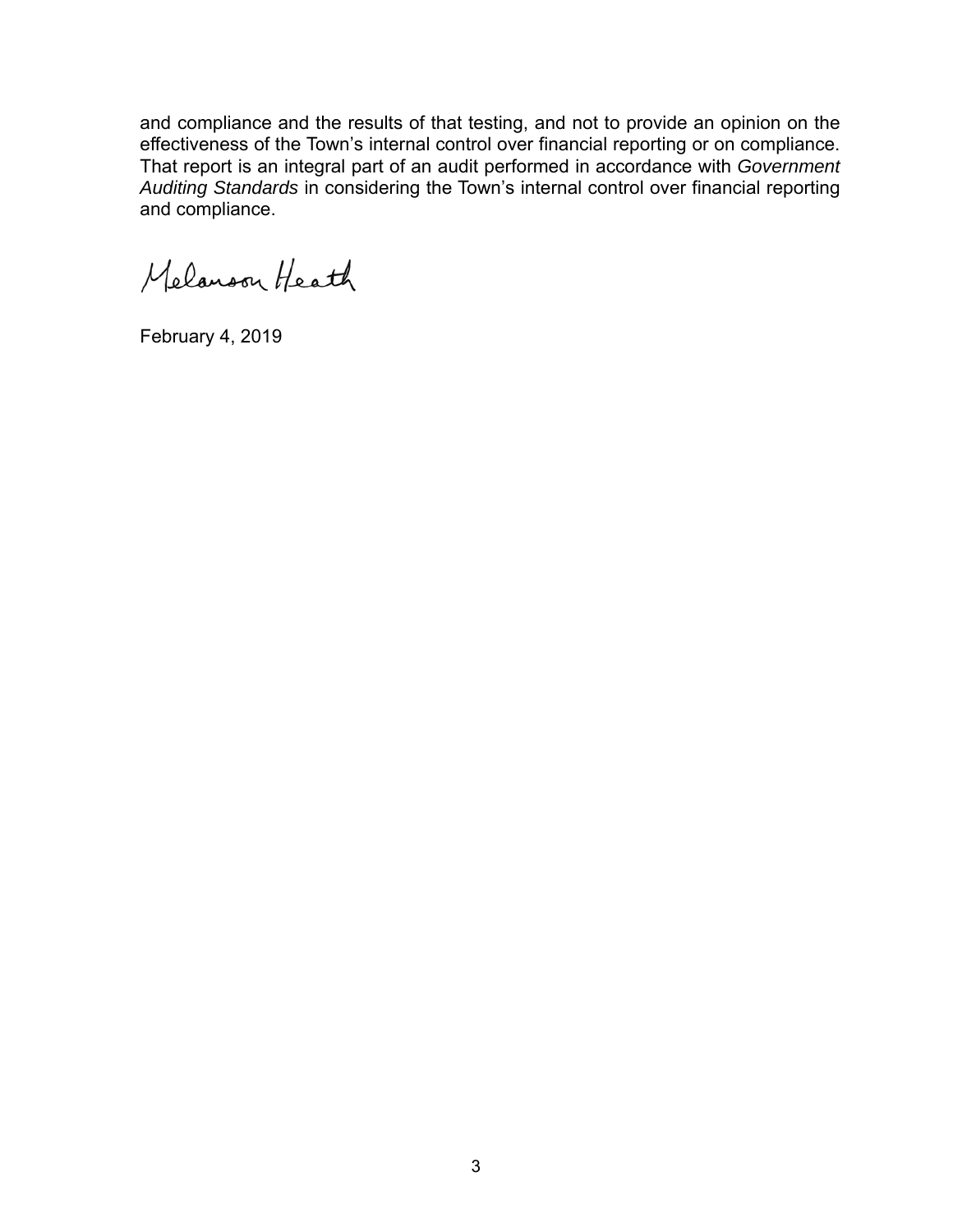and compliance and the results of that testing, and not to provide an opinion on the effectiveness of the Town's internal control over financial reporting or on compliance. That report is an integral part of an audit performed in accordance with *Government Auditing Standards* in considering the Town's internal control over financial reporting and compliance.

Melanson Heath

February 4, 2019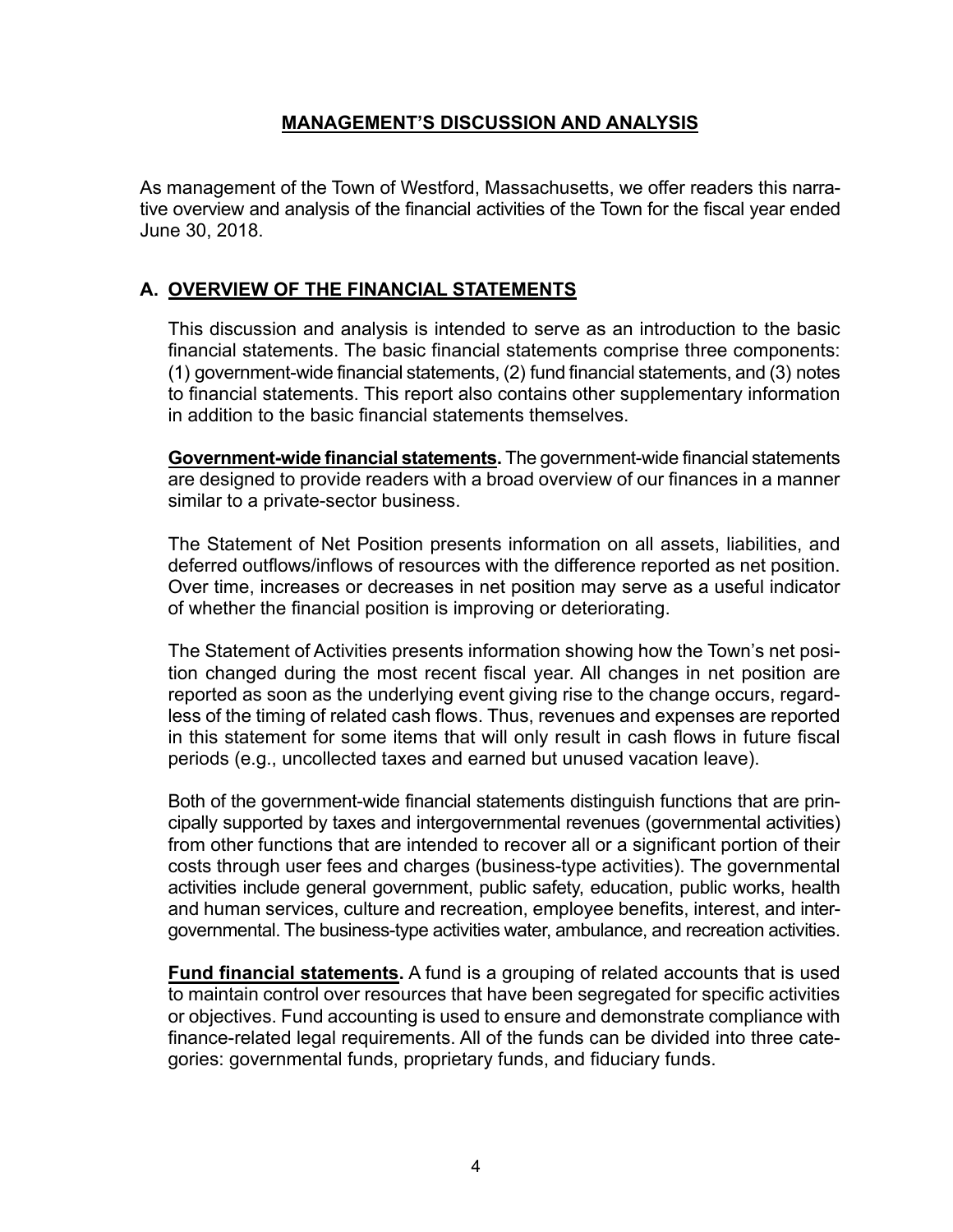### **MANAGEMENT'S DISCUSSION AND ANALYSIS**

As management of the Town of Westford, Massachusetts, we offer readers this narrative overview and analysis of the financial activities of the Town for the fiscal year ended June 30, 2018.

# **A. OVERVIEW OF THE FINANCIAL STATEMENTS**

This discussion and analysis is intended to serve as an introduction to the basic financial statements. The basic financial statements comprise three components: (1) government-wide financial statements, (2) fund financial statements, and (3) notes to financial statements. This report also contains other supplementary information in addition to the basic financial statements themselves.

**Government-wide financial statements.** The government-wide financial statements are designed to provide readers with a broad overview of our finances in a manner similar to a private-sector business.

The Statement of Net Position presents information on all assets, liabilities, and deferred outflows/inflows of resources with the difference reported as net position. Over time, increases or decreases in net position may serve as a useful indicator of whether the financial position is improving or deteriorating.

The Statement of Activities presents information showing how the Town's net position changed during the most recent fiscal year. All changes in net position are reported as soon as the underlying event giving rise to the change occurs, regardless of the timing of related cash flows. Thus, revenues and expenses are reported in this statement for some items that will only result in cash flows in future fiscal periods (e.g., uncollected taxes and earned but unused vacation leave).

Both of the government-wide financial statements distinguish functions that are principally supported by taxes and intergovernmental revenues (governmental activities) from other functions that are intended to recover all or a significant portion of their costs through user fees and charges (business-type activities). The governmental activities include general government, public safety, education, public works, health and human services, culture and recreation, employee benefits, interest, and intergovernmental. The business-type activities water, ambulance, and recreation activities.

**Fund financial statements.** A fund is a grouping of related accounts that is used to maintain control over resources that have been segregated for specific activities or objectives. Fund accounting is used to ensure and demonstrate compliance with finance-related legal requirements. All of the funds can be divided into three categories: governmental funds, proprietary funds, and fiduciary funds.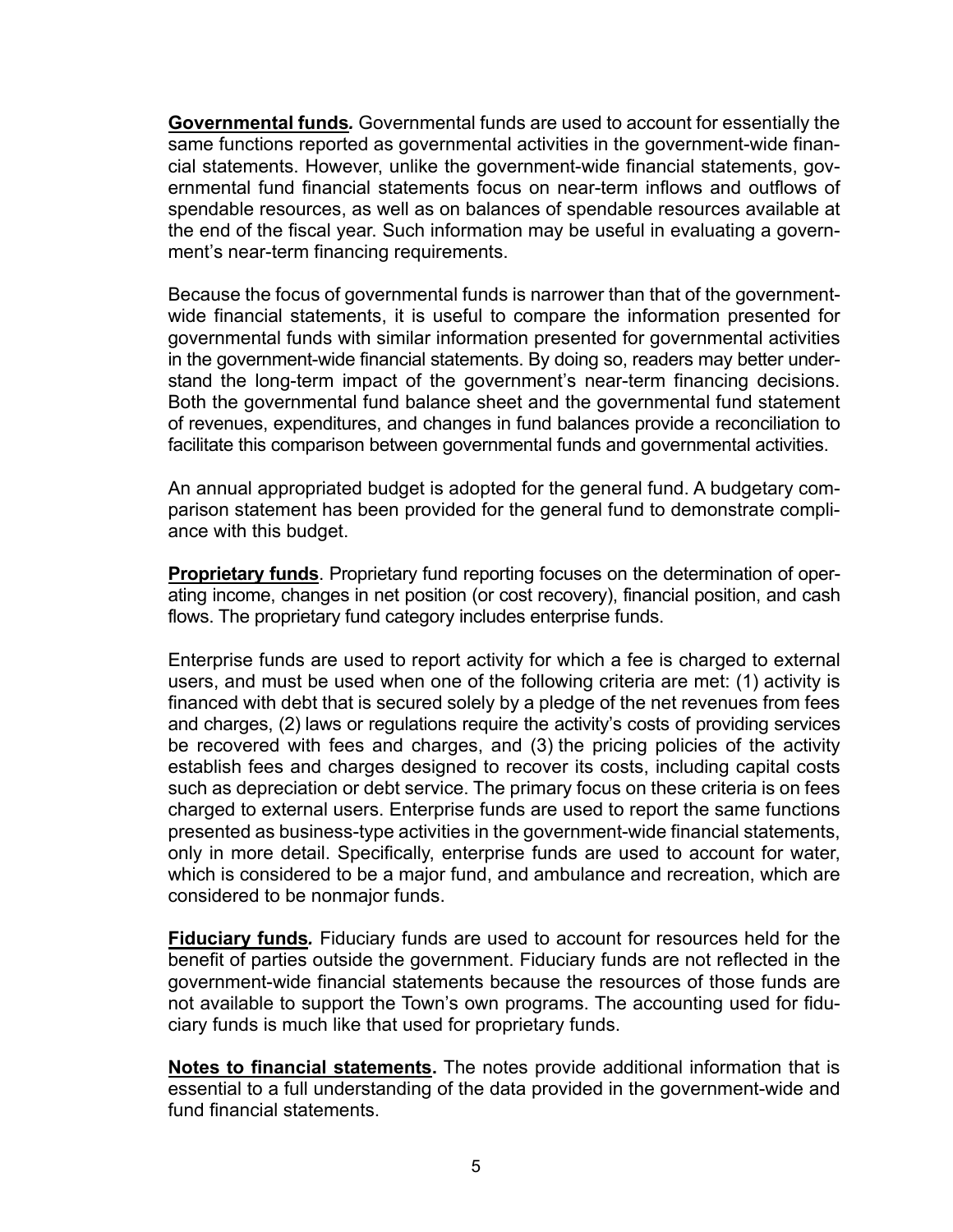**Governmental funds***.* Governmental funds are used to account for essentially the same functions reported as governmental activities in the government-wide financial statements. However, unlike the government-wide financial statements, governmental fund financial statements focus on near-term inflows and outflows of spendable resources, as well as on balances of spendable resources available at the end of the fiscal year. Such information may be useful in evaluating a government's near-term financing requirements.

Because the focus of governmental funds is narrower than that of the governmentwide financial statements, it is useful to compare the information presented for governmental funds with similar information presented for governmental activities in the government-wide financial statements. By doing so, readers may better understand the long-term impact of the government's near-term financing decisions. Both the governmental fund balance sheet and the governmental fund statement of revenues, expenditures, and changes in fund balances provide a reconciliation to facilitate this comparison between governmental funds and governmental activities.

An annual appropriated budget is adopted for the general fund. A budgetary comparison statement has been provided for the general fund to demonstrate compliance with this budget.

**Proprietary funds**. Proprietary fund reporting focuses on the determination of operating income, changes in net position (or cost recovery), financial position, and cash flows. The proprietary fund category includes enterprise funds.

Enterprise funds are used to report activity for which a fee is charged to external users, and must be used when one of the following criteria are met: (1) activity is financed with debt that is secured solely by a pledge of the net revenues from fees and charges, (2) laws or regulations require the activity's costs of providing services be recovered with fees and charges, and (3) the pricing policies of the activity establish fees and charges designed to recover its costs, including capital costs such as depreciation or debt service. The primary focus on these criteria is on fees charged to external users. Enterprise funds are used to report the same functions presented as business-type activities in the government-wide financial statements, only in more detail. Specifically, enterprise funds are used to account for water, which is considered to be a major fund, and ambulance and recreation, which are considered to be nonmajor funds.

**Fiduciary funds***.* Fiduciary funds are used to account for resources held for the benefit of parties outside the government. Fiduciary funds are not reflected in the government-wide financial statements because the resources of those funds are not available to support the Town's own programs. The accounting used for fiduciary funds is much like that used for proprietary funds.

**Notes to financial statements.** The notes provide additional information that is essential to a full understanding of the data provided in the government-wide and fund financial statements.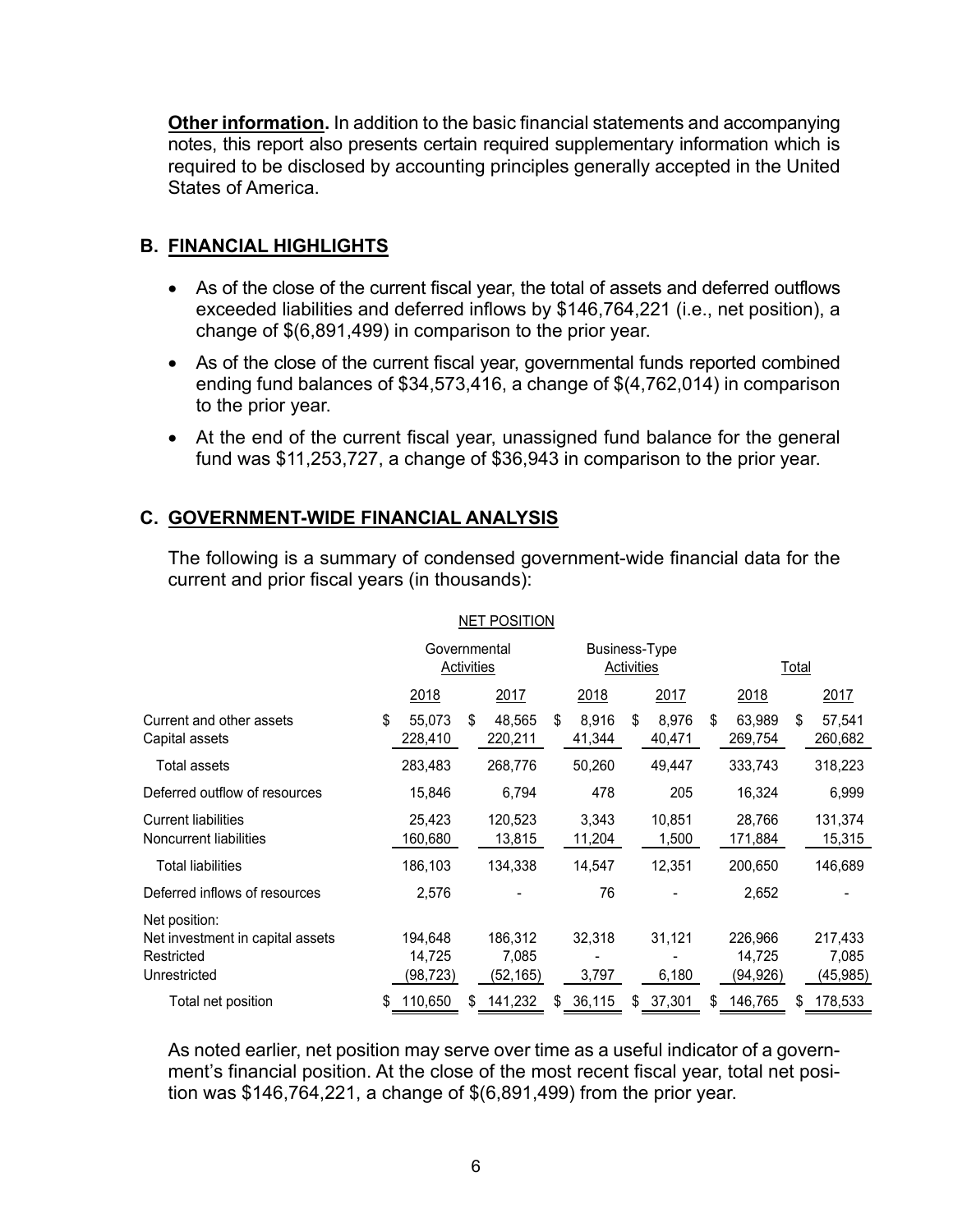**Other information.** In addition to the basic financial statements and accompanying notes, this report also presents certain required supplementary information which is required to be disclosed by accounting principles generally accepted in the United States of America.

# **B. FINANCIAL HIGHLIGHTS**

- As of the close of the current fiscal year, the total of assets and deferred outflows exceeded liabilities and deferred inflows by \$146,764,221 (i.e., net position), a change of \$(6,891,499) in comparison to the prior year.
- As of the close of the current fiscal year, governmental funds reported combined ending fund balances of \$34,573,416, a change of \$(4,762,014) in comparison to the prior year.
- At the end of the current fiscal year, unassigned fund balance for the general fund was \$11,253,727, a change of \$36,943 in comparison to the prior year.

# **C. GOVERNMENT-WIDE FINANCIAL ANALYSIS**

The following is a summary of condensed government-wide financial data for the current and prior fiscal years (in thousands):

NET POSITION

| <b>IVET LOQITION</b>                                                            |    |                               |    |                               |                             |                 |    |                 |       |                               |    |                              |
|---------------------------------------------------------------------------------|----|-------------------------------|----|-------------------------------|-----------------------------|-----------------|----|-----------------|-------|-------------------------------|----|------------------------------|
|                                                                                 |    | Governmental<br>Activities    |    |                               | Business-Type<br>Activities |                 |    |                 | Total |                               |    |                              |
|                                                                                 |    | 2018                          |    | 2017                          |                             | 2018            |    | 2017            |       | 2018                          |    | 2017                         |
| Current and other assets<br>Capital assets                                      | \$ | 55,073<br>228,410             | \$ | 48,565<br>220,211             | \$                          | 8,916<br>41,344 | \$ | 8,976<br>40,471 | \$    | 63.989<br>269,754             | \$ | 57,541<br>260,682            |
| Total assets                                                                    |    | 283,483                       |    | 268,776                       |                             | 50,260          |    | 49,447          |       | 333,743                       |    | 318,223                      |
| Deferred outflow of resources                                                   |    | 15,846                        |    | 6,794                         |                             | 478             |    | 205             |       | 16,324                        |    | 6,999                        |
| <b>Current liabilities</b><br>Noncurrent liabilities                            |    | 25,423<br>160,680             |    | 120,523<br>13,815             |                             | 3,343<br>11,204 |    | 10,851<br>1,500 |       | 28,766<br>171,884             |    | 131,374<br>15,315            |
| <b>Total liabilities</b>                                                        |    | 186,103                       |    | 134,338                       |                             | 14,547          |    | 12,351          |       | 200,650                       |    | 146,689                      |
| Deferred inflows of resources                                                   |    | 2,576                         |    |                               |                             | 76              |    |                 |       | 2,652                         |    |                              |
| Net position:<br>Net investment in capital assets<br>Restricted<br>Unrestricted |    | 194,648<br>14,725<br>(98,723) |    | 186,312<br>7,085<br>(52, 165) |                             | 32,318<br>3,797 |    | 31,121<br>6,180 |       | 226.966<br>14,725<br>(94,926) |    | 217,433<br>7,085<br>(45,985) |
| Total net position                                                              | \$ | 110,650                       | S  | 141,232                       | S                           | 36,115          | \$ | 37,301          | \$    | 146,765                       | S  | 178,533                      |

As noted earlier, net position may serve over time as a useful indicator of a government's financial position. At the close of the most recent fiscal year, total net position was \$146,764,221, a change of \$(6,891,499) from the prior year.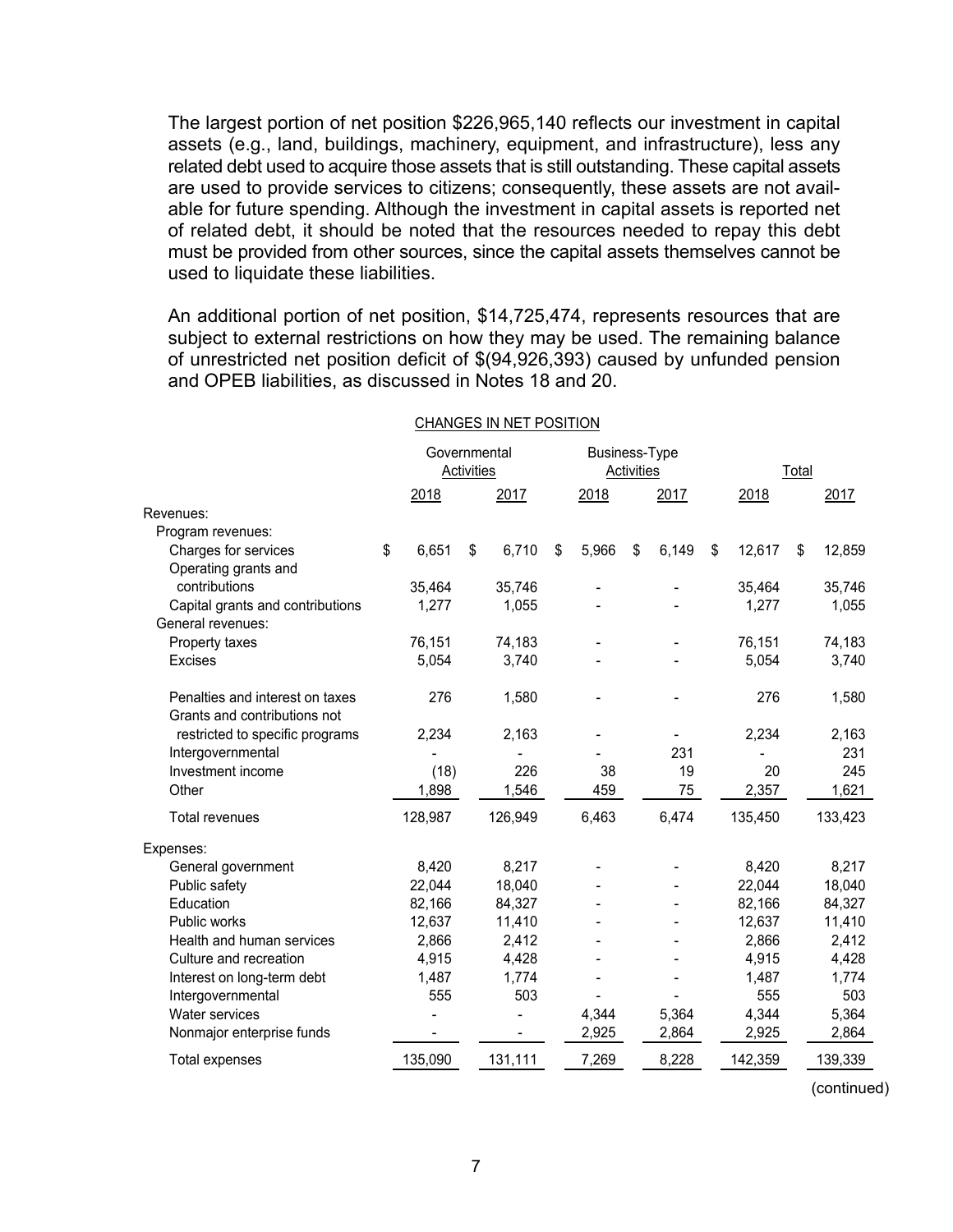The largest portion of net position \$226,965,140 reflects our investment in capital assets (e.g., land, buildings, machinery, equipment, and infrastructure), less any related debt used to acquire those assets that is still outstanding. These capital assets are used to provide services to citizens; consequently, these assets are not available for future spending. Although the investment in capital assets is reported net of related debt, it should be noted that the resources needed to repay this debt must be provided from other sources, since the capital assets themselves cannot be used to liquidate these liabilities.

An additional portion of net position, \$14,725,474, represents resources that are subject to external restrictions on how they may be used. The remaining balance of unrestricted net position deficit of \$(94,926,393) caused by unfunded pension and OPEB liabilities, as discussed in Notes 18 and 20.

|                                                                 | 011/01010 111111111111011110111 |            |         |    |                             |    |       |    |         |       |         |
|-----------------------------------------------------------------|---------------------------------|------------|---------|----|-----------------------------|----|-------|----|---------|-------|---------|
|                                                                 | Governmental                    | Activities |         |    | Business-Type<br>Activities |    |       |    |         | Total |         |
|                                                                 | 2018                            |            | 2017    |    | 2018                        |    | 2017  |    | 2018    |       | 2017    |
| Revenues:                                                       |                                 |            |         |    |                             |    |       |    |         |       |         |
| Program revenues:                                               |                                 |            |         |    |                             |    |       |    |         |       |         |
| Charges for services                                            | \$<br>6,651                     | \$         | 6,710   | \$ | 5,966                       | \$ | 6,149 | \$ | 12,617  | \$    | 12,859  |
| Operating grants and                                            |                                 |            |         |    |                             |    |       |    |         |       |         |
| contributions                                                   | 35,464                          |            | 35,746  |    |                             |    |       |    | 35,464  |       | 35,746  |
| Capital grants and contributions                                | 1,277                           |            | 1,055   |    |                             |    |       |    | 1,277   |       | 1,055   |
| General revenues:                                               |                                 |            |         |    |                             |    |       |    |         |       |         |
| Property taxes                                                  | 76,151                          |            | 74,183  |    |                             |    |       |    | 76,151  |       | 74,183  |
| <b>Excises</b>                                                  | 5,054                           |            | 3,740   |    |                             |    |       |    | 5,054   |       | 3,740   |
| Penalties and interest on taxes<br>Grants and contributions not | 276                             |            | 1,580   |    |                             |    |       |    | 276     |       | 1,580   |
| restricted to specific programs                                 | 2,234                           |            | 2,163   |    |                             |    |       |    | 2,234   |       | 2,163   |
| Intergovernmental                                               |                                 |            |         |    |                             |    | 231   |    |         |       | 231     |
| Investment income                                               | (18)                            |            | 226     |    | 38                          |    | 19    |    | 20      |       | 245     |
| Other                                                           | 1,898                           |            | 1,546   |    | 459                         |    | 75    |    | 2,357   |       | 1,621   |
| Total revenues                                                  | 128,987                         |            | 126,949 |    | 6,463                       |    | 6,474 |    | 135,450 |       | 133,423 |
| Expenses:                                                       |                                 |            |         |    |                             |    |       |    |         |       |         |
| General government                                              | 8,420                           |            | 8,217   |    |                             |    |       |    | 8,420   |       | 8,217   |
| Public safety                                                   | 22,044                          |            | 18,040  |    |                             |    |       |    | 22,044  |       | 18,040  |
| Education                                                       | 82,166                          |            | 84,327  |    |                             |    |       |    | 82,166  |       | 84,327  |
| Public works                                                    | 12,637                          |            | 11,410  |    |                             |    |       |    | 12,637  |       | 11,410  |
| Health and human services                                       | 2,866                           |            | 2,412   |    |                             |    |       |    | 2,866   |       | 2,412   |
| Culture and recreation                                          | 4,915                           |            | 4,428   |    |                             |    |       |    | 4,915   |       | 4,428   |
| Interest on long-term debt                                      | 1,487                           |            | 1,774   |    |                             |    |       |    | 1,487   |       | 1,774   |
| Intergovernmental                                               | 555                             |            | 503     |    |                             |    |       |    | 555     |       | 503     |
| Water services                                                  |                                 |            |         |    | 4,344                       |    | 5,364 |    | 4,344   |       | 5,364   |
| Nonmajor enterprise funds                                       |                                 |            |         |    | 2,925                       |    | 2,864 |    | 2,925   |       | 2,864   |
| <b>Total expenses</b>                                           | 135,090                         |            | 131,111 |    | 7,269                       |    | 8,228 |    | 142,359 |       | 139,339 |

#### CHANGES IN NET POSITION

(continued)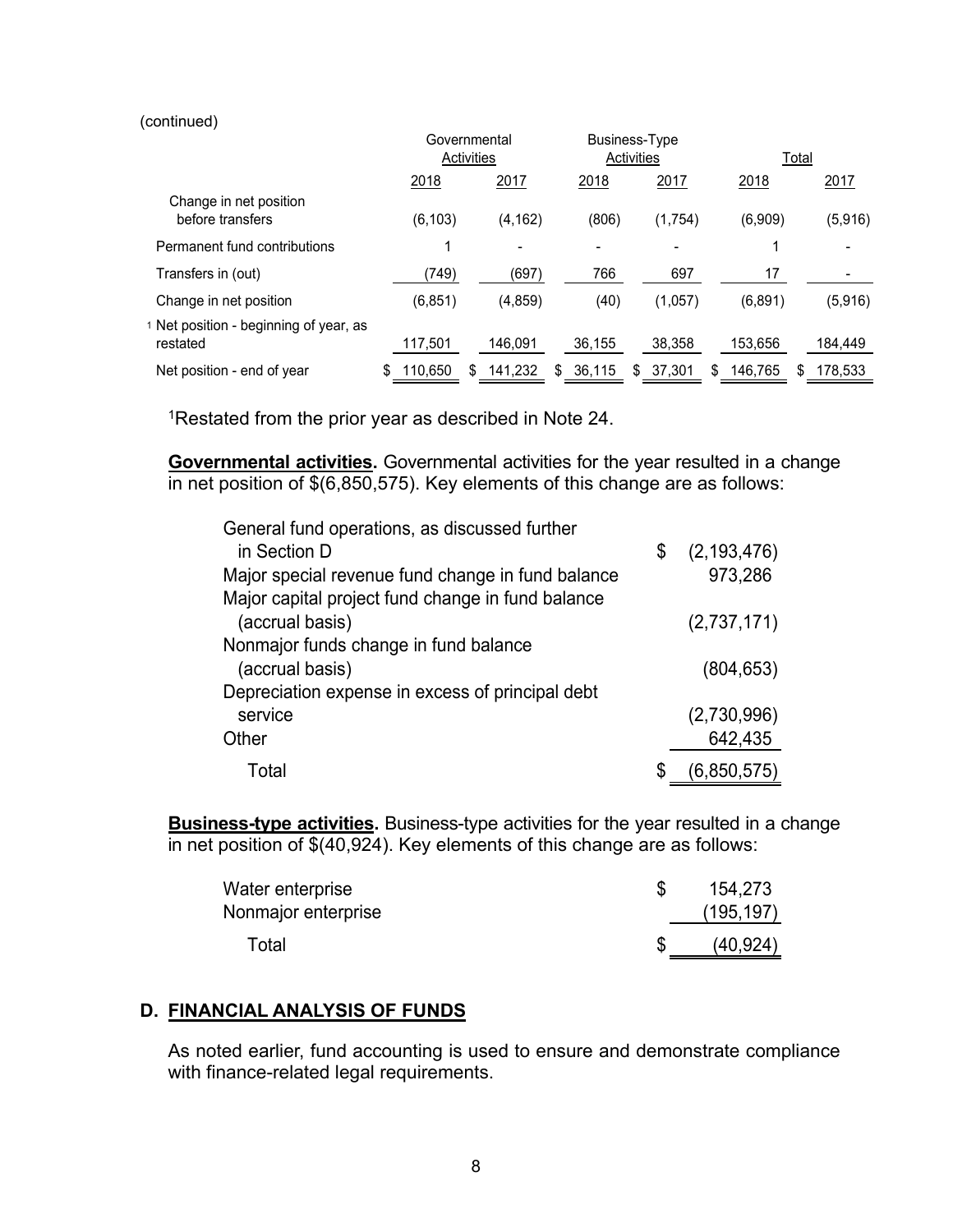#### (continued)

|                                                               |   | Governmental<br>Activities |   | Business-Type<br>Activities |              |    | Total   |   |          |   |         |
|---------------------------------------------------------------|---|----------------------------|---|-----------------------------|--------------|----|---------|---|----------|---|---------|
| Change in net position                                        |   | 2018                       |   | 2017                        | 2018         |    | 2017    |   | 2018     |   | 2017    |
| before transfers                                              |   | (6, 103)                   |   | (4, 162)                    | (806)        |    | (1,754) |   | (6,909)  |   | (5,916) |
| Permanent fund contributions                                  |   |                            |   | ۰                           | ۰            |    |         |   |          |   |         |
| Transfers in (out)                                            |   | (749)                      |   | (697)                       | 766          |    | 697     |   | 17       |   |         |
| Change in net position                                        |   | (6, 851)                   |   | (4, 859)                    | (40)         |    | (1,057) |   | (6, 891) |   | (5,916) |
| <sup>1</sup> Net position - beginning of year, as<br>restated |   | 117,501                    |   | 146.091                     | 36,155       |    | 38,358  |   | 153,656  |   | 184,449 |
| Net position - end of year                                    | S | 110.650                    | S | 141,232                     | \$<br>36,115 | \$ | 37.301  | S | 146.765  | S | 178.533 |

1Restated from the prior year as described in Note 24.

**Governmental activities.** Governmental activities for the year resulted in a change in net position of \$(6,850,575). Key elements of this change are as follows:

| General fund operations, as discussed further     |    |               |
|---------------------------------------------------|----|---------------|
| in Section D                                      | \$ | (2, 193, 476) |
| Major special revenue fund change in fund balance |    | 973,286       |
| Major capital project fund change in fund balance |    |               |
| (accrual basis)                                   |    | (2,737,171)   |
| Nonmajor funds change in fund balance             |    |               |
| (accrual basis)                                   |    | (804, 653)    |
| Depreciation expense in excess of principal debt  |    |               |
| service                                           |    | (2,730,996)   |
| Other                                             |    | 642,435       |
| Total                                             | S  | (6,850,575)   |

**Business-type activities.** Business-type activities for the year resulted in a change in net position of \$(40,924). Key elements of this change are as follows:

| Water enterprise    | 154,273    |
|---------------------|------------|
| Nonmajor enterprise | (195, 197) |
| Total               | (40, 924)  |

#### **D. FINANCIAL ANALYSIS OF FUNDS**

As noted earlier, fund accounting is used to ensure and demonstrate compliance with finance-related legal requirements.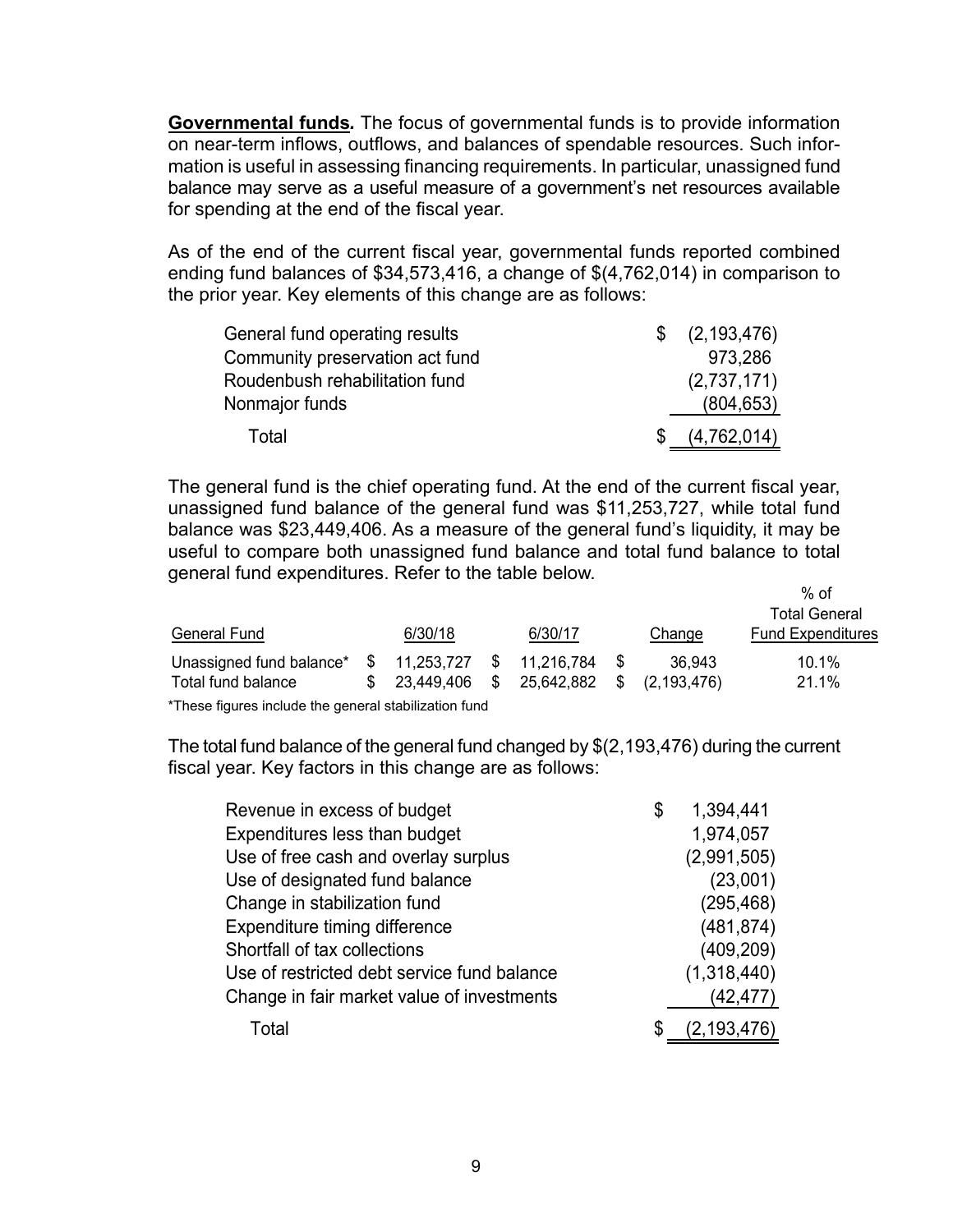**Governmental funds***.* The focus of governmental funds is to provide information on near-term inflows, outflows, and balances of spendable resources. Such information is useful in assessing financing requirements. In particular, unassigned fund balance may serve as a useful measure of a government's net resources available for spending at the end of the fiscal year.

As of the end of the current fiscal year, governmental funds reported combined ending fund balances of \$34,573,416, a change of \$(4,762,014) in comparison to the prior year. Key elements of this change are as follows:

| General fund operating results  |     | (2, 193, 476) |
|---------------------------------|-----|---------------|
| Community preservation act fund |     | 973,286       |
| Roudenbush rehabilitation fund  |     | (2,737,171)   |
| Nonmajor funds                  |     | (804, 653)    |
| Total                           | - S | (4,762,014)   |

The general fund is the chief operating fund. At the end of the current fiscal year, unassigned fund balance of the general fund was \$11,253,727, while total fund balance was \$23,449,406. As a measure of the general fund's liquidity, it may be useful to compare both unassigned fund balance and total fund balance to total general fund expenditures. Refer to the table below.

|                          |            |      |            |     |               | % of                     |
|--------------------------|------------|------|------------|-----|---------------|--------------------------|
|                          |            |      |            |     |               | Total General            |
| General Fund             | 6/30/18    |      | 6/30/17    |     | <b>Change</b> | <b>Fund Expenditures</b> |
| Unassigned fund balance* | 11,253,727 | -S   | 11,216,784 |     | 36.943        | $10.1\%$                 |
| Total fund balance       | 23.449.406 | - \$ | 25,642,882 | \$. | (2, 193, 476) | 21.1%                    |

\*These figures include the general stabilization fund

The total fund balance of the general fund changed by \$(2,193,476) during the current fiscal year. Key factors in this change are as follows:

| Revenue in excess of budget                 | \$<br>1,394,441 |
|---------------------------------------------|-----------------|
| Expenditures less than budget               | 1,974,057       |
| Use of free cash and overlay surplus        | (2,991,505)     |
| Use of designated fund balance              | (23,001)        |
| Change in stabilization fund                | (295, 468)      |
| Expenditure timing difference               | (481, 874)      |
| Shortfall of tax collections                | (409, 209)      |
| Use of restricted debt service fund balance | (1,318,440)     |
| Change in fair market value of investments  | (42, 477)       |
| Total                                       | (2, 193, 476)   |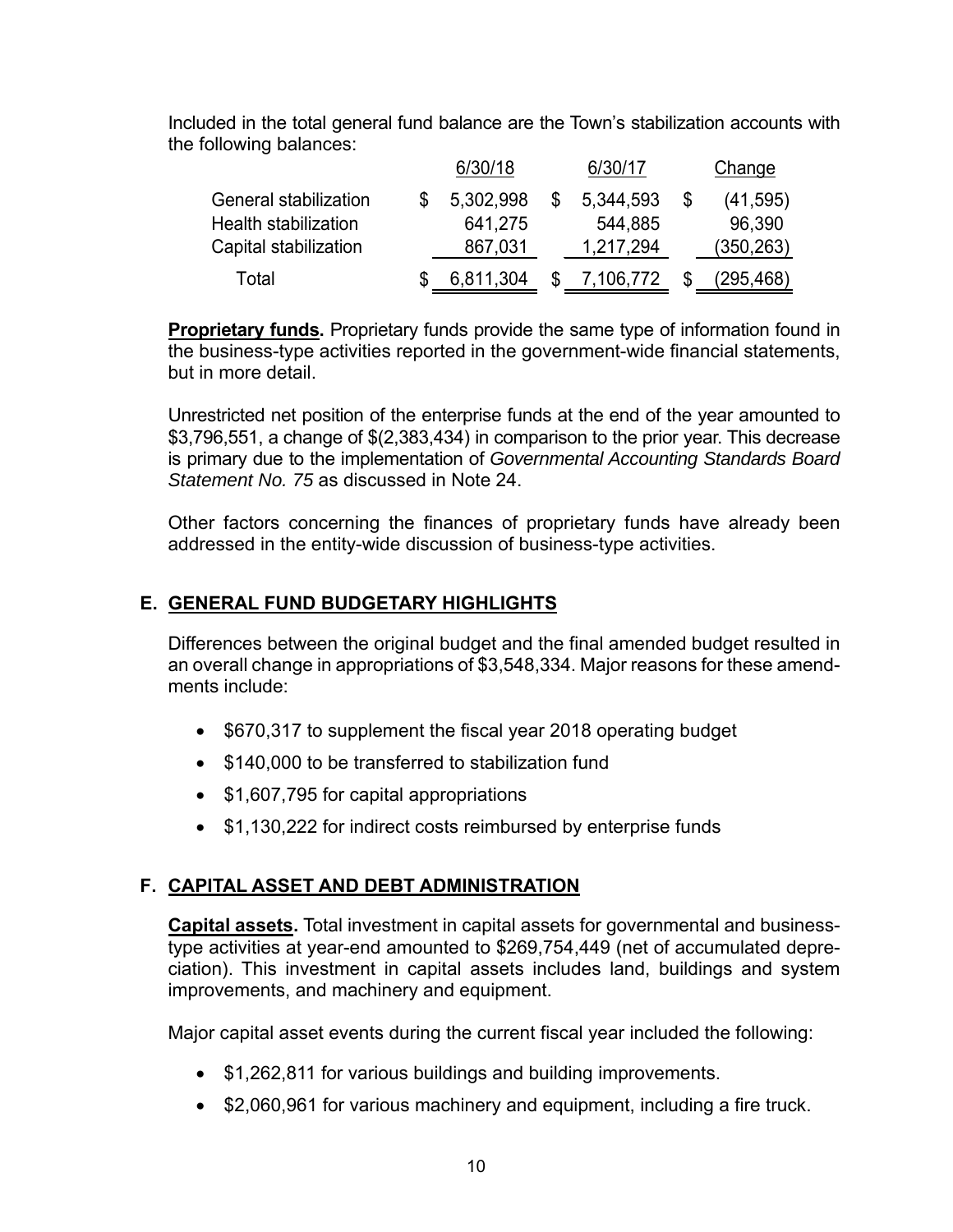Included in the total general fund balance are the Town's stabilization accounts with the following balances: 6/30/18 6/30/17 Change

|                              | <b>DI JULIO</b> |   | <u> UJJUJ I I</u> | <b>UIIdIIYE</b> |
|------------------------------|-----------------|---|-------------------|-----------------|
| <b>General stabilization</b> | 5,302,998       |   | 5,344,593         | (41, 595)       |
| Health stabilization         | 641,275         |   | 544,885           | 96,390          |
| Capital stabilization        | 867,031         |   | 1,217,294         | (350, 263)      |
| Total                        | 6,811,304       | S | 7,106,772         | (295, 468)      |

**Proprietary funds.** Proprietary funds provide the same type of information found in the business-type activities reported in the government-wide financial statements, but in more detail.

Unrestricted net position of the enterprise funds at the end of the year amounted to \$3,796,551, a change of \$(2,383,434) in comparison to the prior year. This decrease is primary due to the implementation of *Governmental Accounting Standards Board Statement No. 75* as discussed in Note 24.

Other factors concerning the finances of proprietary funds have already been addressed in the entity-wide discussion of business-type activities.

# **E. GENERAL FUND BUDGETARY HIGHLIGHTS**

Differences between the original budget and the final amended budget resulted in an overall change in appropriations of \$3,548,334. Major reasons for these amendments include:

- \$670,317 to supplement the fiscal year 2018 operating budget
- \$140,000 to be transferred to stabilization fund
- \$1,607,795 for capital appropriations
- \$1,130,222 for indirect costs reimbursed by enterprise funds

# **F. CAPITAL ASSET AND DEBT ADMINISTRATION**

**Capital assets.** Total investment in capital assets for governmental and businesstype activities at year-end amounted to \$269,754,449 (net of accumulated depreciation). This investment in capital assets includes land, buildings and system improvements, and machinery and equipment.

Major capital asset events during the current fiscal year included the following:

- \$1,262,811 for various buildings and building improvements.
- \$2,060,961 for various machinery and equipment, including a fire truck.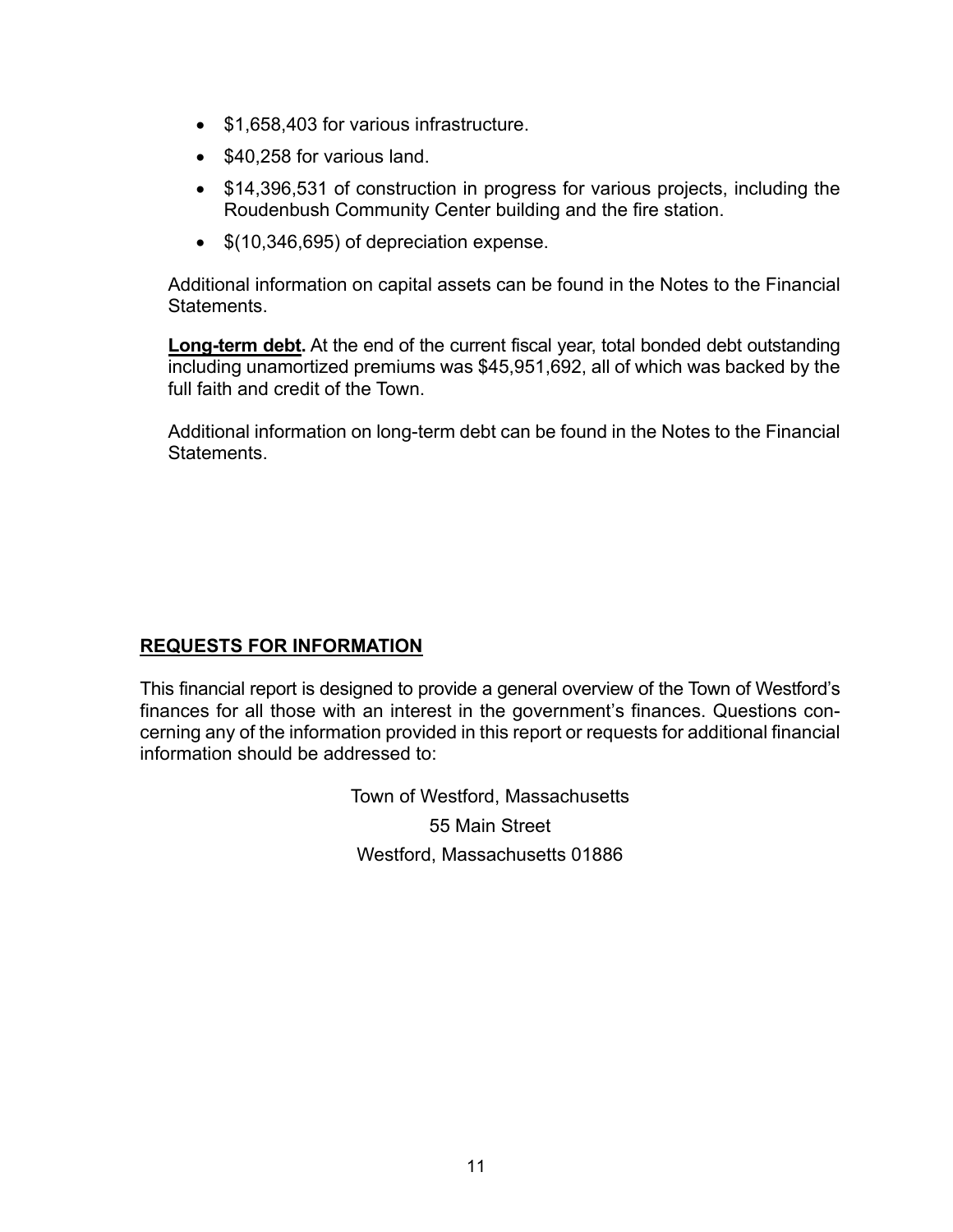- \$1,658,403 for various infrastructure.
- \$40,258 for various land.
- \$14,396,531 of construction in progress for various projects, including the Roudenbush Community Center building and the fire station.
- $\bullet$  \$(10,346,695) of depreciation expense.

Additional information on capital assets can be found in the Notes to the Financial Statements.

**Long-term debt.** At the end of the current fiscal year, total bonded debt outstanding including unamortized premiums was \$45,951,692, all of which was backed by the full faith and credit of the Town.

Additional information on long-term debt can be found in the Notes to the Financial Statements.

# **REQUESTS FOR INFORMATION**

This financial report is designed to provide a general overview of the Town of Westford's finances for all those with an interest in the government's finances. Questions concerning any of the information provided in this report or requests for additional financial information should be addressed to:

> Town of Westford, Massachusetts 55 Main Street Westford, Massachusetts 01886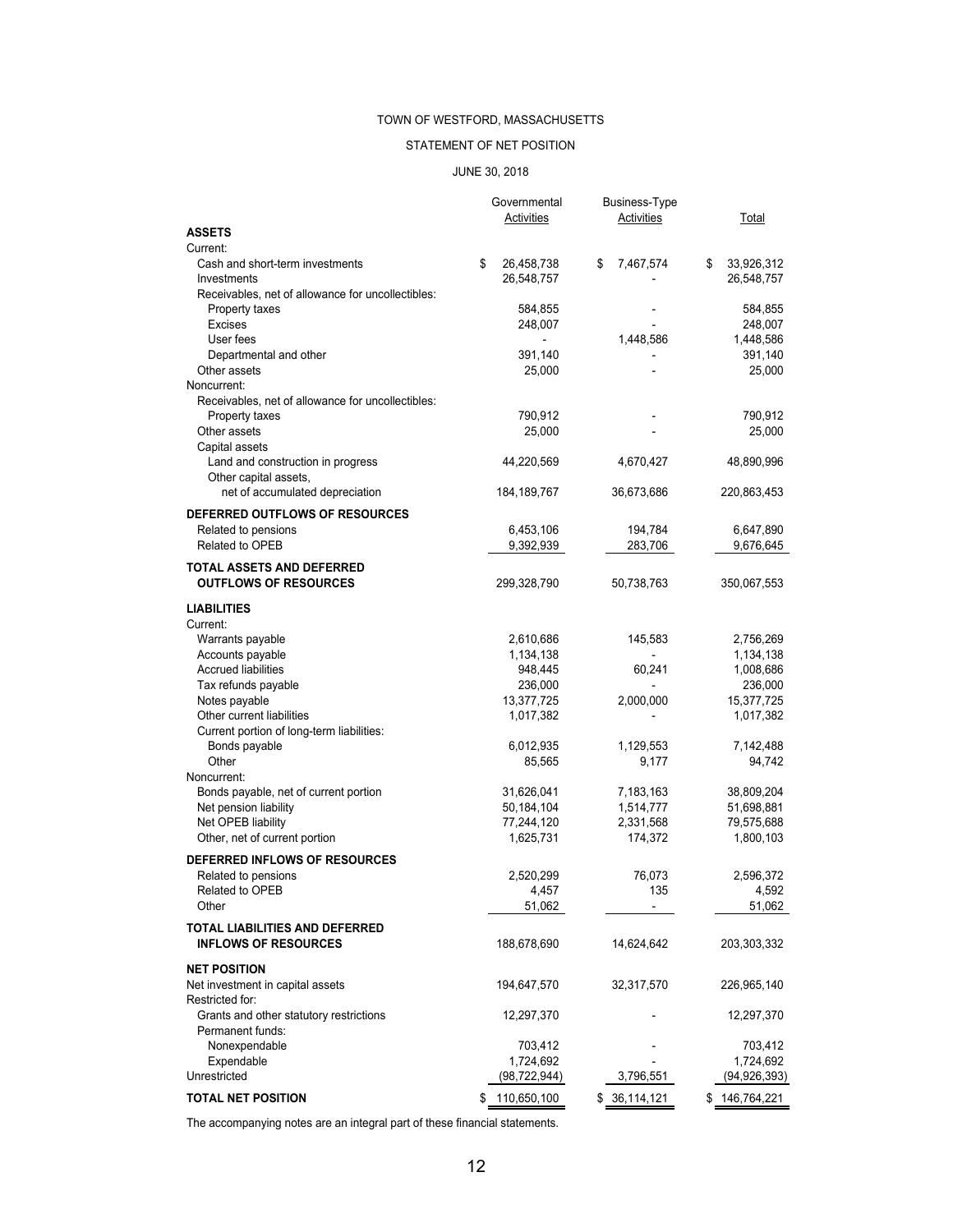#### STATEMENT OF NET POSITION

#### JUNE 30, 2018

|                                                   | Governmental      | Business-Type   |                  |
|---------------------------------------------------|-------------------|-----------------|------------------|
|                                                   | Activities        | Activities      | Total            |
| <b>ASSETS</b><br>Current:                         |                   |                 |                  |
| Cash and short-term investments                   | \$<br>26,458,738  | \$<br>7,467,574 | \$<br>33,926,312 |
| Investments                                       | 26,548,757        |                 | 26,548,757       |
| Receivables, net of allowance for uncollectibles: |                   |                 |                  |
| Property taxes                                    | 584,855           |                 | 584,855          |
| Excises                                           | 248,007           |                 | 248,007          |
| User fees                                         |                   | 1,448,586       | 1,448,586        |
| Departmental and other                            | 391,140           |                 | 391,140          |
| Other assets                                      | 25,000            |                 | 25,000           |
| Noncurrent:                                       |                   |                 |                  |
| Receivables, net of allowance for uncollectibles: |                   |                 |                  |
| Property taxes                                    | 790,912           |                 | 790,912          |
| Other assets                                      | 25,000            |                 | 25,000           |
| Capital assets                                    |                   |                 |                  |
| Land and construction in progress                 | 44,220,569        | 4,670,427       | 48,890,996       |
| Other capital assets,                             |                   |                 |                  |
| net of accumulated depreciation                   | 184, 189, 767     | 36,673,686      | 220,863,453      |
| DEFERRED OUTFLOWS OF RESOURCES                    |                   |                 |                  |
| Related to pensions                               | 6,453,106         | 194,784         | 6,647,890        |
| <b>Related to OPEB</b>                            | 9,392,939         | 283,706         | 9,676,645        |
|                                                   |                   |                 |                  |
| TOTAL ASSETS AND DEFERRED                         |                   |                 |                  |
| <b>OUTFLOWS OF RESOURCES</b>                      | 299,328,790       | 50,738,763      | 350,067,553      |
| <b>LIABILITIES</b>                                |                   |                 |                  |
| Current:                                          |                   |                 |                  |
| Warrants payable                                  | 2,610,686         | 145,583         | 2,756,269        |
| Accounts payable                                  | 1,134,138         |                 | 1,134,138        |
| <b>Accrued liabilities</b>                        | 948,445           | 60,241          | 1,008,686        |
| Tax refunds payable                               | 236,000           |                 | 236,000          |
| Notes payable                                     | 13,377,725        | 2,000,000       | 15,377,725       |
| Other current liabilities                         | 1,017,382         |                 | 1,017,382        |
| Current portion of long-term liabilities:         |                   |                 |                  |
| Bonds payable                                     | 6,012,935         | 1,129,553       | 7,142,488        |
| Other                                             | 85,565            | 9,177           | 94,742           |
| Noncurrent:                                       |                   |                 |                  |
| Bonds payable, net of current portion             | 31,626,041        | 7,183,163       | 38,809,204       |
| Net pension liability                             | 50,184,104        | 1,514,777       | 51,698,881       |
| Net OPEB liability                                | 77,244,120        | 2,331,568       | 79,575,688       |
| Other, net of current portion                     | 1,625,731         | 174,372         | 1,800,103        |
| DEFERRED INFLOWS OF RESOURCES                     |                   |                 |                  |
| Related to pensions                               | 2,520,299         | 76,073          | 2,596,372        |
| Related to OPEB                                   | 4,457             | 135             | 4,592            |
| Other                                             | 51,062            |                 | 51,062           |
| TOTAL LIABILITIES AND DEFERRED                    |                   |                 |                  |
| <b>INFLOWS OF RESOURCES</b>                       | 188,678,690       | 14,624,642      | 203,303,332      |
|                                                   |                   |                 |                  |
| <b>NET POSITION</b>                               |                   |                 |                  |
| Net investment in capital assets                  | 194,647,570       | 32,317,570      | 226,965,140      |
| Restricted for:                                   |                   |                 |                  |
| Grants and other statutory restrictions           | 12,297,370        |                 | 12,297,370       |
| Permanent funds:                                  |                   |                 |                  |
| Nonexpendable                                     | 703,412           |                 | 703,412          |
| Expendable                                        | 1,724,692         |                 | 1,724,692        |
| Unrestricted                                      | (98, 722, 944)    | 3,796,551       | (94, 926, 393)   |
| <b>TOTAL NET POSITION</b>                         | 110,650,100<br>\$ | \$36,114,121    | \$146,764,221    |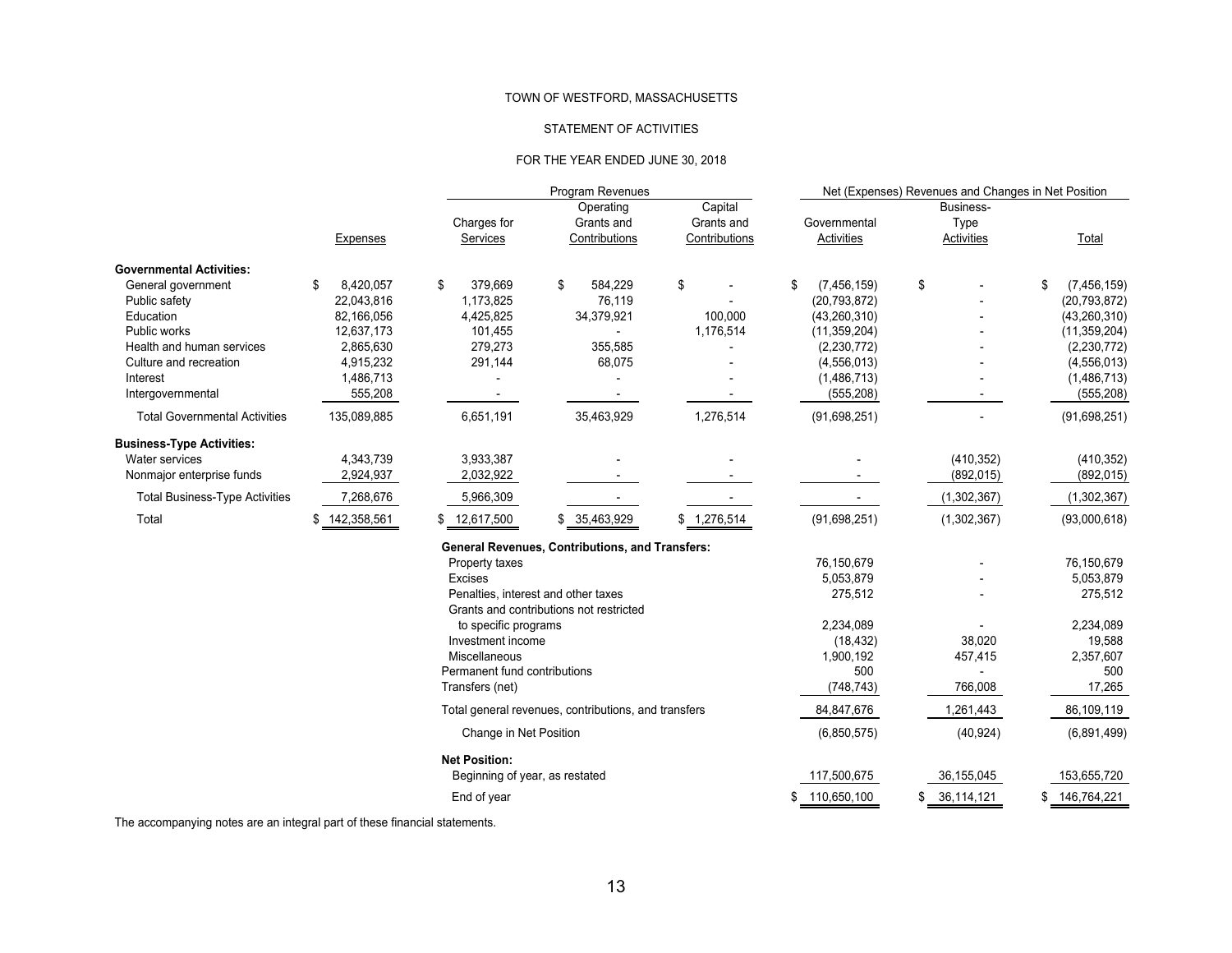#### STATEMENT OF ACTIVITIES

#### FOR THE YEAR ENDED JUNE 30, 2018

|                                       |                      |                                | Program Revenues                                                               |                                        |                            | Net (Expenses) Revenues and Changes in Net Position |                           |
|---------------------------------------|----------------------|--------------------------------|--------------------------------------------------------------------------------|----------------------------------------|----------------------------|-----------------------------------------------------|---------------------------|
|                                       | Expenses             | Charges for<br>Services        | Operating<br>Grants and<br>Contributions                                       | Capital<br>Grants and<br>Contributions | Governmental<br>Activities | Business-<br>Type<br>Activities                     | Total                     |
| <b>Governmental Activities:</b>       |                      |                                |                                                                                |                                        |                            |                                                     |                           |
| General government                    | 8,420,057            | \$<br>379,669                  | \$<br>584,229                                                                  | \$                                     | (7, 456, 159)<br>\$        | \$                                                  | (7, 456, 159)<br>S        |
| Public safety                         | 22,043,816           | 1,173,825                      | 76,119                                                                         |                                        | (20, 793, 872)             |                                                     | (20, 793, 872)            |
| Education                             | 82,166,056           | 4,425,825                      | 34,379,921                                                                     | 100,000                                | (43,260,310)               |                                                     | (43, 260, 310)            |
| Public works                          | 12,637,173           | 101,455                        |                                                                                | 1,176,514                              | (11, 359, 204)             |                                                     | (11, 359, 204)            |
| Health and human services             | 2,865,630            | 279,273                        | 355,585                                                                        |                                        | (2, 230, 772)              |                                                     | (2, 230, 772)             |
| Culture and recreation                | 4,915,232            | 291,144                        | 68,075                                                                         |                                        | (4, 556, 013)              |                                                     | (4, 556, 013)             |
| Interest<br>Intergovernmental         | 1,486,713<br>555,208 | $\sim$                         |                                                                                |                                        | (1,486,713)<br>(555, 208)  |                                                     | (1,486,713)<br>(555, 208) |
| <b>Total Governmental Activities</b>  | 135,089,885          | 6,651,191                      | 35,463,929                                                                     | 1,276,514                              | (91,698,251)               |                                                     | (91,698,251)              |
| <b>Business-Type Activities:</b>      |                      |                                |                                                                                |                                        |                            |                                                     |                           |
| Water services                        | 4,343,739            | 3,933,387                      |                                                                                |                                        |                            | (410, 352)                                          | (410, 352)                |
| Nonmajor enterprise funds             | 2,924,937            | 2,032,922                      |                                                                                |                                        |                            | (892, 015)                                          | (892, 015)                |
| <b>Total Business-Type Activities</b> | 7,268,676            | 5,966,309                      |                                                                                |                                        |                            | (1,302,367)                                         | (1,302,367)               |
| Total                                 | 142,358,561<br>\$    | 12,617,500<br>\$               | \$ 35,463,929                                                                  | \$1,276,514                            | (91, 698, 251)             | (1,302,367)                                         | (93,000,618)              |
|                                       |                      |                                | <b>General Revenues, Contributions, and Transfers:</b>                         |                                        |                            |                                                     |                           |
|                                       |                      | Property taxes                 |                                                                                |                                        | 76,150,679                 |                                                     | 76,150,679                |
|                                       |                      | Excises                        |                                                                                |                                        | 5,053,879                  |                                                     | 5,053,879                 |
|                                       |                      |                                | Penalties, interest and other taxes<br>Grants and contributions not restricted |                                        | 275,512                    |                                                     | 275,512                   |
|                                       |                      | to specific programs           |                                                                                |                                        | 2,234,089                  |                                                     | 2,234,089                 |
|                                       |                      | Investment income              |                                                                                |                                        | (18, 432)                  | 38,020                                              | 19,588                    |
|                                       |                      | Miscellaneous                  |                                                                                |                                        | 1,900,192                  | 457,415                                             | 2,357,607                 |
|                                       |                      | Permanent fund contributions   |                                                                                |                                        | 500                        |                                                     | 500                       |
|                                       |                      | Transfers (net)                |                                                                                |                                        | (748, 743)                 | 766,008                                             | 17,265                    |
|                                       |                      |                                | Total general revenues, contributions, and transfers                           |                                        | 84,847,676                 | 1,261,443                                           | 86,109,119                |
|                                       |                      | Change in Net Position         |                                                                                |                                        | (6,850,575)                | (40, 924)                                           | (6,891,499)               |
|                                       |                      | <b>Net Position:</b>           |                                                                                |                                        |                            |                                                     |                           |
|                                       |                      | Beginning of year, as restated |                                                                                |                                        | 117,500,675                | 36,155,045                                          | 153,655,720               |
|                                       |                      | End of year                    |                                                                                |                                        | 110,650,100<br>\$          | 36,114,121<br>\$                                    | \$146,764,221             |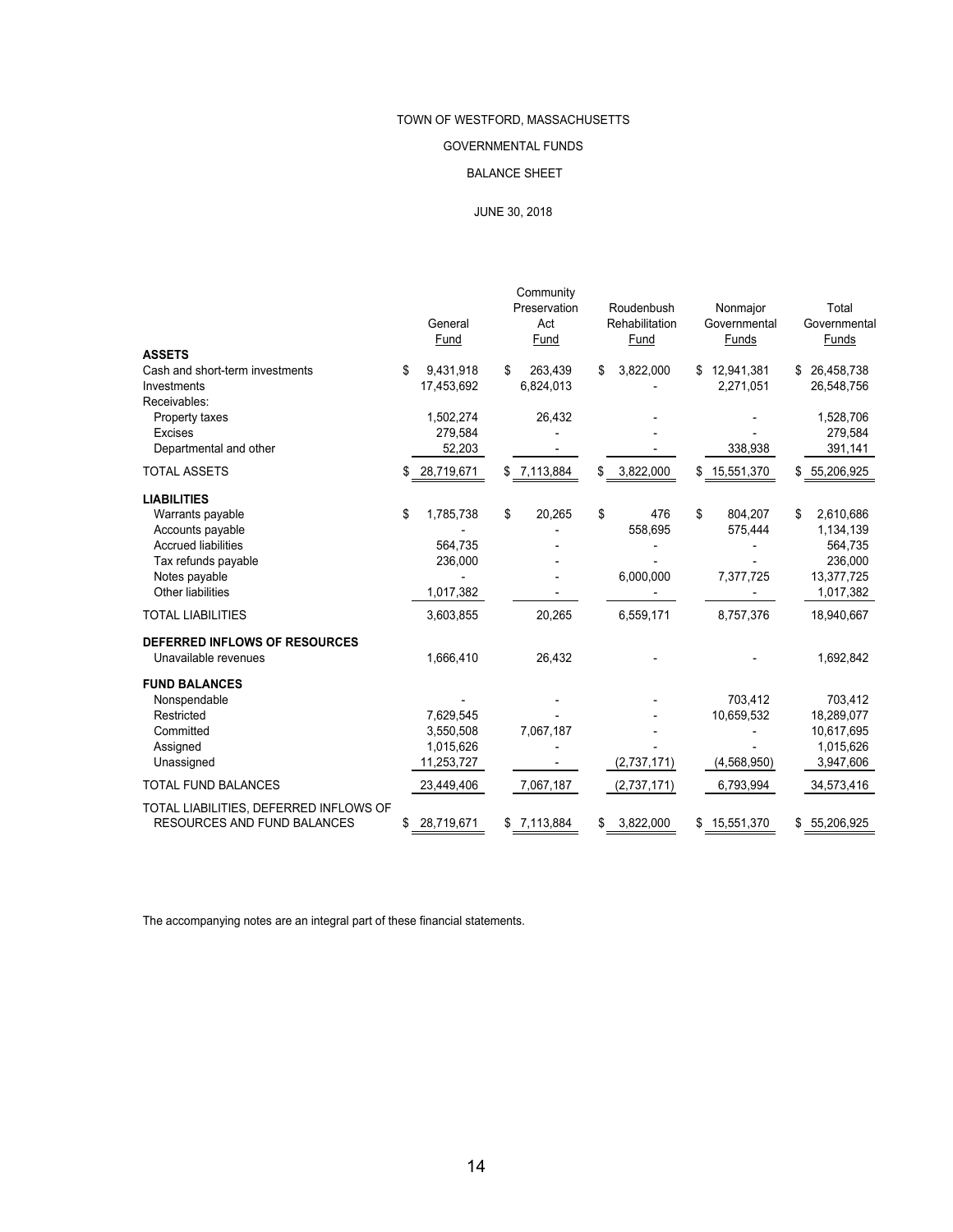#### GOVERNMENTAL FUNDS

#### BALANCE SHEET

#### JUNE 30, 2018

| <b>ASSETS</b>                                                                | General<br>Fund        | Community<br>Preservation<br>Act<br>Fund | Roudenbush<br>Rehabilitation<br>Fund | Nonmajor<br>Governmental<br>Funds | Total<br>Governmental<br><b>Funds</b> |
|------------------------------------------------------------------------------|------------------------|------------------------------------------|--------------------------------------|-----------------------------------|---------------------------------------|
| Cash and short-term investments                                              | \$<br>9,431,918        | \$<br>263,439                            | \$<br>3,822,000                      | \$<br>12,941,381                  | \$<br>26,458,738                      |
| Investments<br>Receivables:                                                  | 17,453,692             | 6,824,013                                |                                      | 2,271,051                         | 26,548,756                            |
| Property taxes                                                               | 1,502,274              | 26,432                                   |                                      |                                   | 1,528,706                             |
| <b>Excises</b>                                                               | 279,584                |                                          |                                      |                                   | 279,584                               |
| Departmental and other                                                       | 52,203                 |                                          |                                      | 338,938                           | 391,141                               |
| <b>TOTAL ASSETS</b>                                                          | \$<br>28,719,671       | \$<br>7,113,884                          | \$<br>3,822,000                      | \$<br>15,551,370                  | \$<br>55,206,925                      |
| <b>LIABILITIES</b>                                                           |                        |                                          |                                      |                                   |                                       |
| Warrants payable                                                             | \$<br>1,785,738        | \$<br>20,265                             | \$<br>476                            | \$<br>804.207                     | \$<br>2,610,686                       |
| Accounts payable<br><b>Accrued liabilities</b>                               |                        |                                          | 558,695                              | 575,444                           | 1,134,139                             |
| Tax refunds payable                                                          | 564,735<br>236,000     |                                          |                                      |                                   | 564,735<br>236,000                    |
| Notes payable                                                                |                        |                                          | 6,000,000                            | 7,377,725                         | 13,377,725                            |
| Other liabilities                                                            | 1,017,382              |                                          |                                      |                                   | 1,017,382                             |
| <b>TOTAL LIABILITIES</b>                                                     | 3,603,855              | 20,265                                   | 6,559,171                            | 8,757,376                         | 18,940,667                            |
| <b>DEFERRED INFLOWS OF RESOURCES</b><br>Unavailable revenues                 | 1,666,410              | 26,432                                   |                                      |                                   | 1,692,842                             |
| <b>FUND BALANCES</b>                                                         |                        |                                          |                                      |                                   |                                       |
| Nonspendable                                                                 |                        |                                          |                                      | 703.412                           | 703,412                               |
| Restricted                                                                   | 7,629,545              |                                          |                                      | 10,659,532                        | 18,289,077                            |
| Committed<br>Assigned                                                        | 3,550,508<br>1,015,626 | 7,067,187                                |                                      |                                   | 10,617,695<br>1,015,626               |
| Unassigned                                                                   | 11,253,727             |                                          | (2,737,171)                          | (4,568,950)                       | 3,947,606                             |
| <b>TOTAL FUND BALANCES</b>                                                   | 23,449,406             | 7,067,187                                | (2,737,171)                          | 6,793,994                         | 34,573,416                            |
| TOTAL LIABILITIES, DEFERRED INFLOWS OF<br><b>RESOURCES AND FUND BALANCES</b> | \$<br>28,719,671       | \$<br>7,113,884                          | \$<br>3,822,000                      | \$<br>15,551,370                  | \$<br>55,206,925                      |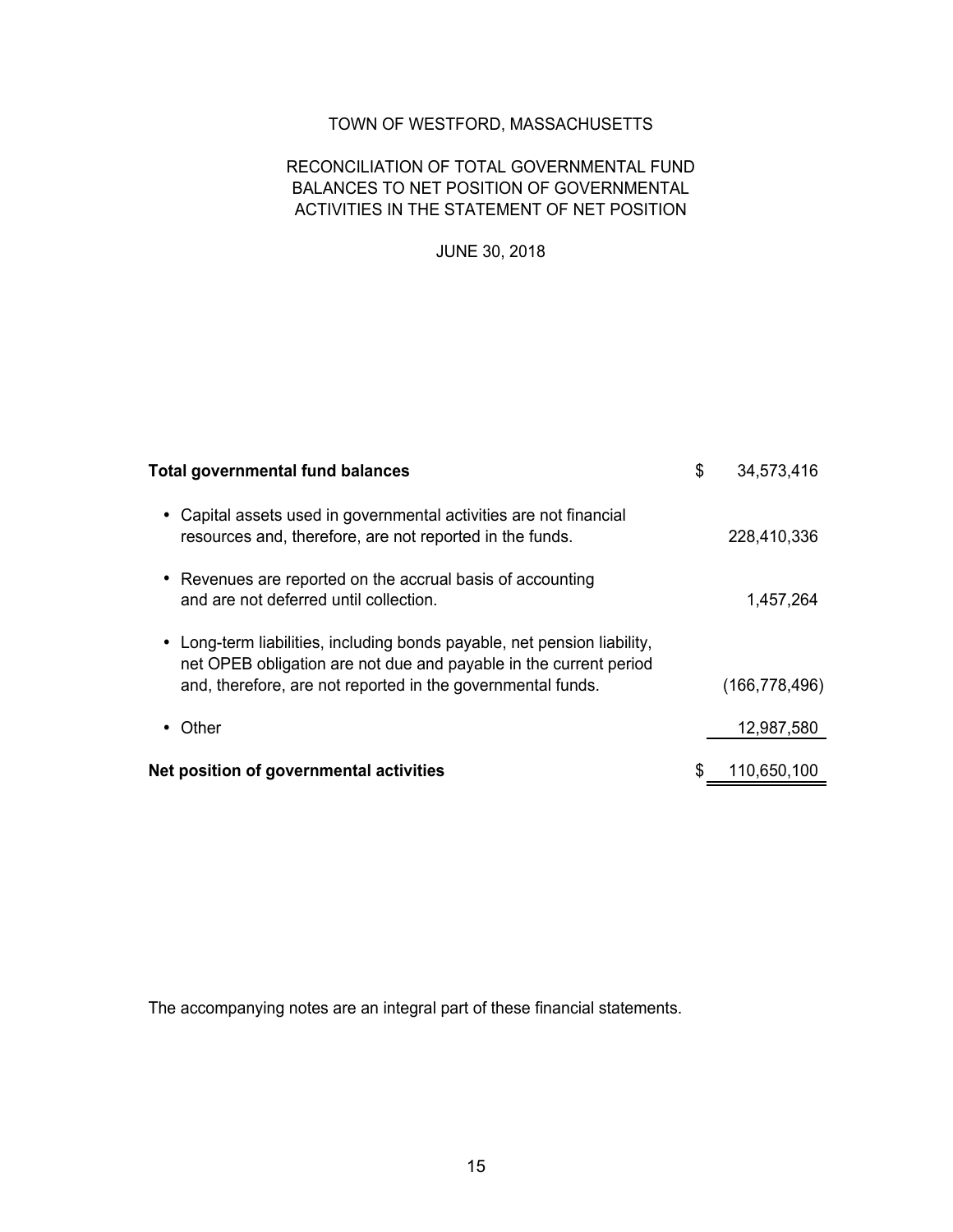### RECONCILIATION OF TOTAL GOVERNMENTAL FUND BALANCES TO NET POSITION OF GOVERNMENTAL ACTIVITIES IN THE STATEMENT OF NET POSITION

#### JUNE 30, 2018

| <b>Total governmental fund balances</b>                                                                                                                                                                      | \$<br>34,573,416 |
|--------------------------------------------------------------------------------------------------------------------------------------------------------------------------------------------------------------|------------------|
| Capital assets used in governmental activities are not financial<br>resources and, therefore, are not reported in the funds.                                                                                 | 228,410,336      |
| • Revenues are reported on the accrual basis of accounting<br>and are not deferred until collection.                                                                                                         | 1,457,264        |
| • Long-term liabilities, including bonds payable, net pension liability,<br>net OPEB obligation are not due and payable in the current period<br>and, therefore, are not reported in the governmental funds. | (166,778,496)    |
| Other                                                                                                                                                                                                        | 12,987,580       |
| Net position of governmental activities                                                                                                                                                                      | 110,650,100      |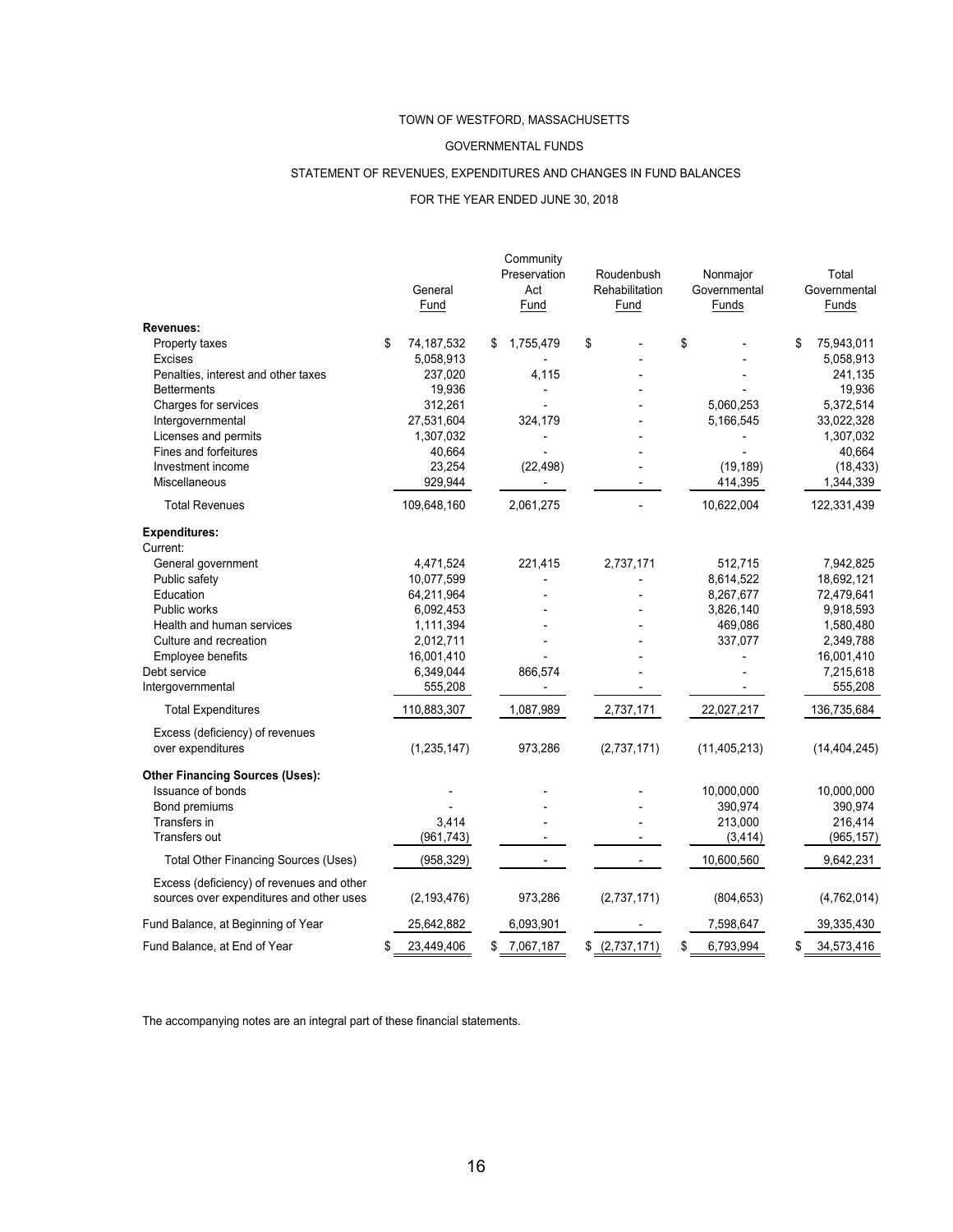#### GOVERNMENTAL FUNDS

#### STATEMENT OF REVENUES, EXPENDITURES AND CHANGES IN FUND BALANCES

#### FOR THE YEAR ENDED JUNE 30, 2018

|                                             |                    | Community       |                |                 |                  |
|---------------------------------------------|--------------------|-----------------|----------------|-----------------|------------------|
|                                             |                    | Preservation    | Roudenbush     | Nonmajor        | Total            |
|                                             | General            | Act             | Rehabilitation | Governmental    | Governmental     |
|                                             | Fund               | Fund            | Fund           | Funds           | Funds            |
| Revenues:                                   |                    |                 |                |                 |                  |
| Property taxes                              | \$<br>74, 187, 532 | \$<br>1,755,479 | \$             | \$              | \$<br>75,943,011 |
| <b>Excises</b>                              | 5,058,913          |                 |                |                 | 5,058,913        |
| Penalties, interest and other taxes         | 237,020            | 4,115           |                |                 | 241,135          |
| <b>Betterments</b>                          | 19,936             |                 |                |                 | 19,936           |
| Charges for services                        | 312,261            |                 |                | 5,060,253       | 5,372,514        |
| Intergovernmental                           | 27,531,604         | 324,179         |                | 5,166,545       | 33,022,328       |
| Licenses and permits                        | 1,307,032          |                 |                |                 | 1,307,032        |
| Fines and forfeitures                       | 40,664             |                 |                |                 | 40,664           |
| Investment income                           | 23,254             | (22, 498)       |                | (19, 189)       | (18, 433)        |
| <b>Miscellaneous</b>                        | 929,944            |                 |                | 414,395         | 1,344,339        |
| <b>Total Revenues</b>                       | 109,648,160        | 2.061.275       | L.             | 10,622,004      | 122,331,439      |
| <b>Expenditures:</b>                        |                    |                 |                |                 |                  |
| Current:                                    |                    |                 |                |                 |                  |
| General government                          | 4,471,524          | 221.415         | 2,737,171      | 512,715         | 7,942,825        |
| Public safety                               | 10,077,599         |                 |                | 8,614,522       | 18,692,121       |
| Education                                   | 64,211,964         |                 |                | 8,267,677       | 72,479,641       |
| Public works                                | 6,092,453          |                 |                | 3,826,140       | 9,918,593        |
| Health and human services                   | 1,111,394          |                 |                | 469,086         | 1,580,480        |
| Culture and recreation                      | 2,012,711          |                 |                | 337,077         | 2,349,788        |
| Employee benefits                           | 16,001,410         |                 |                |                 | 16,001,410       |
| Debt service                                | 6,349,044          | 866,574         |                |                 | 7,215,618        |
| Intergovernmental                           | 555,208            |                 |                |                 | 555,208          |
| <b>Total Expenditures</b>                   | 110,883,307        | 1,087,989       | 2,737,171      | 22,027,217      | 136,735,684      |
| Excess (deficiency) of revenues             |                    |                 |                |                 |                  |
| over expenditures                           | (1, 235, 147)      | 973,286         | (2,737,171)    | (11, 405, 213)  | (14, 404, 245)   |
| <b>Other Financing Sources (Uses):</b>      |                    |                 |                |                 |                  |
| Issuance of bonds                           |                    |                 |                | 10,000,000      | 10,000,000       |
| Bond premiums                               |                    |                 |                | 390,974         | 390,974          |
| Transfers in                                | 3,414              |                 |                | 213,000         | 216,414          |
| Transfers out                               | (961, 743)         |                 |                | (3, 414)        | (965, 157)       |
| <b>Total Other Financing Sources (Uses)</b> | (958, 329)         |                 |                | 10,600,560      | 9,642,231        |
| Excess (deficiency) of revenues and other   |                    |                 |                |                 |                  |
| sources over expenditures and other uses    | (2, 193, 476)      | 973,286         | (2,737,171)    | (804, 653)      | (4,762,014)      |
| Fund Balance, at Beginning of Year          | 25,642,882         | 6,093,901       |                | 7,598,647       | 39,335,430       |
| Fund Balance, at End of Year                | \$<br>23,449,406   | 7,067,187       | (2,737,171)    | \$<br>6,793,994 | \$<br>34,573,416 |
|                                             |                    |                 |                |                 |                  |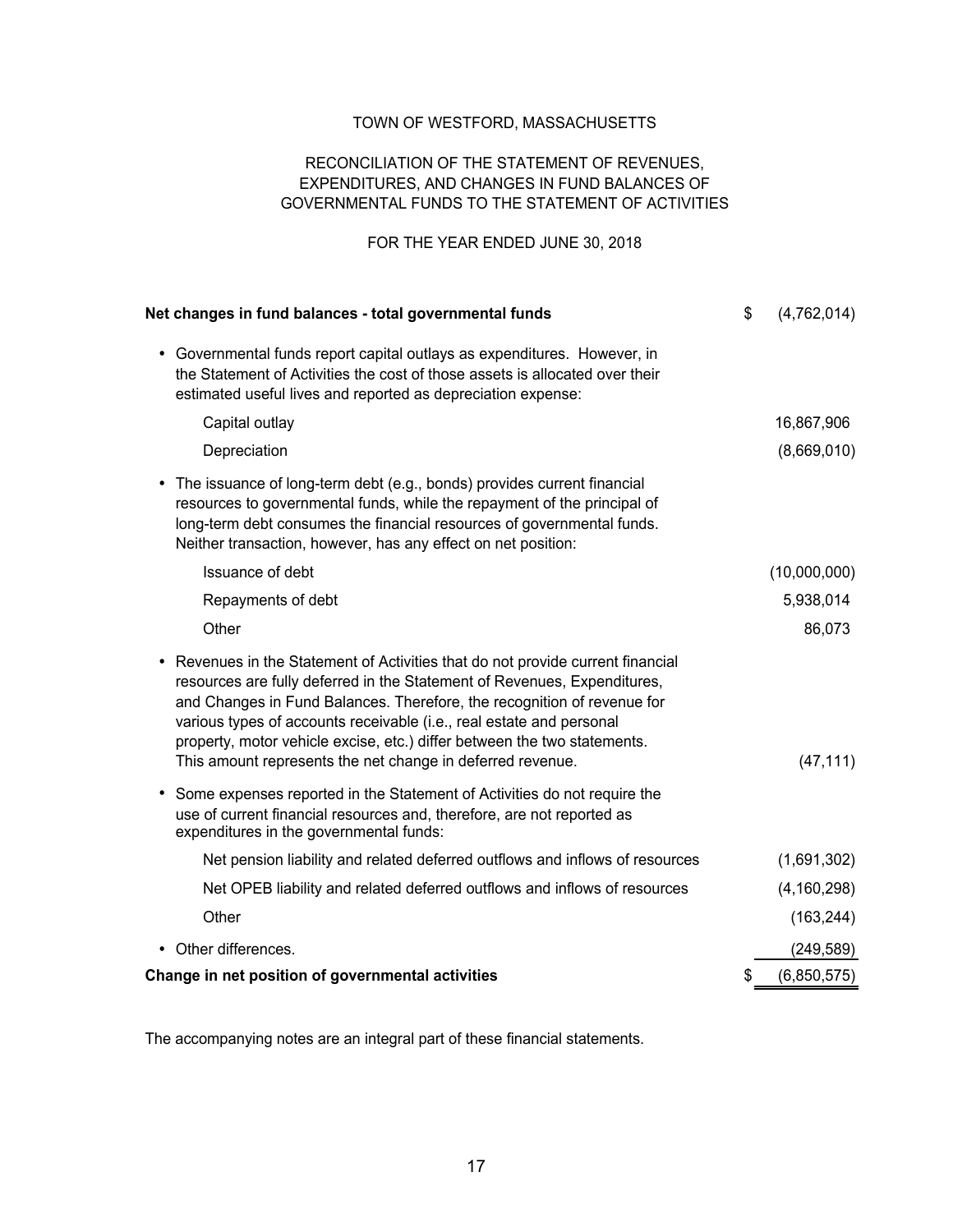#### RECONCILIATION OF THE STATEMENT OF REVENUES, EXPENDITURES, AND CHANGES IN FUND BALANCES OF GOVERNMENTAL FUNDS TO THE STATEMENT OF ACTIVITIES

#### FOR THE YEAR ENDED JUNE 30, 2018

| Net changes in fund balances - total governmental funds                                                                                                                                                                                                                                                                                                                                                                                                | \$<br>(4,762,014) |
|--------------------------------------------------------------------------------------------------------------------------------------------------------------------------------------------------------------------------------------------------------------------------------------------------------------------------------------------------------------------------------------------------------------------------------------------------------|-------------------|
| • Governmental funds report capital outlays as expenditures. However, in<br>the Statement of Activities the cost of those assets is allocated over their<br>estimated useful lives and reported as depreciation expense:                                                                                                                                                                                                                               |                   |
| Capital outlay                                                                                                                                                                                                                                                                                                                                                                                                                                         | 16,867,906        |
| Depreciation                                                                                                                                                                                                                                                                                                                                                                                                                                           | (8,669,010)       |
| • The issuance of long-term debt (e.g., bonds) provides current financial<br>resources to governmental funds, while the repayment of the principal of<br>long-term debt consumes the financial resources of governmental funds.<br>Neither transaction, however, has any effect on net position:                                                                                                                                                       |                   |
| Issuance of debt                                                                                                                                                                                                                                                                                                                                                                                                                                       | (10,000,000)      |
| Repayments of debt                                                                                                                                                                                                                                                                                                                                                                                                                                     | 5,938,014         |
| Other                                                                                                                                                                                                                                                                                                                                                                                                                                                  | 86,073            |
| Revenues in the Statement of Activities that do not provide current financial<br>resources are fully deferred in the Statement of Revenues, Expenditures,<br>and Changes in Fund Balances. Therefore, the recognition of revenue for<br>various types of accounts receivable (i.e., real estate and personal<br>property, motor vehicle excise, etc.) differ between the two statements.<br>This amount represents the net change in deferred revenue. | (47, 111)         |
| Some expenses reported in the Statement of Activities do not require the<br>use of current financial resources and, therefore, are not reported as<br>expenditures in the governmental funds:                                                                                                                                                                                                                                                          |                   |
| Net pension liability and related deferred outflows and inflows of resources                                                                                                                                                                                                                                                                                                                                                                           | (1,691,302)       |
| Net OPEB liability and related deferred outflows and inflows of resources                                                                                                                                                                                                                                                                                                                                                                              | (4, 160, 298)     |
| Other                                                                                                                                                                                                                                                                                                                                                                                                                                                  | (163, 244)        |
| • Other differences.                                                                                                                                                                                                                                                                                                                                                                                                                                   | (249,589)         |
| Change in net position of governmental activities                                                                                                                                                                                                                                                                                                                                                                                                      | \$<br>(6,850,575) |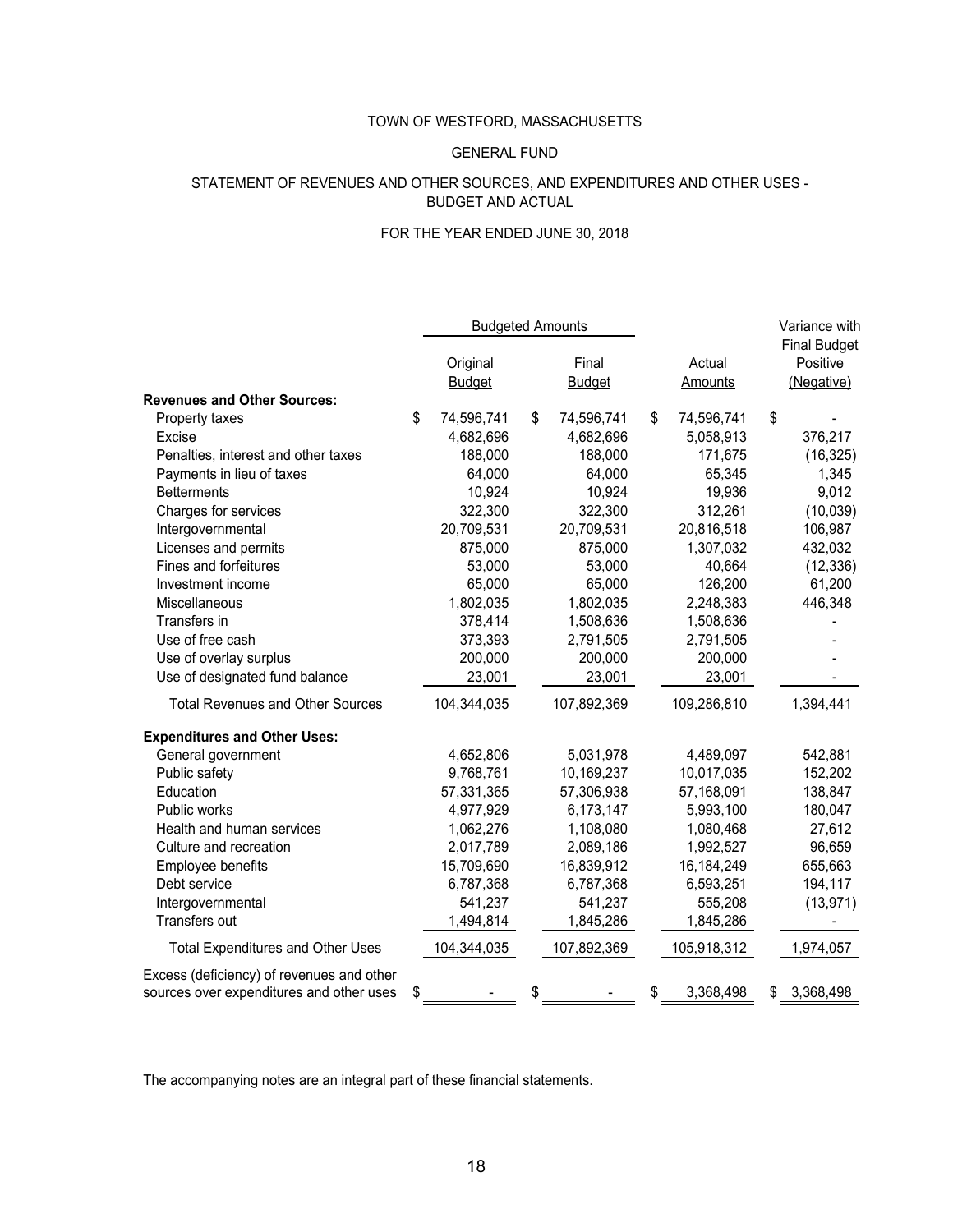#### GENERAL FUND

#### STATEMENT OF REVENUES AND OTHER SOURCES, AND EXPENDITURES AND OTHER USES - BUDGET AND ACTUAL

#### FOR THE YEAR ENDED JUNE 30, 2018

|                                           | <b>Budgeted Amounts</b> |               |    |               |    |              | Variance with<br><b>Final Budget</b> |
|-------------------------------------------|-------------------------|---------------|----|---------------|----|--------------|--------------------------------------|
|                                           |                         | Original      |    | Final         |    | Actual       | Positive                             |
|                                           |                         | <b>Budget</b> |    | <b>Budget</b> |    | Amounts      | (Negative)                           |
| <b>Revenues and Other Sources:</b>        |                         |               |    |               |    |              |                                      |
| Property taxes                            | \$                      | 74,596,741    | \$ | 74,596,741    | \$ | 74,596,741   | \$                                   |
| Excise                                    |                         | 4,682,696     |    | 4,682,696     |    | 5,058,913    | 376,217                              |
| Penalties, interest and other taxes       |                         | 188,000       |    | 188,000       |    | 171,675      | (16, 325)                            |
| Payments in lieu of taxes                 |                         | 64,000        |    | 64,000        |    | 65,345       | 1,345                                |
| <b>Betterments</b>                        |                         | 10,924        |    | 10,924        |    | 19,936       | 9,012                                |
| Charges for services                      |                         | 322,300       |    | 322,300       |    | 312,261      | (10,039)                             |
| Intergovernmental                         |                         | 20,709,531    |    | 20,709,531    |    | 20,816,518   | 106,987                              |
| Licenses and permits                      |                         | 875,000       |    | 875,000       |    | 1,307,032    | 432,032                              |
| Fines and forfeitures                     |                         | 53,000        |    | 53,000        |    | 40,664       | (12, 336)                            |
| Investment income                         |                         | 65,000        |    | 65,000        |    | 126,200      | 61,200                               |
| Miscellaneous                             |                         | 1,802,035     |    | 1,802,035     |    | 2,248,383    | 446,348                              |
| Transfers in                              |                         | 378,414       |    | 1,508,636     |    | 1,508,636    |                                      |
| Use of free cash                          |                         | 373,393       |    | 2,791,505     |    | 2,791,505    |                                      |
| Use of overlay surplus                    |                         | 200,000       |    | 200,000       |    | 200,000      |                                      |
| Use of designated fund balance            |                         | 23,001        |    | 23,001        |    | 23,001       |                                      |
| <b>Total Revenues and Other Sources</b>   |                         | 104,344,035   |    | 107,892,369   |    | 109,286,810  | 1,394,441                            |
| <b>Expenditures and Other Uses:</b>       |                         |               |    |               |    |              |                                      |
| General government                        |                         | 4,652,806     |    | 5,031,978     |    | 4,489,097    | 542,881                              |
| Public safety                             |                         | 9,768,761     |    | 10,169,237    |    | 10,017,035   | 152,202                              |
| Education                                 |                         | 57,331,365    |    | 57,306,938    |    | 57,168,091   | 138,847                              |
| Public works                              |                         | 4,977,929     |    | 6,173,147     |    | 5,993,100    | 180,047                              |
| Health and human services                 |                         | 1,062,276     |    | 1,108,080     |    | 1,080,468    | 27,612                               |
| Culture and recreation                    |                         | 2,017,789     |    | 2,089,186     |    | 1,992,527    | 96,659                               |
| Employee benefits                         |                         | 15,709,690    |    | 16,839,912    |    | 16, 184, 249 | 655,663                              |
| Debt service                              |                         | 6,787,368     |    | 6,787,368     |    | 6,593,251    | 194,117                              |
| Intergovernmental                         |                         | 541,237       |    | 541,237       |    | 555,208      | (13, 971)                            |
| Transfers out                             |                         | 1,494,814     |    | 1,845,286     |    | 1,845,286    |                                      |
| <b>Total Expenditures and Other Uses</b>  |                         | 104,344,035   |    | 107,892,369   |    | 105,918,312  | 1,974,057                            |
| Excess (deficiency) of revenues and other |                         |               |    |               |    |              |                                      |
| sources over expenditures and other uses  | \$                      |               | \$ |               | \$ | 3,368,498    | \$<br>3,368,498                      |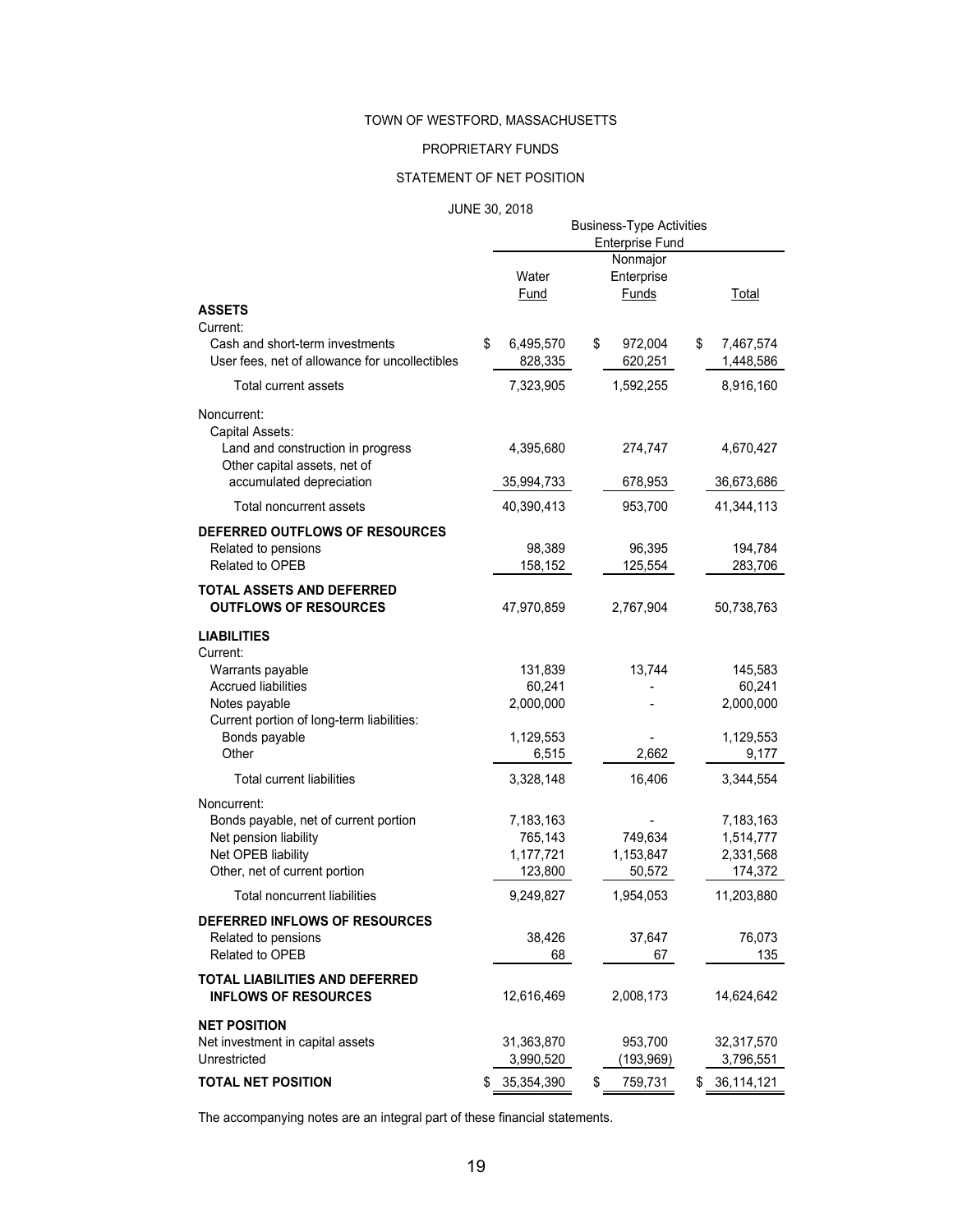#### PROPRIETARY FUNDS

#### STATEMENT OF NET POSITION

#### JUNE 30, 2018

|                                                | <b>JUNE 30, 2018</b> |                                 |                  |
|------------------------------------------------|----------------------|---------------------------------|------------------|
|                                                |                      | <b>Business-Type Activities</b> |                  |
|                                                |                      | <b>Enterprise Fund</b>          |                  |
|                                                |                      | Nonmajor                        |                  |
|                                                | Water                | Enterprise                      |                  |
|                                                | Fund                 |                                 |                  |
|                                                |                      | <b>Funds</b>                    | Total            |
| <b>ASSETS</b>                                  |                      |                                 |                  |
| Current:                                       |                      |                                 |                  |
| Cash and short-term investments                | \$<br>6,495,570      | \$<br>972,004                   | \$<br>7,467,574  |
| User fees, net of allowance for uncollectibles | 828,335              | 620,251                         | 1,448,586        |
| Total current assets                           | 7,323,905            | 1,592,255                       | 8,916,160        |
|                                                |                      |                                 |                  |
| Noncurrent:                                    |                      |                                 |                  |
| Capital Assets:                                |                      |                                 |                  |
| Land and construction in progress              | 4,395,680            | 274,747                         | 4,670,427        |
| Other capital assets, net of                   |                      |                                 |                  |
| accumulated depreciation                       | 35,994,733           | 678,953                         | 36,673,686       |
|                                                |                      |                                 |                  |
| Total noncurrent assets                        | 40,390,413           | 953,700                         | 41,344,113       |
| DEFERRED OUTFLOWS OF RESOURCES                 |                      |                                 |                  |
|                                                |                      |                                 | 194.784          |
| Related to pensions                            | 98,389               | 96,395                          |                  |
| Related to OPEB                                | 158,152              | 125,554                         | 283,706          |
| TOTAL ASSETS AND DEFERRED                      |                      |                                 |                  |
| <b>OUTFLOWS OF RESOURCES</b>                   | 47,970,859           | 2,767,904                       | 50,738,763       |
|                                                |                      |                                 |                  |
| <b>LIABILITIES</b>                             |                      |                                 |                  |
| Current:                                       |                      |                                 |                  |
| Warrants payable                               | 131,839              | 13,744                          | 145,583          |
| <b>Accrued liabilities</b>                     |                      |                                 |                  |
|                                                | 60,241               |                                 | 60,241           |
| Notes payable                                  | 2,000,000            |                                 | 2,000,000        |
| Current portion of long-term liabilities:      |                      |                                 |                  |
| Bonds payable                                  | 1,129,553            |                                 | 1,129,553        |
| Other                                          | 6,515                | 2,662                           | 9,177            |
| <b>Total current liabilities</b>               | 3,328,148            | 16,406                          | 3,344,554        |
| Noncurrent:                                    |                      |                                 |                  |
|                                                |                      |                                 |                  |
| Bonds payable, net of current portion          | 7,183,163            |                                 | 7,183,163        |
| Net pension liability                          | 765,143              | 749,634                         | 1,514,777        |
| Net OPEB liability                             | 1,177,721            | 1,153,847                       | 2,331,568        |
| Other, net of current portion                  | 123,800              | 50,572                          | 174,372          |
| <b>Total noncurrent liabilities</b>            | 9,249,827            | 1,954,053                       | 11,203,880       |
| DEFERRED INFLOWS OF RESOURCES                  |                      |                                 |                  |
|                                                |                      |                                 |                  |
| Related to pensions                            | 38,426               | 37,647                          | 76,073           |
| Related to OPEB                                | 68                   | 67                              | 135              |
| <b>TOTAL LIABILITIES AND DEFERRED</b>          |                      |                                 |                  |
| <b>INFLOWS OF RESOURCES</b>                    | 12,616,469           | 2,008,173                       | 14,624,642       |
|                                                |                      |                                 |                  |
| <b>NET POSITION</b>                            |                      |                                 |                  |
| Net investment in capital assets               | 31,363,870           | 953,700                         | 32,317,570       |
| Unrestricted                                   | 3,990,520            | (193, 969)                      | 3,796,551        |
|                                                |                      |                                 |                  |
| <b>TOTAL NET POSITION</b>                      | \$<br>35,354,390     | \$<br>759,731                   | \$<br>36,114,121 |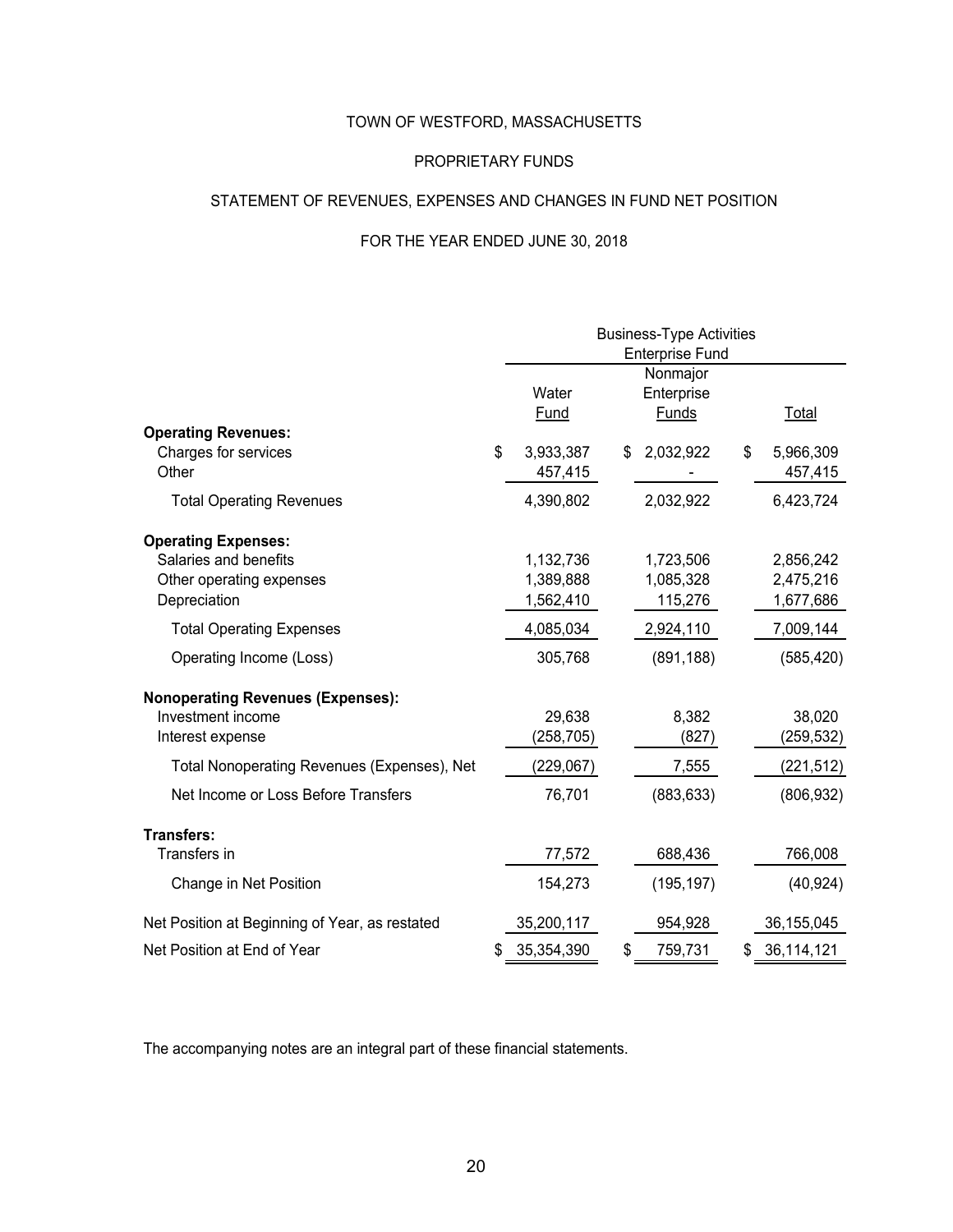#### PROPRIETARY FUNDS

#### STATEMENT OF REVENUES, EXPENSES AND CHANGES IN FUND NET POSITION

#### FOR THE YEAR ENDED JUNE 30, 2018

|                                                | <b>Business-Type Activities</b><br><b>Enterprise Fund</b> |    |                                 |    |            |  |  |
|------------------------------------------------|-----------------------------------------------------------|----|---------------------------------|----|------------|--|--|
|                                                | Water<br><b>Fund</b>                                      |    | Nonmajor<br>Enterprise<br>Funds |    | Total      |  |  |
| <b>Operating Revenues:</b>                     | \$<br>3,933,387                                           |    | \$2,032,922                     | \$ | 5,966,309  |  |  |
| Charges for services<br>Other                  | 457,415                                                   |    |                                 |    | 457,415    |  |  |
| <b>Total Operating Revenues</b>                | 4,390,802                                                 |    | 2,032,922                       |    | 6,423,724  |  |  |
| <b>Operating Expenses:</b>                     |                                                           |    |                                 |    |            |  |  |
| Salaries and benefits                          | 1,132,736                                                 |    | 1,723,506                       |    | 2,856,242  |  |  |
| Other operating expenses                       | 1,389,888                                                 |    | 1,085,328                       |    | 2,475,216  |  |  |
| Depreciation                                   | 1,562,410                                                 |    | 115,276                         |    | 1,677,686  |  |  |
| <b>Total Operating Expenses</b>                | 4,085,034                                                 |    | 2,924,110                       |    | 7,009,144  |  |  |
| Operating Income (Loss)                        | 305,768                                                   |    | (891, 188)                      |    | (585, 420) |  |  |
| <b>Nonoperating Revenues (Expenses):</b>       |                                                           |    |                                 |    |            |  |  |
| Investment income                              | 29,638                                                    |    | 8,382                           |    | 38,020     |  |  |
| Interest expense                               | (258,705)                                                 |    | (827)                           |    | (259,532)  |  |  |
| Total Nonoperating Revenues (Expenses), Net    | (229,067)                                                 |    | 7,555                           |    | (221,512)  |  |  |
| Net Income or Loss Before Transfers            | 76,701                                                    |    | (883, 633)                      |    | (806, 932) |  |  |
| <b>Transfers:</b>                              |                                                           |    |                                 |    |            |  |  |
| Transfers in                                   | 77,572                                                    |    | 688,436                         |    | 766,008    |  |  |
| Change in Net Position                         | 154,273                                                   |    | (195, 197)                      |    | (40, 924)  |  |  |
| Net Position at Beginning of Year, as restated | 35,200,117                                                |    | 954,928                         |    | 36,155,045 |  |  |
| Net Position at End of Year                    | \$<br>35,354,390                                          | \$ | 759,731                         | \$ | 36,114,121 |  |  |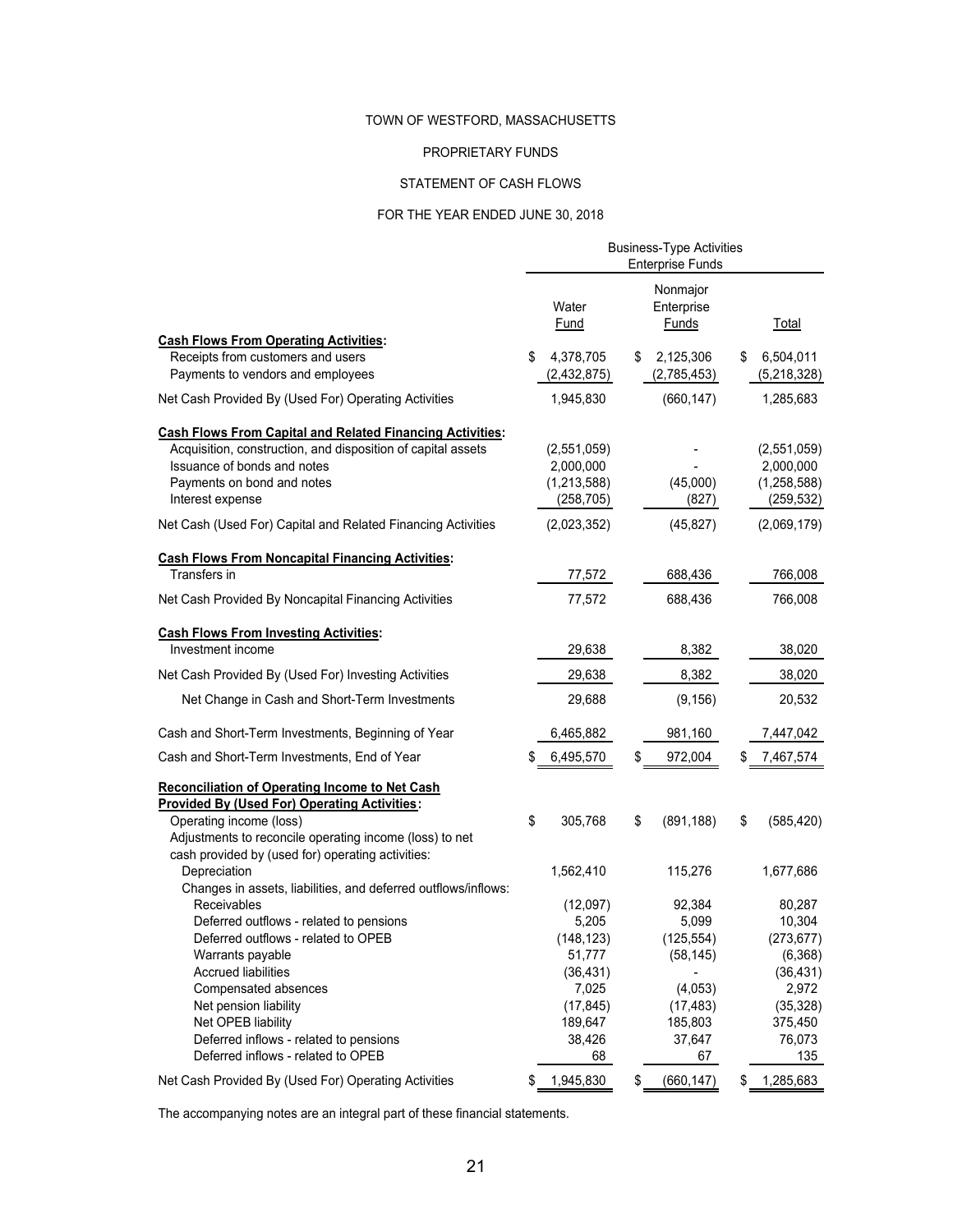#### PROPRIETARY FUNDS

#### STATEMENT OF CASH FLOWS

#### FOR THE YEAR ENDED JUNE 30, 2018

|                                                                                                                                                                                                                                                                                                        | <b>Business-Type Activities</b><br><b>Enterprise Funds</b> |                                                                                                         |    |                                                                                         |    |                                                                                                           |  |
|--------------------------------------------------------------------------------------------------------------------------------------------------------------------------------------------------------------------------------------------------------------------------------------------------------|------------------------------------------------------------|---------------------------------------------------------------------------------------------------------|----|-----------------------------------------------------------------------------------------|----|-----------------------------------------------------------------------------------------------------------|--|
|                                                                                                                                                                                                                                                                                                        |                                                            | Water<br>Fund                                                                                           |    | Nonmajor<br>Enterprise<br>Funds                                                         |    | Total                                                                                                     |  |
| <b>Cash Flows From Operating Activities:</b>                                                                                                                                                                                                                                                           |                                                            |                                                                                                         |    |                                                                                         |    |                                                                                                           |  |
| Receipts from customers and users<br>Payments to vendors and employees                                                                                                                                                                                                                                 | \$                                                         | 4,378,705<br>(2,432,875)                                                                                | \$ | 2,125,306<br>(2,785,453)                                                                | \$ | 6,504,011<br>(5,218,328)                                                                                  |  |
| Net Cash Provided By (Used For) Operating Activities                                                                                                                                                                                                                                                   |                                                            | 1,945,830                                                                                               |    | (660, 147)                                                                              |    | 1,285,683                                                                                                 |  |
| <b>Cash Flows From Capital and Related Financing Activities:</b><br>Acquisition, construction, and disposition of capital assets<br>Issuance of bonds and notes<br>Payments on bond and notes<br>Interest expense                                                                                      |                                                            | (2,551,059)<br>2,000,000<br>(1, 213, 588)<br>(258, 705)                                                 |    | (45,000)<br>(827)                                                                       |    | (2,551,059)<br>2,000,000<br>(1,258,588)<br>(259, 532)                                                     |  |
| Net Cash (Used For) Capital and Related Financing Activities                                                                                                                                                                                                                                           |                                                            | (2,023,352)                                                                                             |    | (45, 827)                                                                               |    | (2,069,179)                                                                                               |  |
| <b>Cash Flows From Noncapital Financing Activities:</b><br>Transfers in                                                                                                                                                                                                                                |                                                            | 77,572                                                                                                  |    | 688,436                                                                                 |    | 766,008                                                                                                   |  |
| Net Cash Provided By Noncapital Financing Activities                                                                                                                                                                                                                                                   |                                                            | 77,572                                                                                                  |    | 688,436                                                                                 |    | 766,008                                                                                                   |  |
| <b>Cash Flows From Investing Activities:</b><br>Investment income                                                                                                                                                                                                                                      |                                                            | 29,638                                                                                                  |    | 8,382                                                                                   |    | 38,020                                                                                                    |  |
| Net Cash Provided By (Used For) Investing Activities                                                                                                                                                                                                                                                   |                                                            | 29,638                                                                                                  |    | 8,382                                                                                   |    | 38,020                                                                                                    |  |
| Net Change in Cash and Short-Term Investments                                                                                                                                                                                                                                                          |                                                            | 29,688                                                                                                  |    | (9, 156)                                                                                |    | 20,532                                                                                                    |  |
| Cash and Short-Term Investments, Beginning of Year                                                                                                                                                                                                                                                     |                                                            | 6,465,882                                                                                               |    | 981,160                                                                                 |    | 7,447,042                                                                                                 |  |
| Cash and Short-Term Investments, End of Year                                                                                                                                                                                                                                                           |                                                            | 6,495,570                                                                                               | S. | 972,004                                                                                 |    | 7,467,574                                                                                                 |  |
| <b>Reconciliation of Operating Income to Net Cash</b><br><b>Provided By (Used For) Operating Activities:</b><br>Operating income (loss)<br>Adjustments to reconcile operating income (loss) to net                                                                                                     | \$                                                         | 305,768                                                                                                 | \$ | (891, 188)                                                                              | \$ | (585, 420)                                                                                                |  |
| cash provided by (used for) operating activities:<br>Depreciation<br>Changes in assets, liabilities, and deferred outflows/inflows:                                                                                                                                                                    |                                                            | 1,562,410                                                                                               |    | 115,276                                                                                 |    | 1,677,686                                                                                                 |  |
| Receivables<br>Deferred outflows - related to pensions<br>Deferred outflows - related to OPEB<br>Warrants payable<br><b>Accrued liabilities</b><br>Compensated absences<br>Net pension liability<br>Net OPEB liability<br>Deferred inflows - related to pensions<br>Deferred inflows - related to OPEB |                                                            | (12,097)<br>5,205<br>(148, 123)<br>51,777<br>(36, 431)<br>7,025<br>(17, 845)<br>189,647<br>38,426<br>68 |    | 92,384<br>5,099<br>(125, 554)<br>(58, 145)<br>(4,053)<br>(17, 483)<br>185,803<br>37,647 |    | 80,287<br>10,304<br>(273, 677)<br>(6, 368)<br>(36, 431)<br>2,972<br>(35, 328)<br>375,450<br>76,073<br>135 |  |
| Net Cash Provided By (Used For) Operating Activities                                                                                                                                                                                                                                                   | S.                                                         | 1,945,830                                                                                               | \$ | 67<br>(660, 147)                                                                        | \$ | 1,285,683                                                                                                 |  |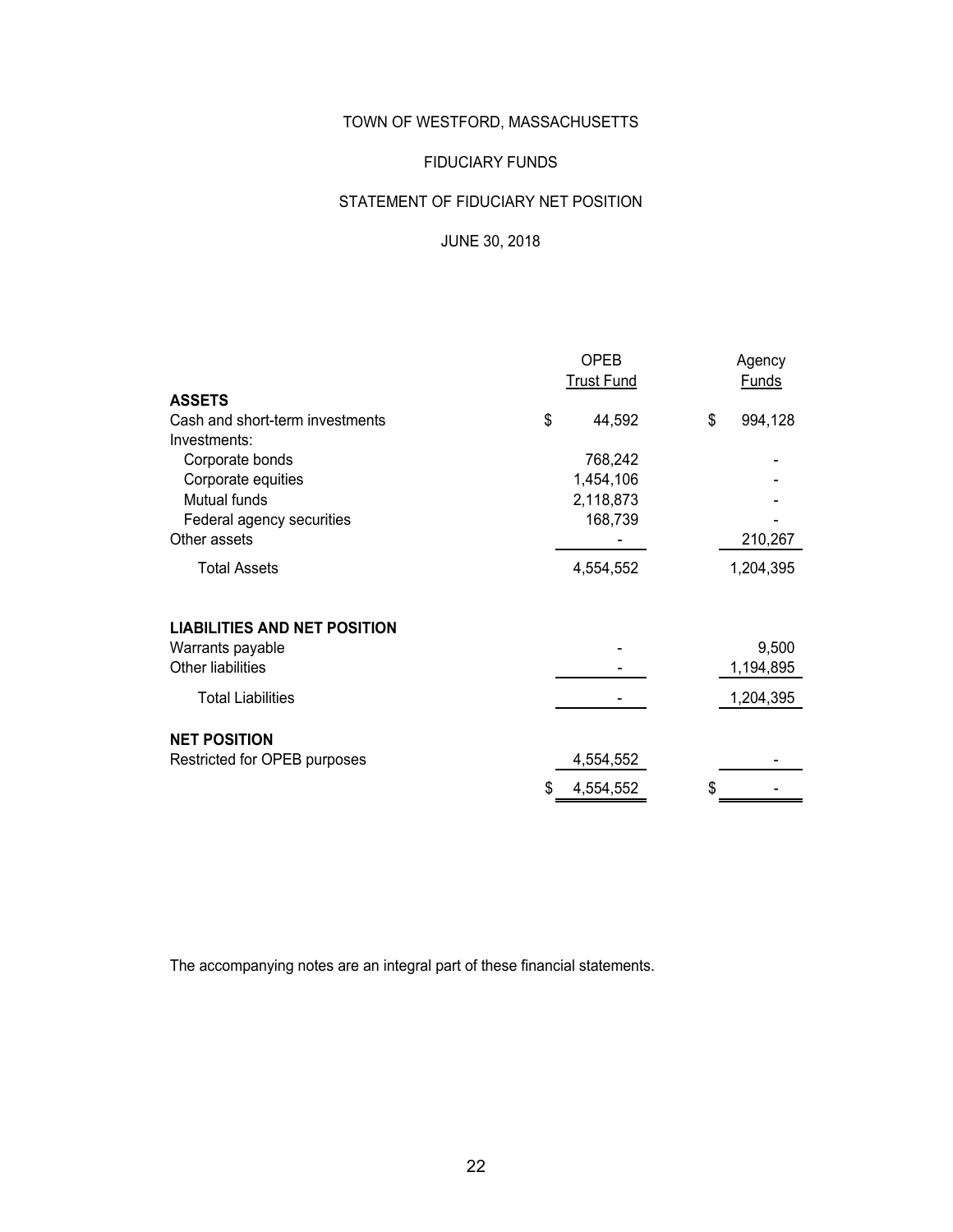#### FIDUCIARY FUNDS

## STATEMENT OF FIDUCIARY NET POSITION

#### JUNE 30, 2018

|                                                 | <b>OPEB</b><br><b>Trust Fund</b> |         | Agency<br>Funds    |
|-------------------------------------------------|----------------------------------|---------|--------------------|
| <b>ASSETS</b>                                   |                                  |         |                    |
| Cash and short-term investments<br>Investments: | \$                               | 44,592  | \$<br>994,128      |
| Corporate bonds                                 |                                  | 768,242 |                    |
| Corporate equities<br>Mutual funds              | 1,454,106<br>2,118,873           |         |                    |
| Federal agency securities<br>Other assets       |                                  | 168,739 | 210,267            |
| <b>Total Assets</b>                             | 4,554,552                        |         | 1,204,395          |
| <b>LIABILITIES AND NET POSITION</b>             |                                  |         |                    |
| Warrants payable<br><b>Other liabilities</b>    |                                  |         | 9,500<br>1,194,895 |
| <b>Total Liabilities</b>                        |                                  |         | 1,204,395          |
| <b>NET POSITION</b>                             |                                  |         |                    |
| Restricted for OPEB purposes                    | 4,554,552                        |         |                    |
|                                                 | 4,554,552<br>\$                  |         | \$                 |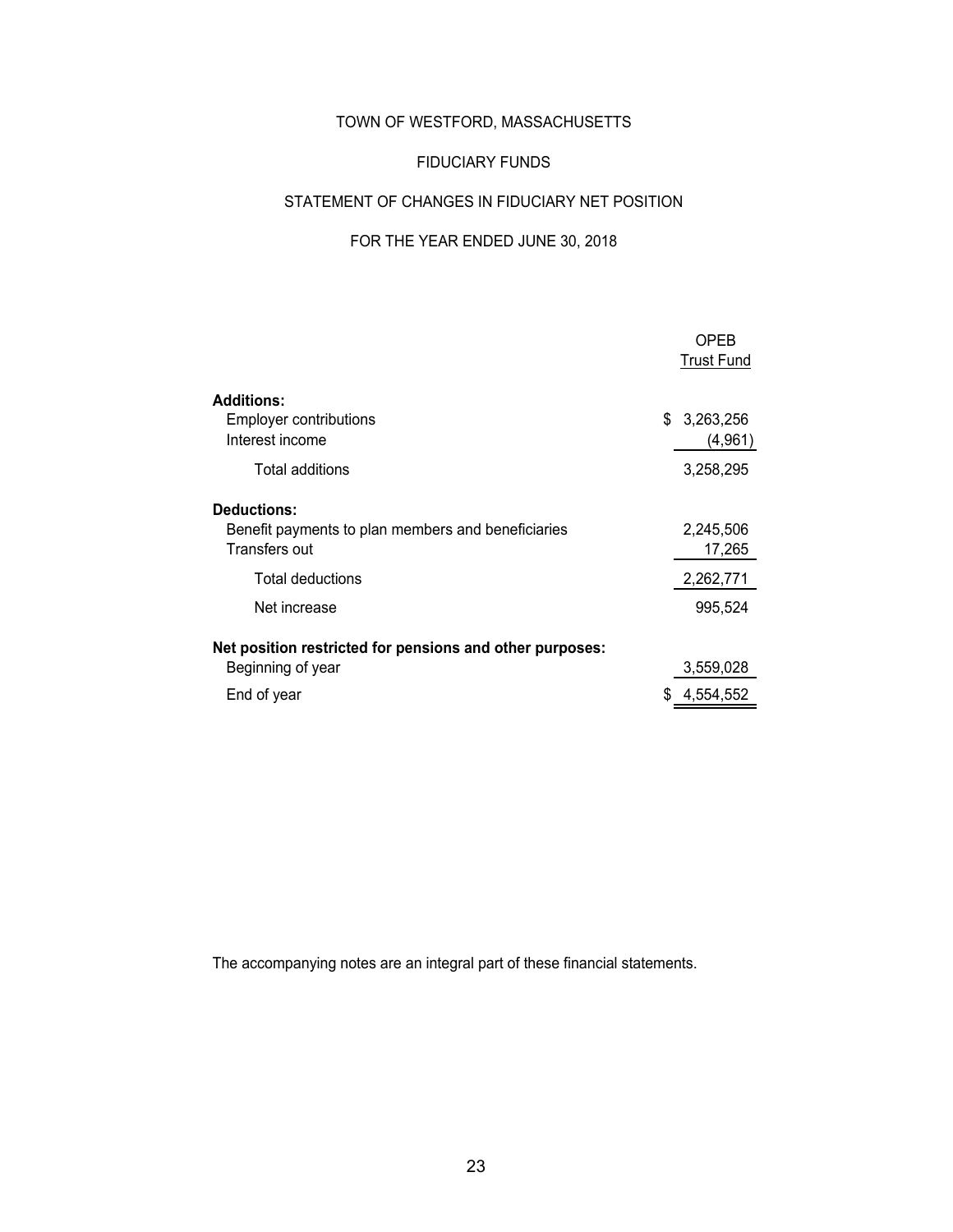#### FIDUCIARY FUNDS

#### STATEMENT OF CHANGES IN FIDUCIARY NET POSITION

#### FOR THE YEAR ENDED JUNE 30, 2018

|                                                                                           | OPEB<br><b>Trust Fund</b>  |
|-------------------------------------------------------------------------------------------|----------------------------|
| <b>Additions:</b><br><b>Employer contributions</b><br>Interest income                     | \$<br>3,263,256<br>(4,961) |
| Total additions                                                                           | 3,258,295                  |
| <b>Deductions:</b><br>Benefit payments to plan members and beneficiaries<br>Transfers out | 2,245,506<br>17,265        |
| Total deductions                                                                          | 2,262,771                  |
| Net increase                                                                              | 995,524                    |
| Net position restricted for pensions and other purposes:<br>Beginning of year             | 3,559,028                  |
| End of year                                                                               | \$<br>4.554.552            |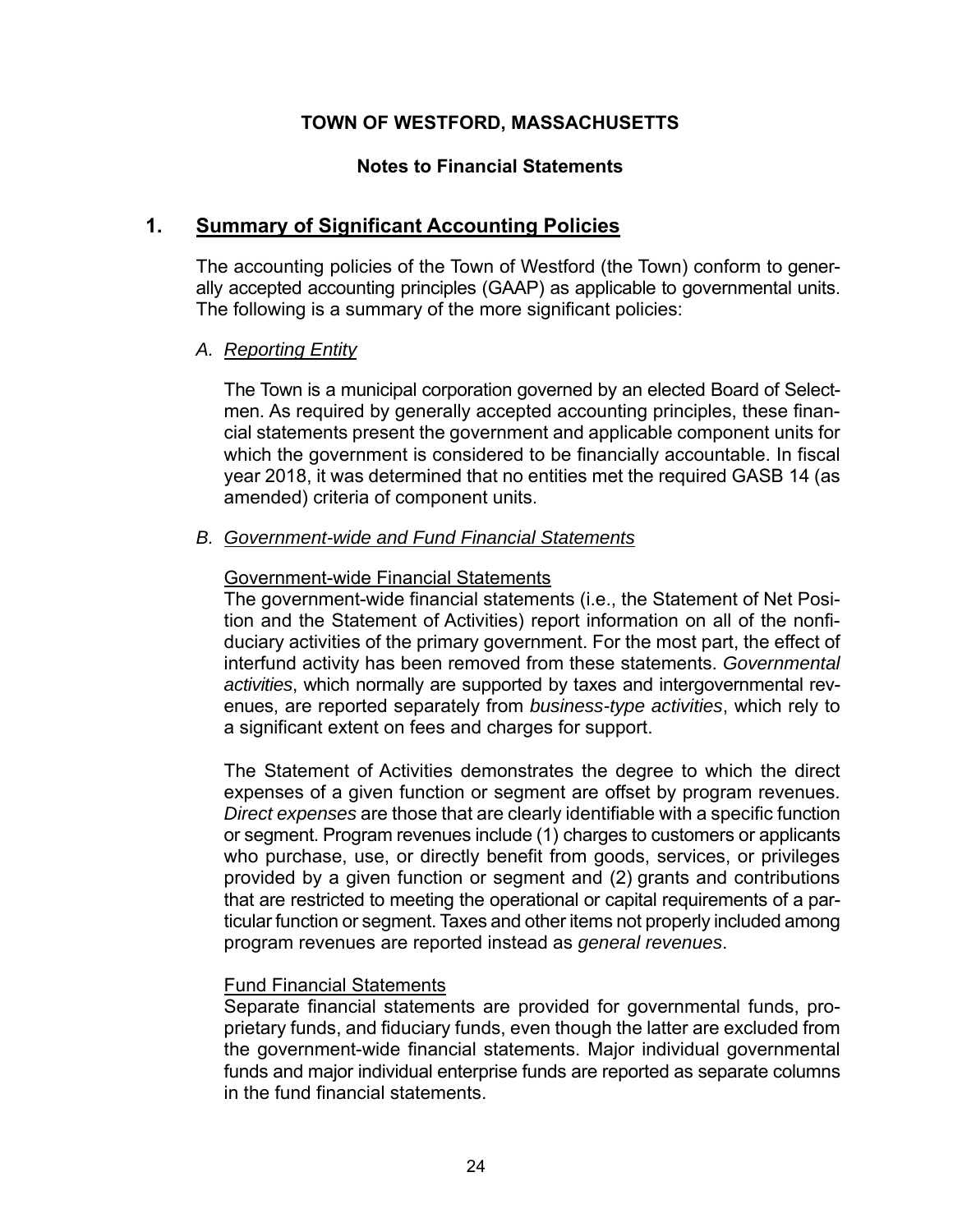## **Notes to Financial Statements**

# **1. Summary of Significant Accounting Policies**

The accounting policies of the Town of Westford (the Town) conform to generally accepted accounting principles (GAAP) as applicable to governmental units. The following is a summary of the more significant policies:

### *A. Reporting Entity*

The Town is a municipal corporation governed by an elected Board of Selectmen. As required by generally accepted accounting principles, these financial statements present the government and applicable component units for which the government is considered to be financially accountable. In fiscal year 2018, it was determined that no entities met the required GASB 14 (as amended) criteria of component units.

### *B. Government-wide and Fund Financial Statements*

#### Government-wide Financial Statements

The government-wide financial statements (i.e., the Statement of Net Position and the Statement of Activities) report information on all of the nonfiduciary activities of the primary government. For the most part, the effect of interfund activity has been removed from these statements. *Governmental activities*, which normally are supported by taxes and intergovernmental revenues, are reported separately from *business-type activities*, which rely to a significant extent on fees and charges for support.

The Statement of Activities demonstrates the degree to which the direct expenses of a given function or segment are offset by program revenues. *Direct expenses* are those that are clearly identifiable with a specific function or segment. Program revenues include (1) charges to customers or applicants who purchase, use, or directly benefit from goods, services, or privileges provided by a given function or segment and (2) grants and contributions that are restricted to meeting the operational or capital requirements of a particular function or segment. Taxes and other items not properly included among program revenues are reported instead as *general revenues*.

### Fund Financial Statements

Separate financial statements are provided for governmental funds, proprietary funds, and fiduciary funds, even though the latter are excluded from the government-wide financial statements. Major individual governmental funds and major individual enterprise funds are reported as separate columns in the fund financial statements.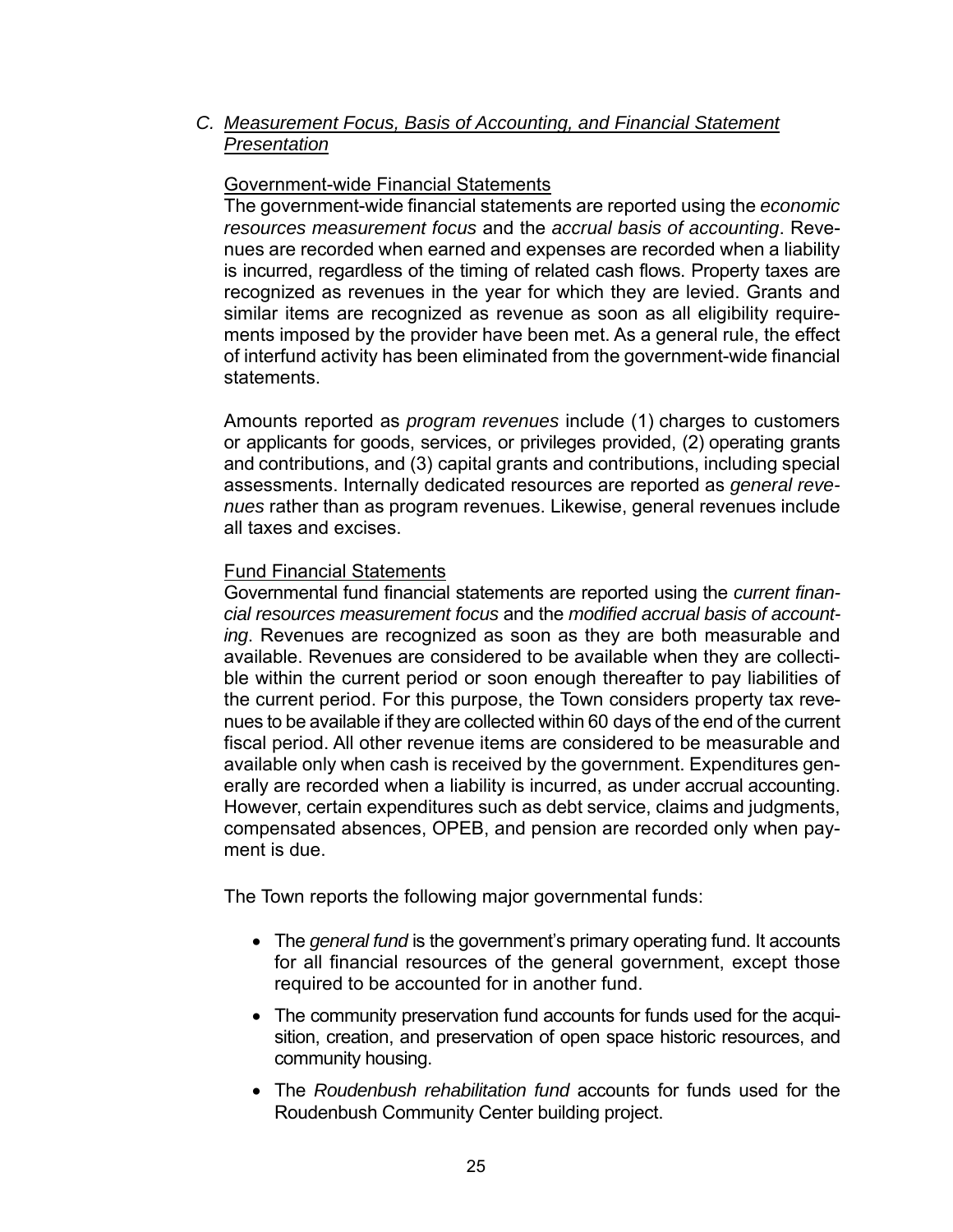## *C. Measurement Focus, Basis of Accounting, and Financial Statement Presentation*

## Government-wide Financial Statements

The government-wide financial statements are reported using the *economic resources measurement focus* and the *accrual basis of accounting*. Revenues are recorded when earned and expenses are recorded when a liability is incurred, regardless of the timing of related cash flows. Property taxes are recognized as revenues in the year for which they are levied. Grants and similar items are recognized as revenue as soon as all eligibility requirements imposed by the provider have been met. As a general rule, the effect of interfund activity has been eliminated from the government-wide financial statements.

Amounts reported as *program revenues* include (1) charges to customers or applicants for goods, services, or privileges provided, (2) operating grants and contributions, and (3) capital grants and contributions, including special assessments. Internally dedicated resources are reported as *general revenues* rather than as program revenues. Likewise, general revenues include all taxes and excises.

## Fund Financial Statements

Governmental fund financial statements are reported using the *current financial resources measurement focus* and the *modified accrual basis of accounting*. Revenues are recognized as soon as they are both measurable and available. Revenues are considered to be available when they are collectible within the current period or soon enough thereafter to pay liabilities of the current period. For this purpose, the Town considers property tax revenues to be available if they are collected within 60 days of the end of the current fiscal period. All other revenue items are considered to be measurable and available only when cash is received by the government. Expenditures generally are recorded when a liability is incurred, as under accrual accounting. However, certain expenditures such as debt service, claims and judgments, compensated absences, OPEB, and pension are recorded only when payment is due.

The Town reports the following major governmental funds:

- The *general fund* is the government's primary operating fund. It accounts for all financial resources of the general government, except those required to be accounted for in another fund.
- The community preservation fund accounts for funds used for the acquisition, creation, and preservation of open space historic resources, and community housing.
- The *Roudenbush rehabilitation fund* accounts for funds used for the Roudenbush Community Center building project.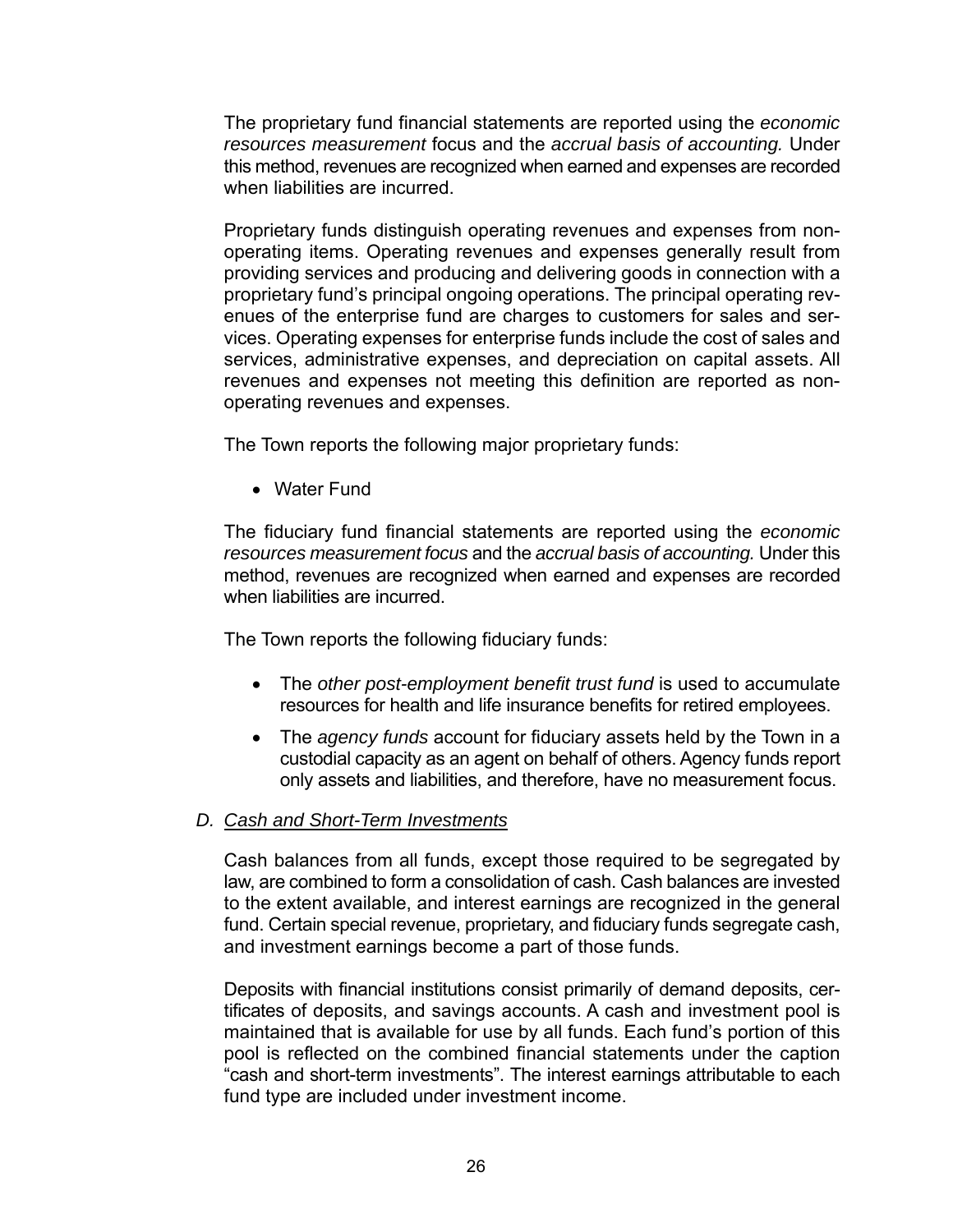The proprietary fund financial statements are reported using the *economic resources measurement* focus and the *accrual basis of accounting.* Under this method, revenues are recognized when earned and expenses are recorded when liabilities are incurred.

Proprietary funds distinguish operating revenues and expenses from nonoperating items. Operating revenues and expenses generally result from providing services and producing and delivering goods in connection with a proprietary fund's principal ongoing operations. The principal operating revenues of the enterprise fund are charges to customers for sales and services. Operating expenses for enterprise funds include the cost of sales and services, administrative expenses, and depreciation on capital assets. All revenues and expenses not meeting this definition are reported as nonoperating revenues and expenses.

The Town reports the following major proprietary funds:

Water Fund

The fiduciary fund financial statements are reported using the *economic resources measurement focus* and the *accrual basis of accounting.* Under this method, revenues are recognized when earned and expenses are recorded when liabilities are incurred.

The Town reports the following fiduciary funds:

- The *other post-employment benefit trust fund* is used to accumulate resources for health and life insurance benefits for retired employees.
- The *agency funds* account for fiduciary assets held by the Town in a custodial capacity as an agent on behalf of others. Agency funds report only assets and liabilities, and therefore, have no measurement focus.

# *D. Cash and Short-Term Investments*

Cash balances from all funds, except those required to be segregated by law, are combined to form a consolidation of cash. Cash balances are invested to the extent available, and interest earnings are recognized in the general fund. Certain special revenue, proprietary, and fiduciary funds segregate cash, and investment earnings become a part of those funds.

Deposits with financial institutions consist primarily of demand deposits, certificates of deposits, and savings accounts. A cash and investment pool is maintained that is available for use by all funds. Each fund's portion of this pool is reflected on the combined financial statements under the caption "cash and short-term investments". The interest earnings attributable to each fund type are included under investment income.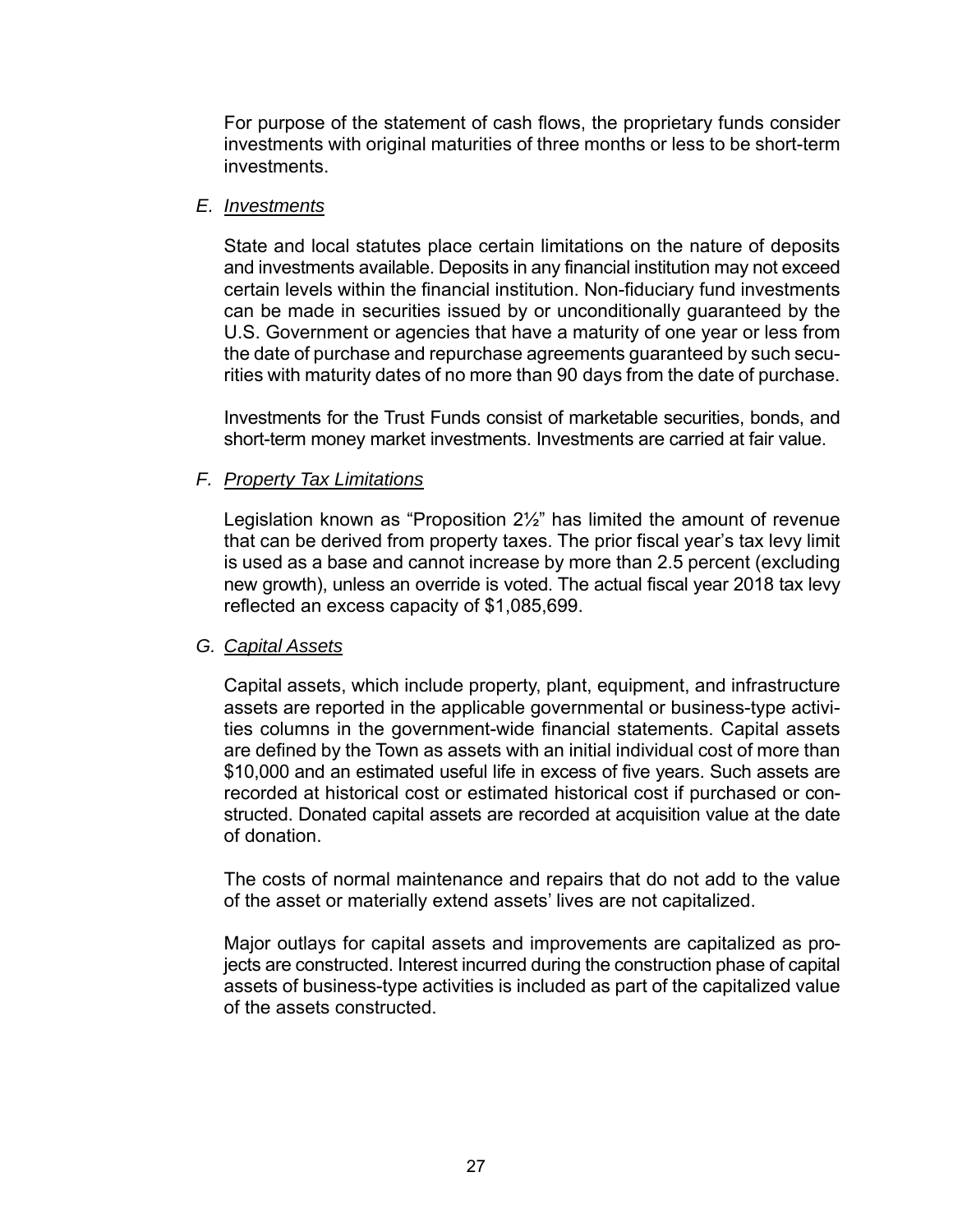For purpose of the statement of cash flows, the proprietary funds consider investments with original maturities of three months or less to be short-term investments.

#### *E. Investments*

State and local statutes place certain limitations on the nature of deposits and investments available. Deposits in any financial institution may not exceed certain levels within the financial institution. Non-fiduciary fund investments can be made in securities issued by or unconditionally guaranteed by the U.S. Government or agencies that have a maturity of one year or less from the date of purchase and repurchase agreements guaranteed by such securities with maturity dates of no more than 90 days from the date of purchase.

Investments for the Trust Funds consist of marketable securities, bonds, and short-term money market investments. Investments are carried at fair value.

## *F. Property Tax Limitations*

Legislation known as "Proposition 2½" has limited the amount of revenue that can be derived from property taxes. The prior fiscal year's tax levy limit is used as a base and cannot increase by more than 2.5 percent (excluding new growth), unless an override is voted. The actual fiscal year 2018 tax levy reflected an excess capacity of \$1,085,699.

### *G. Capital Assets*

Capital assets, which include property, plant, equipment, and infrastructure assets are reported in the applicable governmental or business-type activities columns in the government-wide financial statements. Capital assets are defined by the Town as assets with an initial individual cost of more than \$10,000 and an estimated useful life in excess of five years. Such assets are recorded at historical cost or estimated historical cost if purchased or constructed. Donated capital assets are recorded at acquisition value at the date of donation.

The costs of normal maintenance and repairs that do not add to the value of the asset or materially extend assets' lives are not capitalized.

Major outlays for capital assets and improvements are capitalized as projects are constructed. Interest incurred during the construction phase of capital assets of business-type activities is included as part of the capitalized value of the assets constructed.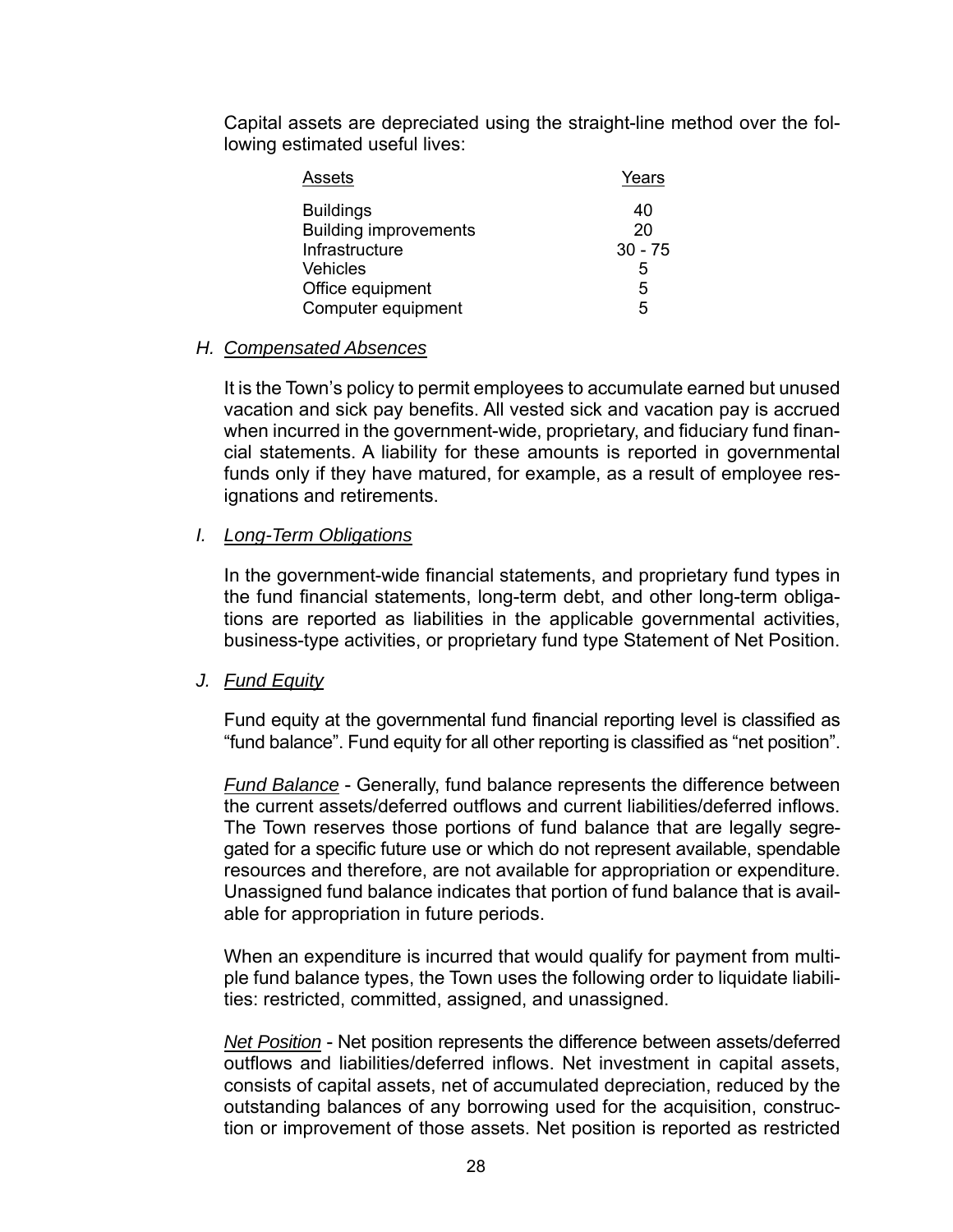Capital assets are depreciated using the straight-line method over the following estimated useful lives:

| Assets                       | Years     |
|------------------------------|-----------|
| <b>Buildings</b>             | 40        |
| <b>Building improvements</b> | 20        |
| Infrastructure               | $30 - 75$ |
| Vehicles                     | 5         |
| Office equipment             | 5         |
| Computer equipment           | 5         |

#### *H. Compensated Absences*

It is the Town's policy to permit employees to accumulate earned but unused vacation and sick pay benefits. All vested sick and vacation pay is accrued when incurred in the government-wide, proprietary, and fiduciary fund financial statements. A liability for these amounts is reported in governmental funds only if they have matured, for example, as a result of employee resignations and retirements.

### *I. Long-Term Obligations*

In the government-wide financial statements, and proprietary fund types in the fund financial statements, long-term debt, and other long-term obligations are reported as liabilities in the applicable governmental activities, business-type activities, or proprietary fund type Statement of Net Position.

### *J. Fund Equity*

Fund equity at the governmental fund financial reporting level is classified as "fund balance". Fund equity for all other reporting is classified as "net position".

*Fund Balance* - Generally, fund balance represents the difference between the current assets/deferred outflows and current liabilities/deferred inflows. The Town reserves those portions of fund balance that are legally segregated for a specific future use or which do not represent available, spendable resources and therefore, are not available for appropriation or expenditure. Unassigned fund balance indicates that portion of fund balance that is available for appropriation in future periods.

When an expenditure is incurred that would qualify for payment from multiple fund balance types, the Town uses the following order to liquidate liabilities: restricted, committed, assigned, and unassigned.

*Net Position* - Net position represents the difference between assets/deferred outflows and liabilities/deferred inflows. Net investment in capital assets, consists of capital assets, net of accumulated depreciation, reduced by the outstanding balances of any borrowing used for the acquisition, construction or improvement of those assets. Net position is reported as restricted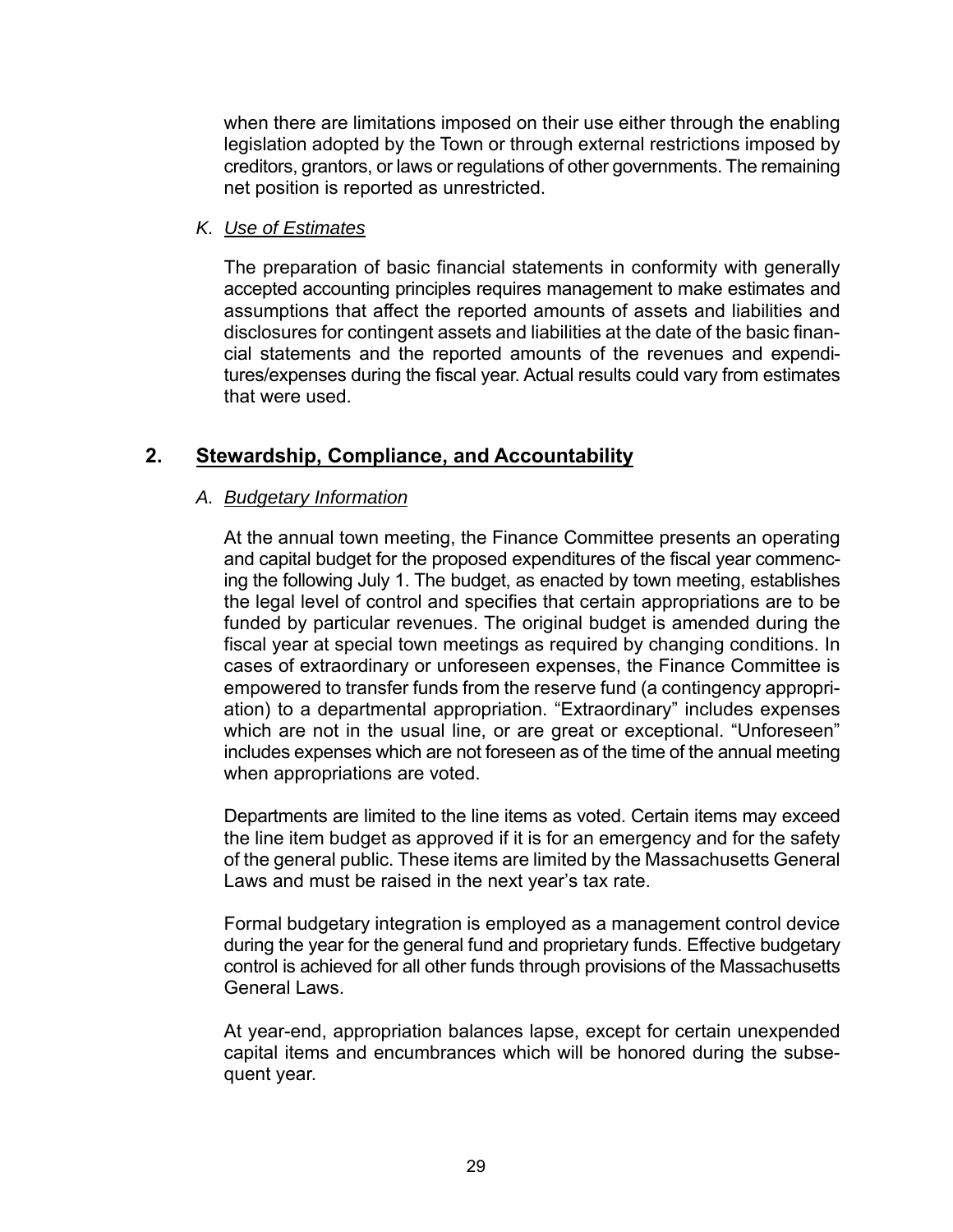when there are limitations imposed on their use either through the enabling legislation adopted by the Town or through external restrictions imposed by creditors, grantors, or laws or regulations of other governments. The remaining net position is reported as unrestricted.

#### *K. Use of Estimates*

The preparation of basic financial statements in conformity with generally accepted accounting principles requires management to make estimates and assumptions that affect the reported amounts of assets and liabilities and disclosures for contingent assets and liabilities at the date of the basic financial statements and the reported amounts of the revenues and expenditures/expenses during the fiscal year. Actual results could vary from estimates that were used.

# **2. Stewardship, Compliance, and Accountability**

### *A. Budgetary Information*

At the annual town meeting, the Finance Committee presents an operating and capital budget for the proposed expenditures of the fiscal year commencing the following July 1. The budget, as enacted by town meeting, establishes the legal level of control and specifies that certain appropriations are to be funded by particular revenues. The original budget is amended during the fiscal year at special town meetings as required by changing conditions. In cases of extraordinary or unforeseen expenses, the Finance Committee is empowered to transfer funds from the reserve fund (a contingency appropriation) to a departmental appropriation. "Extraordinary" includes expenses which are not in the usual line, or are great or exceptional. "Unforeseen" includes expenses which are not foreseen as of the time of the annual meeting when appropriations are voted.

Departments are limited to the line items as voted. Certain items may exceed the line item budget as approved if it is for an emergency and for the safety of the general public. These items are limited by the Massachusetts General Laws and must be raised in the next year's tax rate.

Formal budgetary integration is employed as a management control device during the year for the general fund and proprietary funds. Effective budgetary control is achieved for all other funds through provisions of the Massachusetts General Laws.

At year-end, appropriation balances lapse, except for certain unexpended capital items and encumbrances which will be honored during the subsequent year.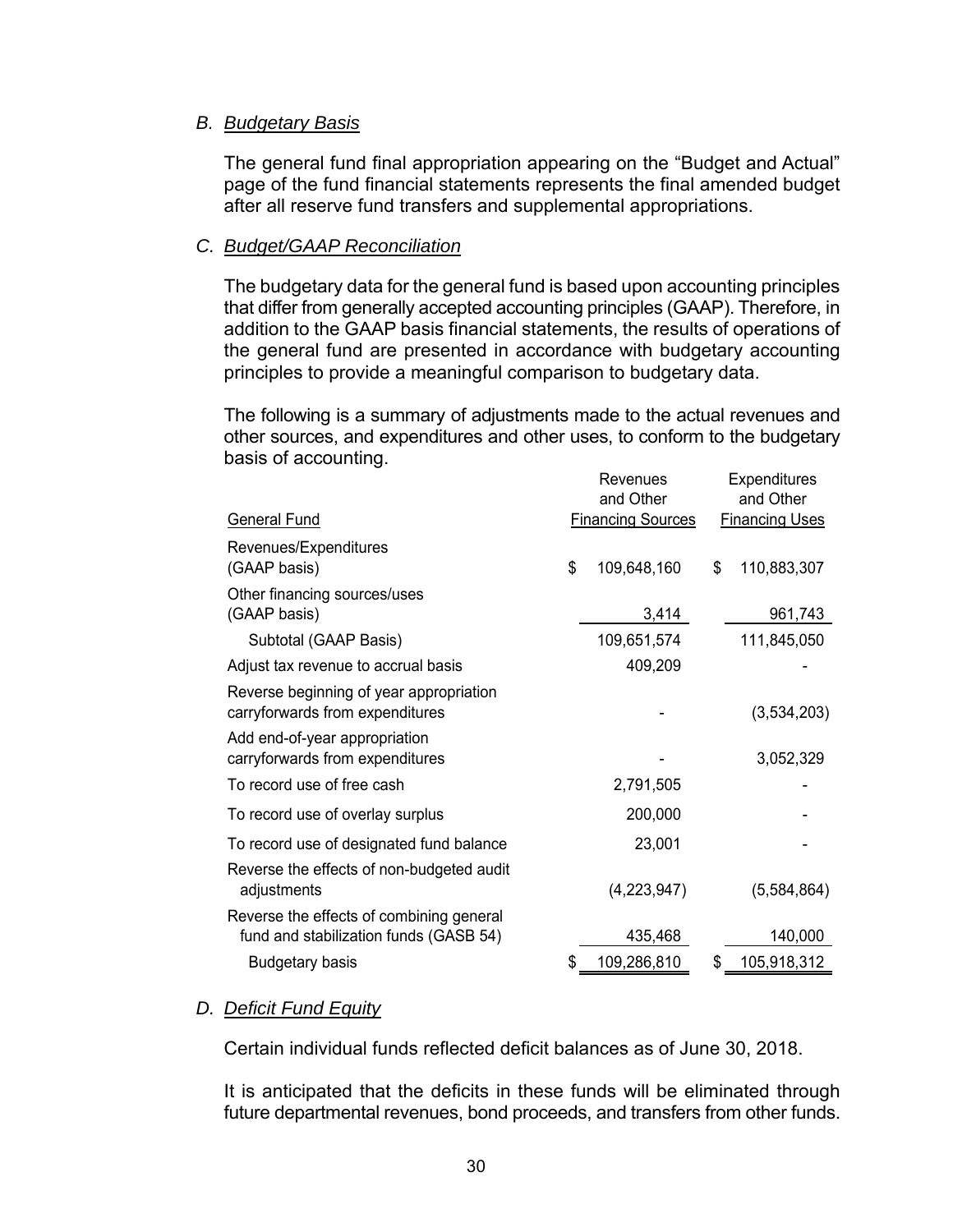### *B. Budgetary Basis*

The general fund final appropriation appearing on the "Budget and Actual" page of the fund financial statements represents the final amended budget after all reserve fund transfers and supplemental appropriations.

## *C. Budget/GAAP Reconciliation*

The budgetary data for the general fund is based upon accounting principles that differ from generally accepted accounting principles (GAAP). Therefore, in addition to the GAAP basis financial statements, the results of operations of the general fund are presented in accordance with budgetary accounting principles to provide a meaningful comparison to budgetary data.

The following is a summary of adjustments made to the actual revenues and other sources, and expenditures and other uses, to conform to the budgetary basis of accounting.

|                                                                                    | Revenues<br>and Other    |    | <b>Expenditures</b><br>and Other |  |  |
|------------------------------------------------------------------------------------|--------------------------|----|----------------------------------|--|--|
| <b>General Fund</b>                                                                | <b>Financing Sources</b> |    | <b>Financing Uses</b>            |  |  |
| Revenues/Expenditures<br>(GAAP basis)                                              | \$<br>109,648,160        | \$ | 110,883,307                      |  |  |
| Other financing sources/uses<br>(GAAP basis)                                       | 3,414                    |    | 961,743                          |  |  |
| Subtotal (GAAP Basis)                                                              | 109,651,574              |    | 111,845,050                      |  |  |
| Adjust tax revenue to accrual basis                                                | 409,209                  |    |                                  |  |  |
| Reverse beginning of year appropriation<br>carryforwards from expenditures         |                          |    | (3,534,203)                      |  |  |
| Add end-of-year appropriation<br>carryforwards from expenditures                   |                          |    | 3,052,329                        |  |  |
| To record use of free cash                                                         | 2,791,505                |    |                                  |  |  |
| To record use of overlay surplus                                                   | 200,000                  |    |                                  |  |  |
| To record use of designated fund balance                                           | 23,001                   |    |                                  |  |  |
| Reverse the effects of non-budgeted audit<br>adjustments                           | (4, 223, 947)            |    | (5,584,864)                      |  |  |
| Reverse the effects of combining general<br>fund and stabilization funds (GASB 54) | 435,468                  |    | 140,000                          |  |  |
| <b>Budgetary basis</b>                                                             | \$<br>109,286,810        | \$ | 105,918,312                      |  |  |

# *D. Deficit Fund Equity*

Certain individual funds reflected deficit balances as of June 30, 2018.

It is anticipated that the deficits in these funds will be eliminated through future departmental revenues, bond proceeds, and transfers from other funds.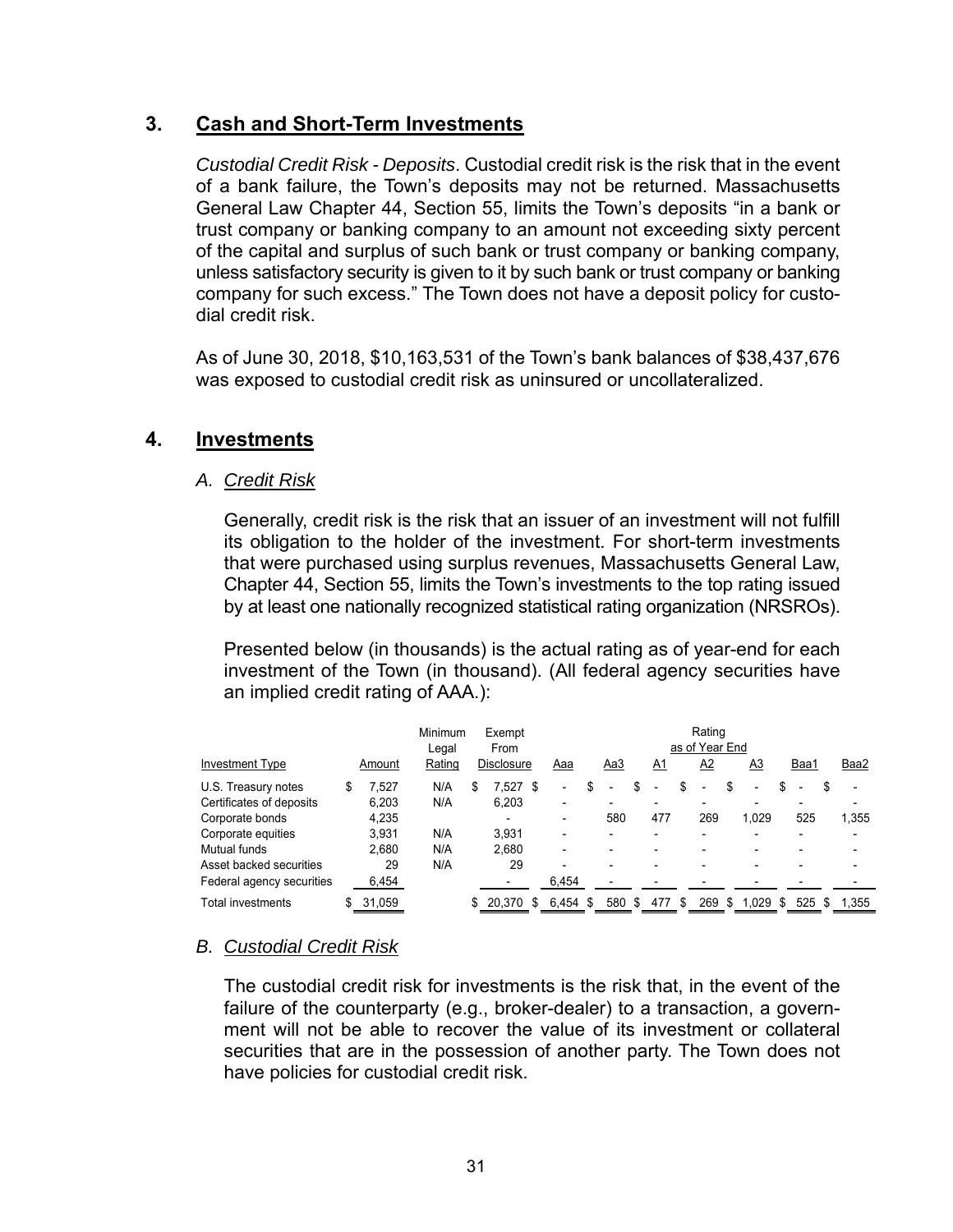# **3. Cash and Short-Term Investments**

*Custodial Credit Risk - Deposits*. Custodial credit risk is the risk that in the event of a bank failure, the Town's deposits may not be returned. Massachusetts General Law Chapter 44, Section 55, limits the Town's deposits "in a bank or trust company or banking company to an amount not exceeding sixty percent of the capital and surplus of such bank or trust company or banking company, unless satisfactory security is given to it by such bank or trust company or banking company for such excess." The Town does not have a deposit policy for custodial credit risk.

As of June 30, 2018, \$10,163,531 of the Town's bank balances of \$38,437,676 was exposed to custodial credit risk as uninsured or uncollateralized.

# **4. Investments**

## *A. Credit Risk*

Generally, credit risk is the risk that an issuer of an investment will not fulfill its obligation to the holder of the investment. For short-term investments that were purchased using surplus revenues, Massachusetts General Law, Chapter 44, Section 55, limits the Town's investments to the top rating issued by at least one nationally recognized statistical rating organization (NRSROs).

Presented below (in thousands) is the actual rating as of year-end for each investment of the Town (in thousand). (All federal agency securities have an implied credit rating of AAA.):

|                           |   |        | Minimum<br>Legal |   | Exempt<br>From |      |                          |           |      |                          |     | Rating<br>as of Year End |                     |      |    |                          |
|---------------------------|---|--------|------------------|---|----------------|------|--------------------------|-----------|------|--------------------------|-----|--------------------------|---------------------|------|----|--------------------------|
| Investment Type           |   | Amount | Rating           |   | Disclosure     |      | Aaa                      | Aa3       |      | A1                       |     | A2                       | A <sub>3</sub>      | Baa1 |    | Baa2                     |
| U.S. Treasury notes       | S | 7.527  | N/A              | S | 7.527          | - \$ | ۰                        |           |      |                          |     |                          |                     |      | S. | $\overline{\phantom{0}}$ |
| Certificates of deposits  |   | 6,203  | N/A              |   | 6,203          |      | -                        |           |      | $\overline{\phantom{0}}$ |     |                          |                     |      |    |                          |
| Corporate bonds           |   | 4,235  |                  |   | -              |      | ۰                        | 580       |      | 477                      |     | 269                      | 1.029               | 525  |    | 1,355                    |
| Corporate equities        |   | 3,931  | N/A              |   | 3.931          |      | $\overline{\phantom{a}}$ |           |      |                          |     |                          |                     |      |    |                          |
| Mutual funds              |   | 2.680  | N/A              |   | 2.680          |      | ۰                        |           |      |                          |     |                          |                     |      |    |                          |
| Asset backed securities   |   | 29     | N/A              |   | 29             |      | -                        |           |      |                          |     |                          |                     |      |    |                          |
| Federal agency securities |   | 6,454  |                  |   |                |      | 6,454                    |           |      |                          |     |                          |                     |      |    |                          |
| <b>Total investments</b>  | S | 31,059 |                  | S | 20,370         | - SS | 6,454                    | \$<br>580 | ` \$ | 477                      | \$. |                          | 269 \$ 1,029 \$ 525 |      | S  | 1,355                    |

### *B. Custodial Credit Risk*

The custodial credit risk for investments is the risk that, in the event of the failure of the counterparty (e.g., broker-dealer) to a transaction, a government will not be able to recover the value of its investment or collateral securities that are in the possession of another party. The Town does not have policies for custodial credit risk.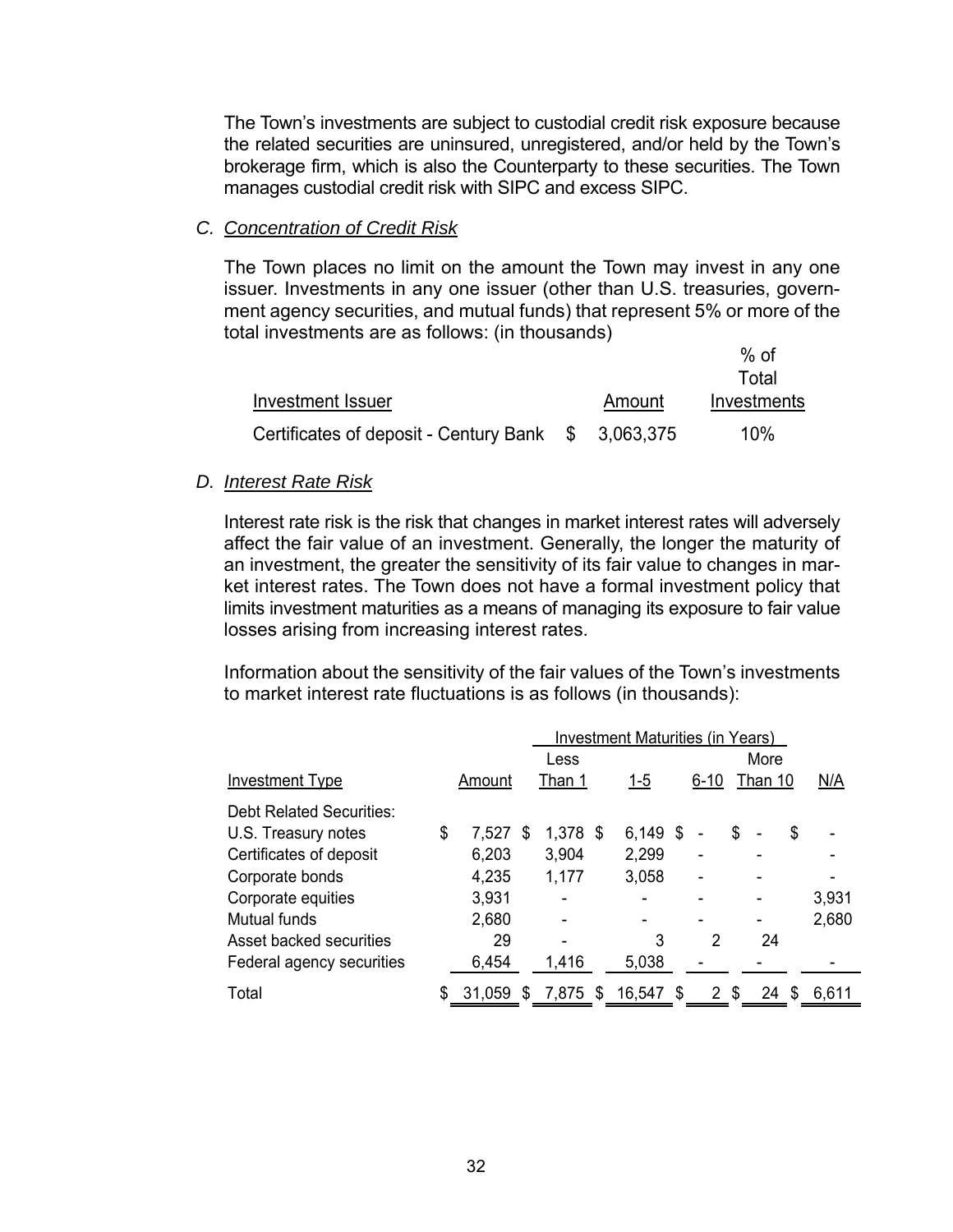The Town's investments are subject to custodial credit risk exposure because the related securities are uninsured, unregistered, and/or held by the Town's brokerage firm, which is also the Counterparty to these securities. The Town manages custodial credit risk with SIPC and excess SIPC.

#### *C. Concentration of Credit Risk*

The Town places no limit on the amount the Town may invest in any one issuer. Investments in any one issuer (other than U.S. treasuries, government agency securities, and mutual funds) that represent 5% or more of the total investments are as follows: (in thousands)

|                                                     |        | $%$ of      |
|-----------------------------------------------------|--------|-------------|
|                                                     |        | Total       |
| Investment Issuer                                   | Amount | Investments |
| Certificates of deposit - Century Bank \$ 3,063,375 |        | 10%         |

#### *D. Interest Rate Risk*

Interest rate risk is the risk that changes in market interest rates will adversely affect the fair value of an investment. Generally, the longer the maturity of an investment, the greater the sensitivity of its fair value to changes in market interest rates. The Town does not have a formal investment policy that limits investment maturities as a means of managing its exposure to fair value losses arising from increasing interest rates.

Information about the sensitivity of the fair values of the Town's investments to market interest rate fluctuations is as follows (in thousands):

|                                 |              |        |     | Investment Maturities (in Years) |  |                    |  |                          |              |                |   |            |  |
|---------------------------------|--------------|--------|-----|----------------------------------|--|--------------------|--|--------------------------|--------------|----------------|---|------------|--|
|                                 | More<br>Less |        |     |                                  |  |                    |  |                          |              |                |   |            |  |
| <b>Investment Type</b>          |              | Amount |     | Than 1                           |  | <u>1-5</u>         |  | $6 - 10$                 |              | Than 10        |   | <u>N/A</u> |  |
| <b>Debt Related Securities:</b> |              |        |     |                                  |  |                    |  |                          |              |                |   |            |  |
| U.S. Treasury notes             | \$           | 7,527  | S   | 1,378 \$                         |  | $6,149$ \$         |  | $\overline{\phantom{a}}$ | S            | $\blacksquare$ | S |            |  |
| Certificates of deposit         |              | 6,203  |     | 3,904                            |  | 2,299              |  |                          |              |                |   |            |  |
| Corporate bonds                 |              | 4,235  |     | 1,177                            |  | 3,058              |  |                          |              |                |   |            |  |
| Corporate equities              |              | 3,931  |     |                                  |  |                    |  |                          |              |                |   | 3,931      |  |
| Mutual funds                    |              | 2,680  |     |                                  |  |                    |  |                          |              |                |   | 2,680      |  |
| Asset backed securities         |              | 29     |     |                                  |  | 3                  |  | 2                        |              | 24             |   |            |  |
| Federal agency securities       |              | 6,454  |     | 1,416                            |  | 5,038              |  |                          |              |                |   |            |  |
| Total                           |              | 31,059 | \$. |                                  |  | 7,875 \$ 16,547 \$ |  |                          | $2 \text{ }$ | 24 \$          |   | 6.611      |  |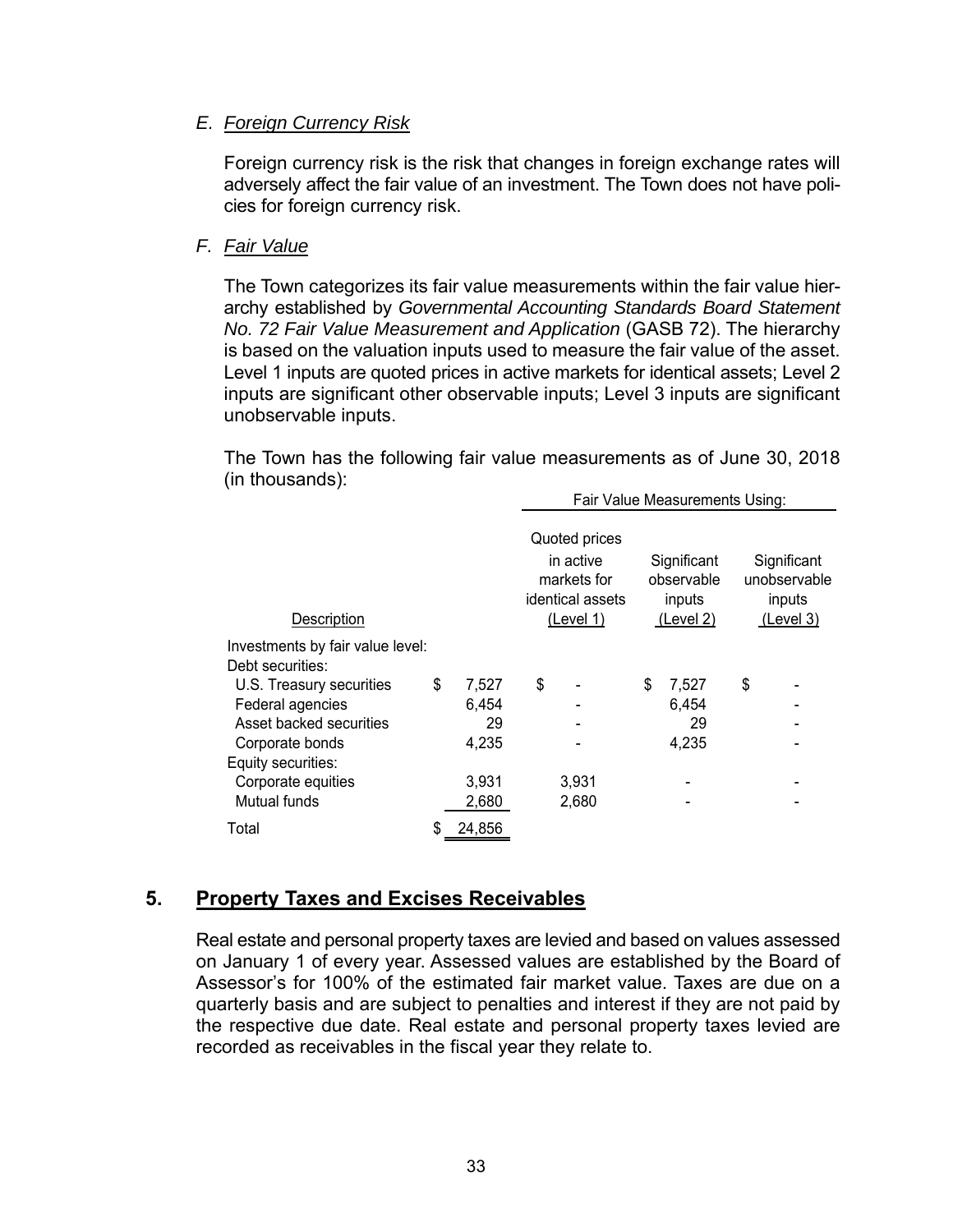### *E. Foreign Currency Risk*

Foreign currency risk is the risk that changes in foreign exchange rates will adversely affect the fair value of an investment. The Town does not have policies for foreign currency risk.

#### *F. Fair Value*

The Town categorizes its fair value measurements within the fair value hierarchy established by *Governmental Accounting Standards Board Statement No. 72 Fair Value Measurement and Application* (GASB 72). The hierarchy is based on the valuation inputs used to measure the fair value of the asset. Level 1 inputs are quoted prices in active markets for identical assets; Level 2 inputs are significant other observable inputs; Level 3 inputs are significant unobservable inputs.

The Town has the following fair value measurements as of June 30, 2018 (in thousands): Fair Value Measurements Using:

|                                  |              | Fair value Measurements Using: |                                                                            |    |                                                  |    |                                                    |  |  |  |
|----------------------------------|--------------|--------------------------------|----------------------------------------------------------------------------|----|--------------------------------------------------|----|----------------------------------------------------|--|--|--|
| <b>Description</b>               |              |                                | Quoted prices<br>in active<br>markets for<br>identical assets<br>(Level 1) |    | Significant<br>observable<br>inputs<br>(Level 2) |    | Significant<br>unobservable<br>inputs<br>(Level 3) |  |  |  |
| Investments by fair value level: |              |                                |                                                                            |    |                                                  |    |                                                    |  |  |  |
| Debt securities:                 |              |                                |                                                                            |    |                                                  |    |                                                    |  |  |  |
| U.S. Treasury securities         | \$<br>7,527  | \$                             |                                                                            | \$ | 7,527                                            | \$ |                                                    |  |  |  |
| Federal agencies                 | 6,454        |                                |                                                                            |    | 6,454                                            |    |                                                    |  |  |  |
| Asset backed securities          | 29           |                                |                                                                            |    | 29                                               |    |                                                    |  |  |  |
| Corporate bonds                  | 4,235        |                                |                                                                            |    | 4,235                                            |    |                                                    |  |  |  |
| Equity securities:               |              |                                |                                                                            |    |                                                  |    |                                                    |  |  |  |
| Corporate equities               | 3,931        |                                | 3,931                                                                      |    |                                                  |    |                                                    |  |  |  |
| Mutual funds                     | 2,680        |                                | 2,680                                                                      |    |                                                  |    |                                                    |  |  |  |
| Total                            | \$<br>24,856 |                                |                                                                            |    |                                                  |    |                                                    |  |  |  |

# **5. Property Taxes and Excises Receivables**

Real estate and personal property taxes are levied and based on values assessed on January 1 of every year. Assessed values are established by the Board of Assessor's for 100% of the estimated fair market value. Taxes are due on a quarterly basis and are subject to penalties and interest if they are not paid by the respective due date. Real estate and personal property taxes levied are recorded as receivables in the fiscal year they relate to.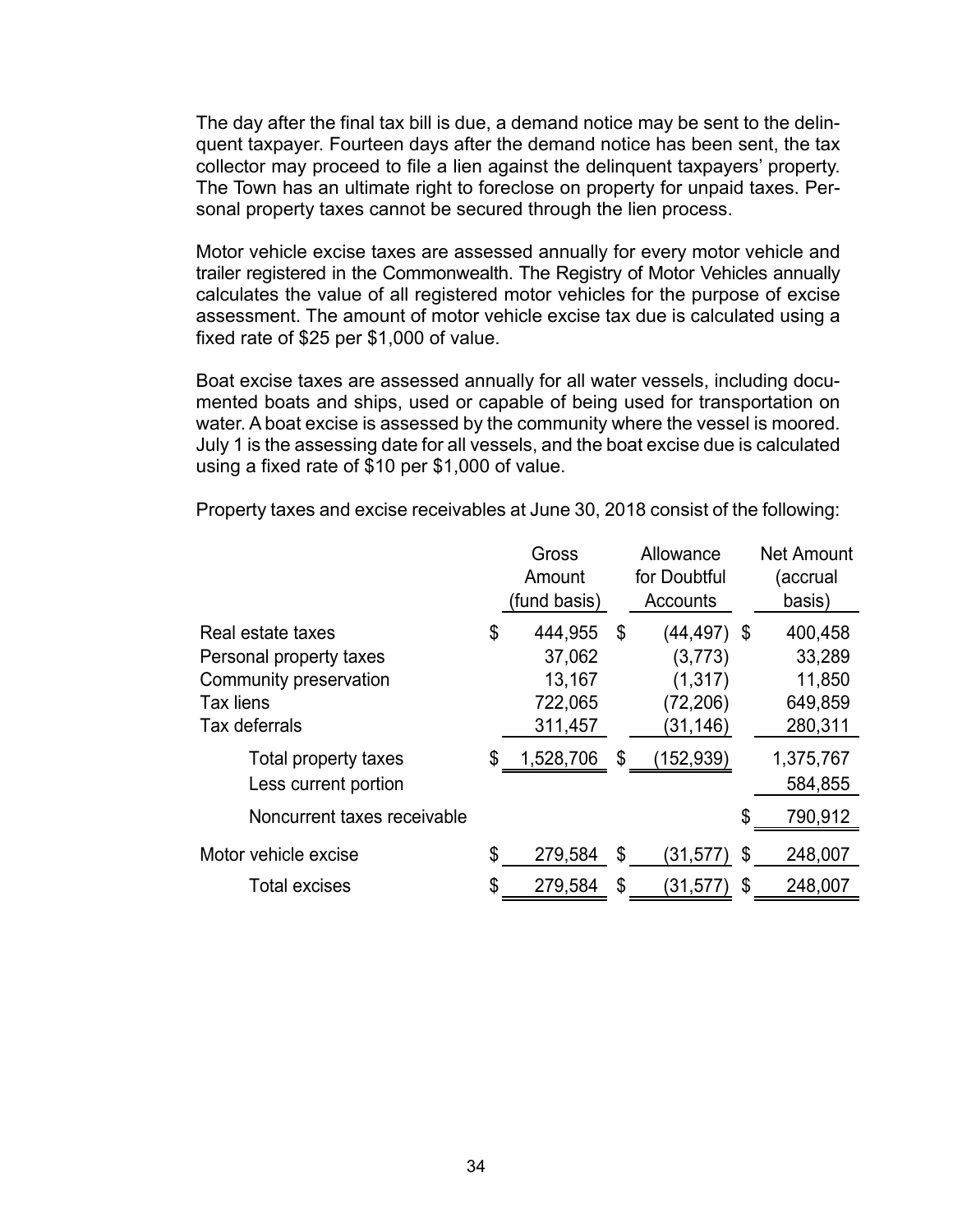The day after the final tax bill is due, a demand notice may be sent to the delinquent taxpayer. Fourteen days after the demand notice has been sent, the tax collector may proceed to file a lien against the delinquent taxpayers' property. The Town has an ultimate right to foreclose on property for unpaid taxes. Personal property taxes cannot be secured through the lien process.

Motor vehicle excise taxes are assessed annually for every motor vehicle and trailer registered in the Commonwealth. The Registry of Motor Vehicles annually calculates the value of all registered motor vehicles for the purpose of excise assessment. The amount of motor vehicle excise tax due is calculated using a fixed rate of \$25 per \$1,000 of value.

Boat excise taxes are assessed annually for all water vessels, including documented boats and ships, used or capable of being used for transportation on water. A boat excise is assessed by the community where the vessel is moored. July 1 is the assessing date for all vessels, and the boat excise due is calculated using a fixed rate of \$10 per \$1,000 of value.

Property taxes and excise receivables at June 30, 2018 consist of the following:

|                                                                                                      | Gross<br>Amount<br>(fund basis) |                                                   |    | Allowance<br>for Doubtful<br>Accounts                           | <b>Net Amount</b><br>(accrual<br>basis)           |
|------------------------------------------------------------------------------------------------------|---------------------------------|---------------------------------------------------|----|-----------------------------------------------------------------|---------------------------------------------------|
| Real estate taxes<br>Personal property taxes<br>Community preservation<br>Tax liens<br>Tax deferrals | \$                              | 444,955<br>37,062<br>13,167<br>722,065<br>311,457 | \$ | $(44, 497)$ \$<br>(3,773)<br>(1, 317)<br>(72, 206)<br>(31, 146) | 400,458<br>33,289<br>11,850<br>649,859<br>280,311 |
| Total property taxes<br>Less current portion<br>Noncurrent taxes receivable                          | \$                              | 1,528,706                                         | \$ | 152,939)                                                        | \$<br>1,375,767<br>584,855<br>790,912             |
| Motor vehicle excise                                                                                 | \$                              | 279,584                                           | \$ | (31,577                                                         | \$<br>248,007                                     |
| <b>Total excises</b>                                                                                 | \$                              | 279,584                                           | \$ | 31,577)                                                         | \$<br>248,007                                     |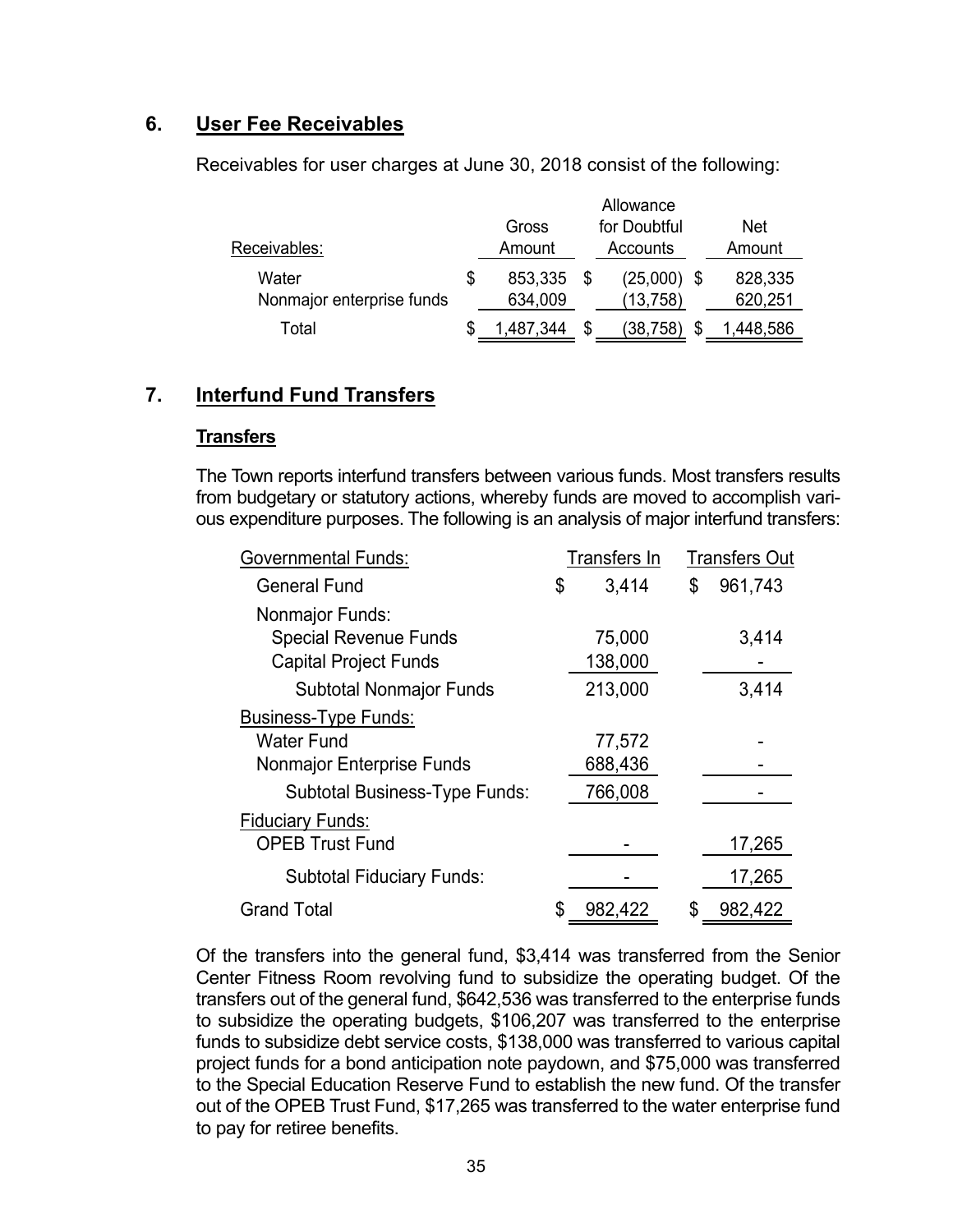# **6. User Fee Receivables**

Receivables for user charges at June 30, 2018 consist of the following:

|                           |                       |     | Allowance     |  |            |
|---------------------------|-----------------------|-----|---------------|--|------------|
|                           | for Doubtful<br>Gross |     |               |  | <b>Net</b> |
| Receivables:              | Amount                |     | Accounts      |  | Amount     |
| Water                     | 853,335               | \$. | $(25,000)$ \$ |  | 828,335    |
| Nonmajor enterprise funds | 634,009               |     | (13, 758)     |  | 620,251    |
| Total                     | 1,487,344             | \$  | (38, 758)     |  | 1,448,586  |

# **7. Interfund Fund Transfers**

#### **Transfers**

The Town reports interfund transfers between various funds. Most transfers results from budgetary or statutory actions, whereby funds are moved to accomplish various expenditure purposes. The following is an analysis of major interfund transfers:

| <b>Governmental Funds:</b>           | Transfers In | <b>Transfers Out</b> |
|--------------------------------------|--------------|----------------------|
| <b>General Fund</b>                  | 3,414<br>\$  | 961,743<br>\$        |
| Nonmajor Funds:                      |              |                      |
| <b>Special Revenue Funds</b>         | 75,000       | 3,414                |
| <b>Capital Project Funds</b>         | 138,000      |                      |
| <b>Subtotal Nonmajor Funds</b>       | 213,000      | 3,414                |
| <b>Business-Type Funds:</b>          |              |                      |
| <b>Water Fund</b>                    | 77,572       |                      |
| <b>Nonmajor Enterprise Funds</b>     | 688,436      |                      |
| <b>Subtotal Business-Type Funds:</b> | 766,008      |                      |
| <b>Fiduciary Funds:</b>              |              |                      |
| <b>OPEB Trust Fund</b>               |              | 17,265               |
| <b>Subtotal Fiduciary Funds:</b>     |              | 17,265               |
| <b>Grand Total</b>                   | 982,422      | 982,422<br>\$        |

Of the transfers into the general fund, \$3,414 was transferred from the Senior Center Fitness Room revolving fund to subsidize the operating budget. Of the transfers out of the general fund, \$642,536 was transferred to the enterprise funds to subsidize the operating budgets, \$106,207 was transferred to the enterprise funds to subsidize debt service costs, \$138,000 was transferred to various capital project funds for a bond anticipation note paydown, and \$75,000 was transferred to the Special Education Reserve Fund to establish the new fund. Of the transfer out of the OPEB Trust Fund, \$17,265 was transferred to the water enterprise fund to pay for retiree benefits.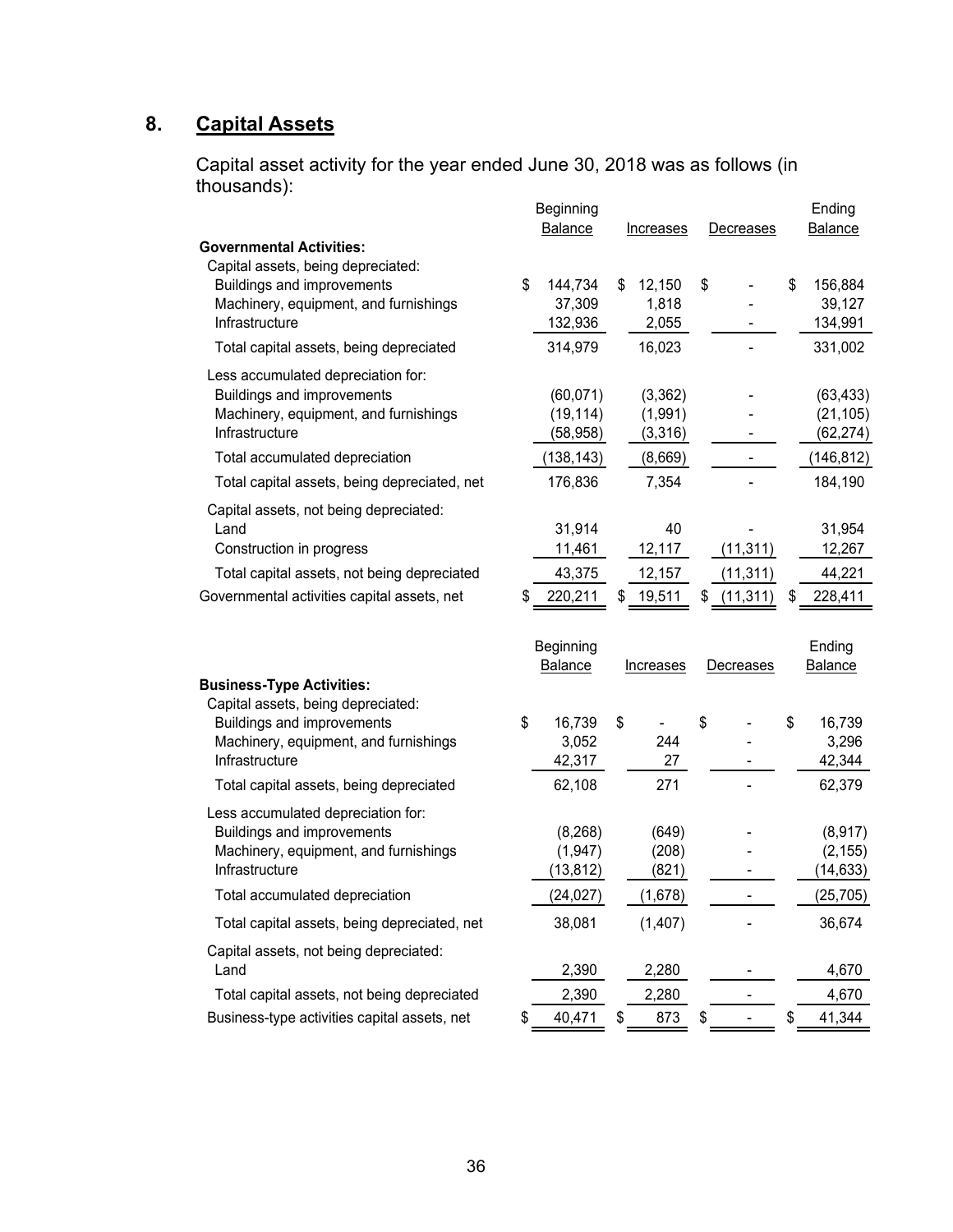# **8. Capital Assets**

Capital asset activity for the year ended June 30, 2018 was as follows (in thousands):

|                                                                                                                                                                                                                          | Beginning<br>Balance                             | Increases                                       | Decreases                                 | Ending<br><b>Balance</b>                               |
|--------------------------------------------------------------------------------------------------------------------------------------------------------------------------------------------------------------------------|--------------------------------------------------|-------------------------------------------------|-------------------------------------------|--------------------------------------------------------|
| <b>Governmental Activities:</b><br>Capital assets, being depreciated:<br><b>Buildings and improvements</b><br>Machinery, equipment, and furnishings<br>Infrastructure<br>Total capital assets, being depreciated         | \$<br>144,734<br>37,309<br>132,936<br>314,979    | \$<br>12,150<br>1,818<br>2,055<br>16,023        | \$                                        | \$<br>156,884<br>39,127<br>134,991<br>331,002          |
| Less accumulated depreciation for:<br><b>Buildings and improvements</b><br>Machinery, equipment, and furnishings<br>Infrastructure<br>Total accumulated depreciation                                                     | (60,071)<br>(19, 114)<br>(58, 958)<br>(138,143)  | (3, 362)<br>(1,991)<br>(3,316)<br>(8,669)       |                                           | (63, 433)<br>(21, 105)<br>(62, 274)<br>(146, 812)      |
| Total capital assets, being depreciated, net<br>Capital assets, not being depreciated:<br>Land<br>Construction in progress<br>Total capital assets, not being depreciated<br>Governmental activities capital assets, net | 176,836<br>31,914<br>11,461<br>43,375<br>220,211 | \$<br>7,354<br>40<br>12,117<br>12,157<br>19,511 | \$<br>(11, 311)<br>(11, 311)<br>(11, 311) | \$<br>184,190<br>31,954<br>12,267<br>44,221<br>228,411 |
| <b>Business-Type Activities:</b><br>Capital assets, being depreciated:<br><b>Buildings and improvements</b><br>Machinery, equipment, and furnishings                                                                     | \$<br>Beginning<br>Balance<br>16,739<br>3,052    | \$<br>Increases<br>244                          | \$<br>Decreases                           | \$<br>Ending<br><b>Balance</b><br>16,739<br>3,296      |
| Infrastructure<br>Total capital assets, being depreciated<br>Less accumulated depreciation for:<br><b>Buildings and improvements</b><br>Machinery, equipment, and furnishings                                            | 42,317<br>62,108<br>(8, 268)<br>(1, 947)         | 27<br>271<br>(649)<br>(208)                     |                                           | 42,344<br>62,379<br>(8,917)<br>(2, 155)                |
| Infrastructure<br>Total accumulated depreciation<br>Total capital assets, being depreciated, net                                                                                                                         | (13, 812)<br>(24, 027)<br>38,081                 | (821)<br>(1,678)<br>(1, 407)                    |                                           | (14, 633)<br>(25, 705)<br>36,674                       |
| Capital assets, not being depreciated:<br>Land<br>Total capital assets, not being depreciated<br>Business-type activities capital assets, net                                                                            | \$<br>2,390<br>2,390<br>40,471                   | \$<br>2,280<br>2,280<br>873                     | \$                                        | \$<br>4,670<br>4,670<br>41,344                         |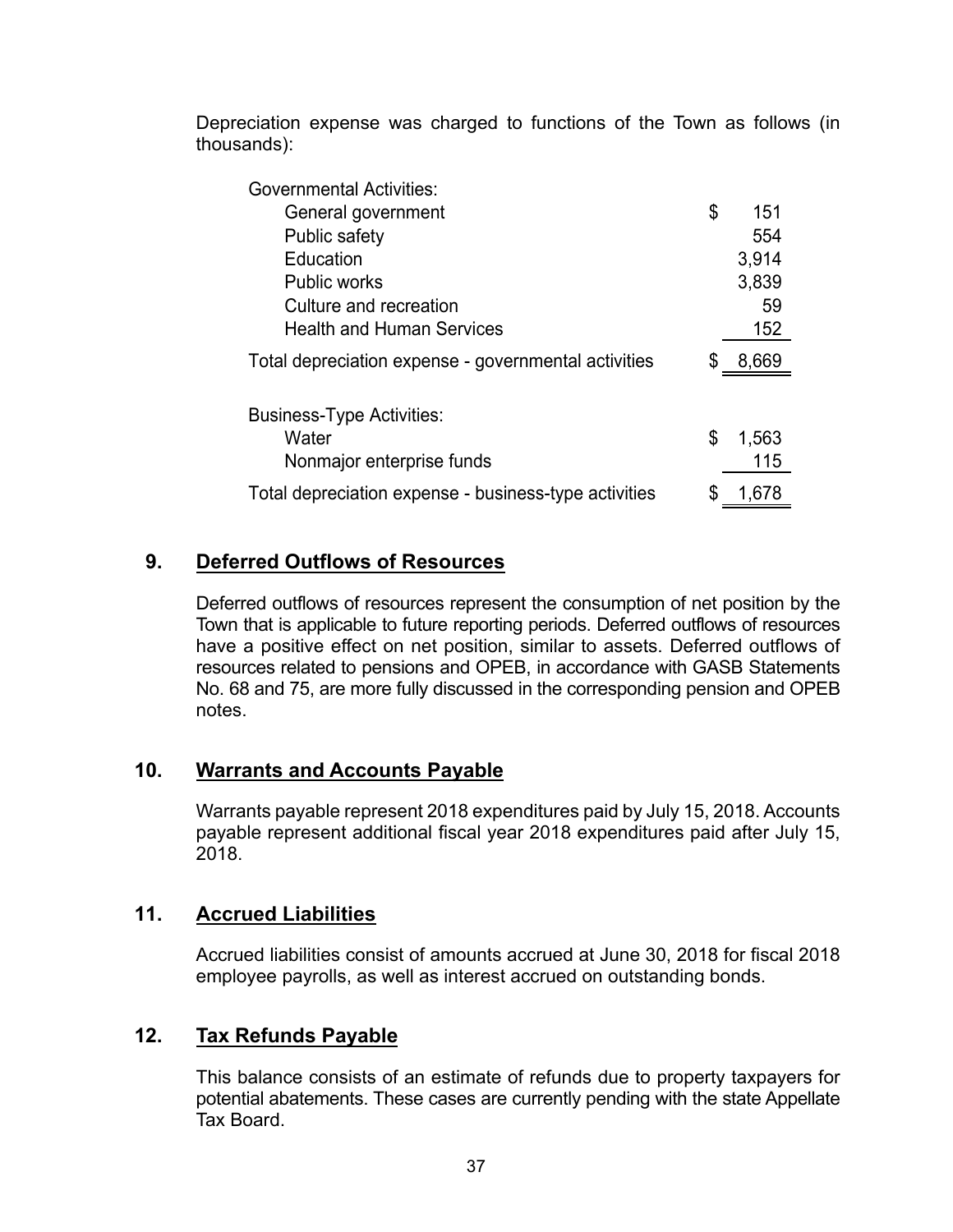Depreciation expense was charged to functions of the Town as follows (in thousands):

| <b>Governmental Activities:</b>                       |             |
|-------------------------------------------------------|-------------|
| General government                                    | \$<br>151   |
| Public safety                                         | 554         |
| Education                                             | 3,914       |
| <b>Public works</b>                                   | 3,839       |
| Culture and recreation                                | 59          |
| <b>Health and Human Services</b>                      | 152         |
| Total depreciation expense - governmental activities  | \$<br>8,669 |
| <b>Business-Type Activities:</b>                      |             |
| Water                                                 | \$<br>1,563 |
| Nonmajor enterprise funds                             | 115         |
| Total depreciation expense - business-type activities | \$<br>1,678 |

# **9. Deferred Outflows of Resources**

Deferred outflows of resources represent the consumption of net position by the Town that is applicable to future reporting periods. Deferred outflows of resources have a positive effect on net position, similar to assets. Deferred outflows of resources related to pensions and OPEB, in accordance with GASB Statements No. 68 and 75, are more fully discussed in the corresponding pension and OPEB notes.

# **10. Warrants and Accounts Payable**

Warrants payable represent 2018 expenditures paid by July 15, 2018. Accounts payable represent additional fiscal year 2018 expenditures paid after July 15, 2018.

# **11. Accrued Liabilities**

Accrued liabilities consist of amounts accrued at June 30, 2018 for fiscal 2018 employee payrolls, as well as interest accrued on outstanding bonds.

# **12. Tax Refunds Payable**

This balance consists of an estimate of refunds due to property taxpayers for potential abatements. These cases are currently pending with the state Appellate Tax Board.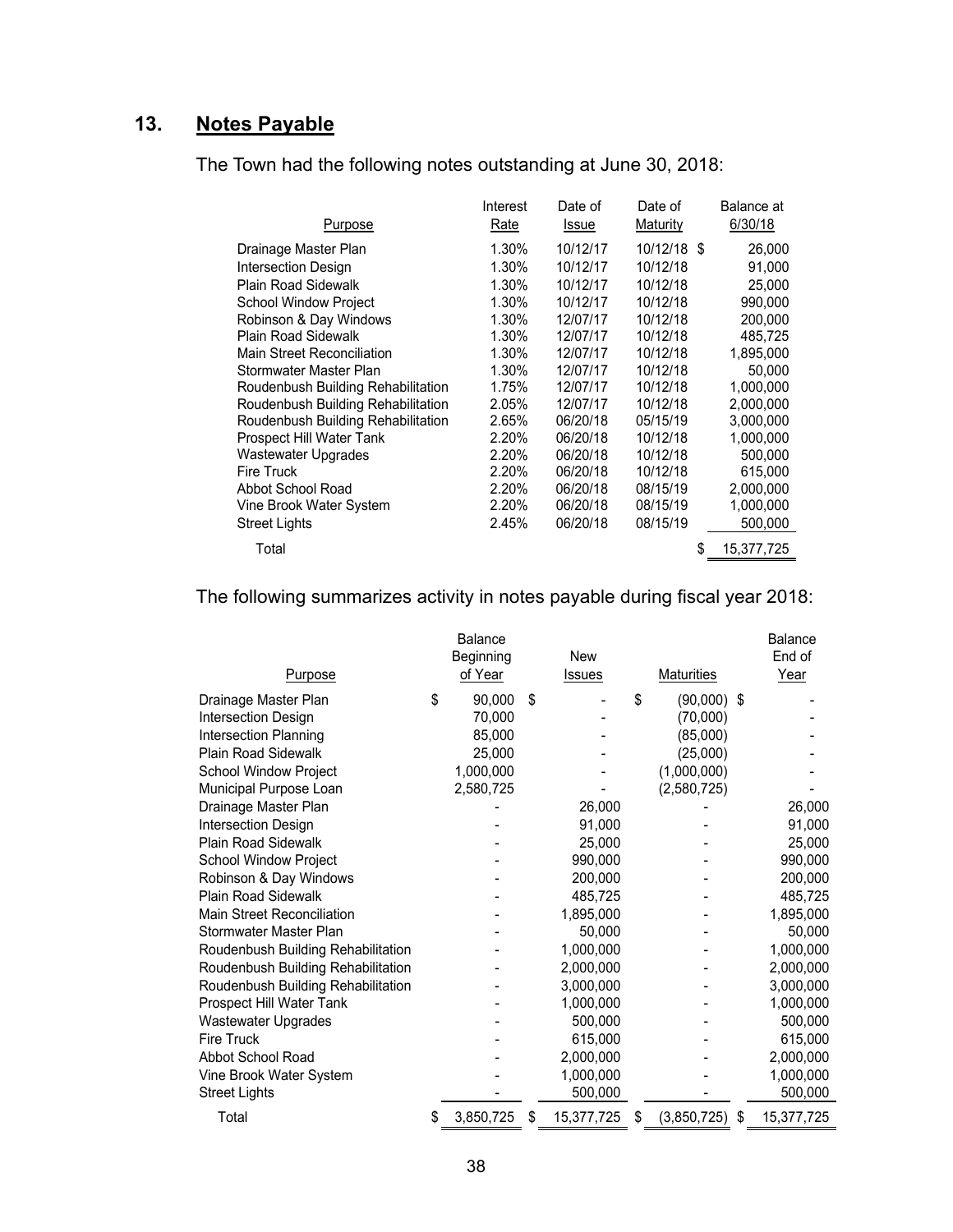# **13. Notes Payable**

The Town had the following notes outstanding at June 30, 2018:

| Purpose                            | Interest<br>Rate | Date of<br>Issue | Date of<br>Maturity | Balance at<br>6/30/18 |
|------------------------------------|------------------|------------------|---------------------|-----------------------|
| Drainage Master Plan               | 1.30%            | 10/12/17         | 10/12/18 \$         | 26,000                |
| Intersection Design                | 1.30%            | 10/12/17         | 10/12/18            | 91,000                |
| <b>Plain Road Sidewalk</b>         | 1.30%            | 10/12/17         | 10/12/18            | 25,000                |
| <b>School Window Project</b>       | 1.30%            | 10/12/17         | 10/12/18            | 990,000               |
| Robinson & Day Windows             | 1.30%            | 12/07/17         | 10/12/18            | 200,000               |
| <b>Plain Road Sidewalk</b>         | 1.30%            | 12/07/17         | 10/12/18            | 485,725               |
| Main Street Reconciliation         | 1.30%            | 12/07/17         | 10/12/18            | 1,895,000             |
| Stormwater Master Plan             | 1.30%            | 12/07/17         | 10/12/18            | 50,000                |
| Roudenbush Building Rehabilitation | 1.75%            | 12/07/17         | 10/12/18            | 1,000,000             |
| Roudenbush Building Rehabilitation | 2.05%            | 12/07/17         | 10/12/18            | 2,000,000             |
| Roudenbush Building Rehabilitation | 2.65%            | 06/20/18         | 05/15/19            | 3.000.000             |
| Prospect Hill Water Tank           | 2.20%            | 06/20/18         | 10/12/18            | 1,000,000             |
| <b>Wastewater Upgrades</b>         | 2.20%            | 06/20/18         | 10/12/18            | 500,000               |
| <b>Fire Truck</b>                  | 2.20%            | 06/20/18         | 10/12/18            | 615,000               |
| <b>Abbot School Road</b>           | 2.20%            | 06/20/18         | 08/15/19            | 2,000,000             |
| Vine Brook Water System            | 2.20%            | 06/20/18         | 08/15/19            | 1,000,000             |
| <b>Street Lights</b>               | 2.45%            | 06/20/18         | 08/15/19            | 500,000               |
| Total                              |                  |                  | \$                  | 15,377,725            |

# The following summarizes activity in notes payable during fiscal year 2018:

| <b>Purpose</b>                     | <b>Balance</b><br>Beginning<br>of Year | <b>New</b><br><b>Issues</b> | <b>Maturities</b>   | <b>Balance</b><br>End of<br>Year |
|------------------------------------|----------------------------------------|-----------------------------|---------------------|----------------------------------|
| Drainage Master Plan               | \$<br>90,000                           | \$                          | \$<br>$(90,000)$ \$ |                                  |
| Intersection Design                | 70,000                                 |                             | (70,000)            |                                  |
| Intersection Planning              | 85,000                                 |                             | (85,000)            |                                  |
| <b>Plain Road Sidewalk</b>         | 25,000                                 |                             | (25,000)            |                                  |
| <b>School Window Project</b>       | 1,000,000                              |                             | (1,000,000)         |                                  |
| Municipal Purpose Loan             | 2,580,725                              |                             | (2,580,725)         |                                  |
| Drainage Master Plan               |                                        | 26,000                      |                     | 26,000                           |
| Intersection Design                |                                        | 91.000                      |                     | 91,000                           |
| <b>Plain Road Sidewalk</b>         |                                        | 25,000                      |                     | 25,000                           |
| <b>School Window Project</b>       |                                        | 990,000                     |                     | 990,000                          |
| Robinson & Day Windows             |                                        | 200,000                     |                     | 200,000                          |
| <b>Plain Road Sidewalk</b>         |                                        | 485,725                     |                     | 485,725                          |
| Main Street Reconciliation         |                                        | 1,895,000                   |                     | 1,895,000                        |
| Stormwater Master Plan             |                                        | 50,000                      |                     | 50,000                           |
| Roudenbush Building Rehabilitation |                                        | 1,000,000                   |                     | 1,000,000                        |
| Roudenbush Building Rehabilitation |                                        | 2,000,000                   |                     | 2,000,000                        |
| Roudenbush Building Rehabilitation |                                        | 3,000,000                   |                     | 3,000,000                        |
| Prospect Hill Water Tank           |                                        | 1,000,000                   |                     | 1,000,000                        |
| <b>Wastewater Upgrades</b>         |                                        | 500,000                     |                     | 500,000                          |
| <b>Fire Truck</b>                  |                                        | 615,000                     |                     | 615,000                          |
| Abbot School Road                  |                                        | 2,000,000                   |                     | 2,000,000                        |
| Vine Brook Water System            |                                        | 1,000,000                   |                     | 1,000,000                        |
| <b>Street Lights</b>               |                                        | 500,000                     |                     | 500,000                          |
| Total                              | \$<br>3,850,725                        | \$<br>15,377,725            | \$<br>(3,850,725)   | \$<br>15,377,725                 |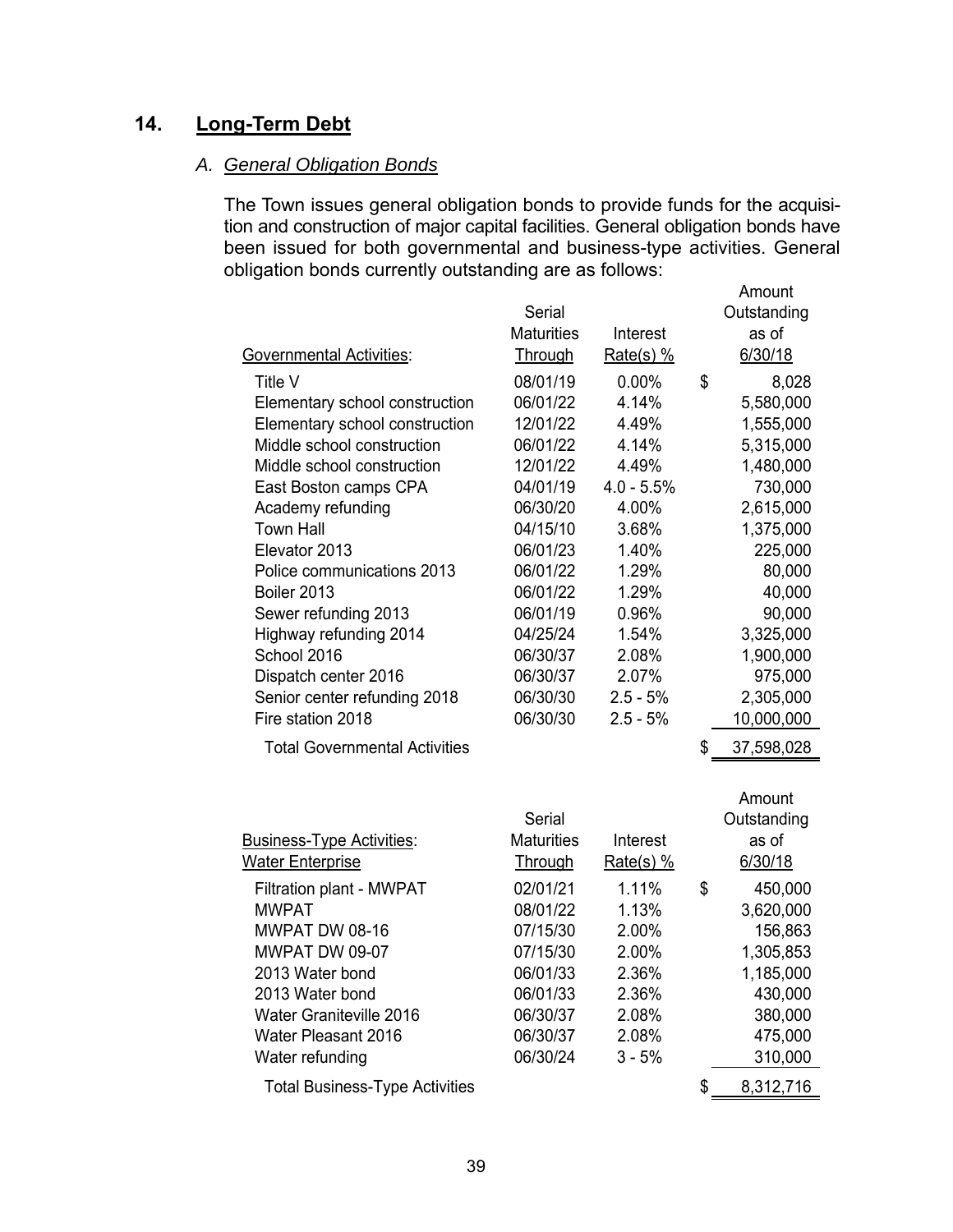# **14. Long-Term Debt**

## *A. General Obligation Bonds*

The Town issues general obligation bonds to provide funds for the acquisition and construction of major capital facilities. General obligation bonds have been issued for both governmental and business-type activities. General obligation bonds currently outstanding are as follows:

Amount

|                                       | Serial            |              | Outstanding      |
|---------------------------------------|-------------------|--------------|------------------|
|                                       | <b>Maturities</b> | Interest     | as of            |
| <b>Governmental Activities:</b>       | Through           | Rate(s) %    | 6/30/18          |
| Title V                               | 08/01/19          | 0.00%        | \$<br>8,028      |
| Elementary school construction        | 06/01/22          | 4.14%        | 5,580,000        |
| Elementary school construction        | 12/01/22          | 4.49%        | 1,555,000        |
| Middle school construction            | 06/01/22          | 4.14%        | 5,315,000        |
| Middle school construction            | 12/01/22          | 4.49%        | 1,480,000        |
| East Boston camps CPA                 | 04/01/19          | $4.0 - 5.5%$ | 730,000          |
| Academy refunding                     | 06/30/20          | 4.00%        | 2,615,000        |
| <b>Town Hall</b>                      | 04/15/10          | 3.68%        | 1,375,000        |
| Elevator 2013                         | 06/01/23          | 1.40%        | 225,000          |
| Police communications 2013            | 06/01/22          | 1.29%        | 80,000           |
| Boiler 2013                           | 06/01/22          | 1.29%        | 40,000           |
| Sewer refunding 2013                  | 06/01/19          | 0.96%        | 90,000           |
| Highway refunding 2014                | 04/25/24          | 1.54%        | 3,325,000        |
| School 2016                           | 06/30/37          | 2.08%        | 1,900,000        |
| Dispatch center 2016                  | 06/30/37          | 2.07%        | 975,000          |
| Senior center refunding 2018          | 06/30/30          | $2.5 - 5%$   | 2,305,000        |
| Fire station 2018                     | 06/30/30          | $2.5 - 5%$   | 10,000,000       |
| <b>Total Governmental Activities</b>  |                   |              | \$<br>37,598,028 |
|                                       |                   |              |                  |
|                                       |                   |              | Amount           |
|                                       | Serial            |              | Outstanding      |
| <b>Business-Type Activities:</b>      | <b>Maturities</b> | Interest     | as of            |
| <b>Water Enterprise</b>               | Through           | $Rate(s)$ %  | 6/30/18          |
| Filtration plant - MWPAT              | 02/01/21          | 1.11%        | \$<br>450,000    |
| <b>MWPAT</b>                          | 08/01/22          | 1.13%        | 3,620,000        |
| <b>MWPAT DW 08-16</b>                 | 07/15/30          | 2.00%        | 156,863          |
| MWPAT DW 09-07                        | 07/15/30          | 2.00%        | 1,305,853        |
| 2013 Water bond                       | 06/01/33          | 2.36%        | 1,185,000        |
| 2013 Water bond                       | 06/01/33          | 2.36%        | 430,000          |
| Water Graniteville 2016               | 06/30/37          | 2.08%        | 380,000          |
| Water Pleasant 2016                   | 06/30/37          | 2.08%        | 475,000          |
| Water refunding                       | 06/30/24          | $3 - 5%$     | 310,000          |
| <b>Total Business-Type Activities</b> |                   |              | \$<br>8,312,716  |
|                                       |                   |              |                  |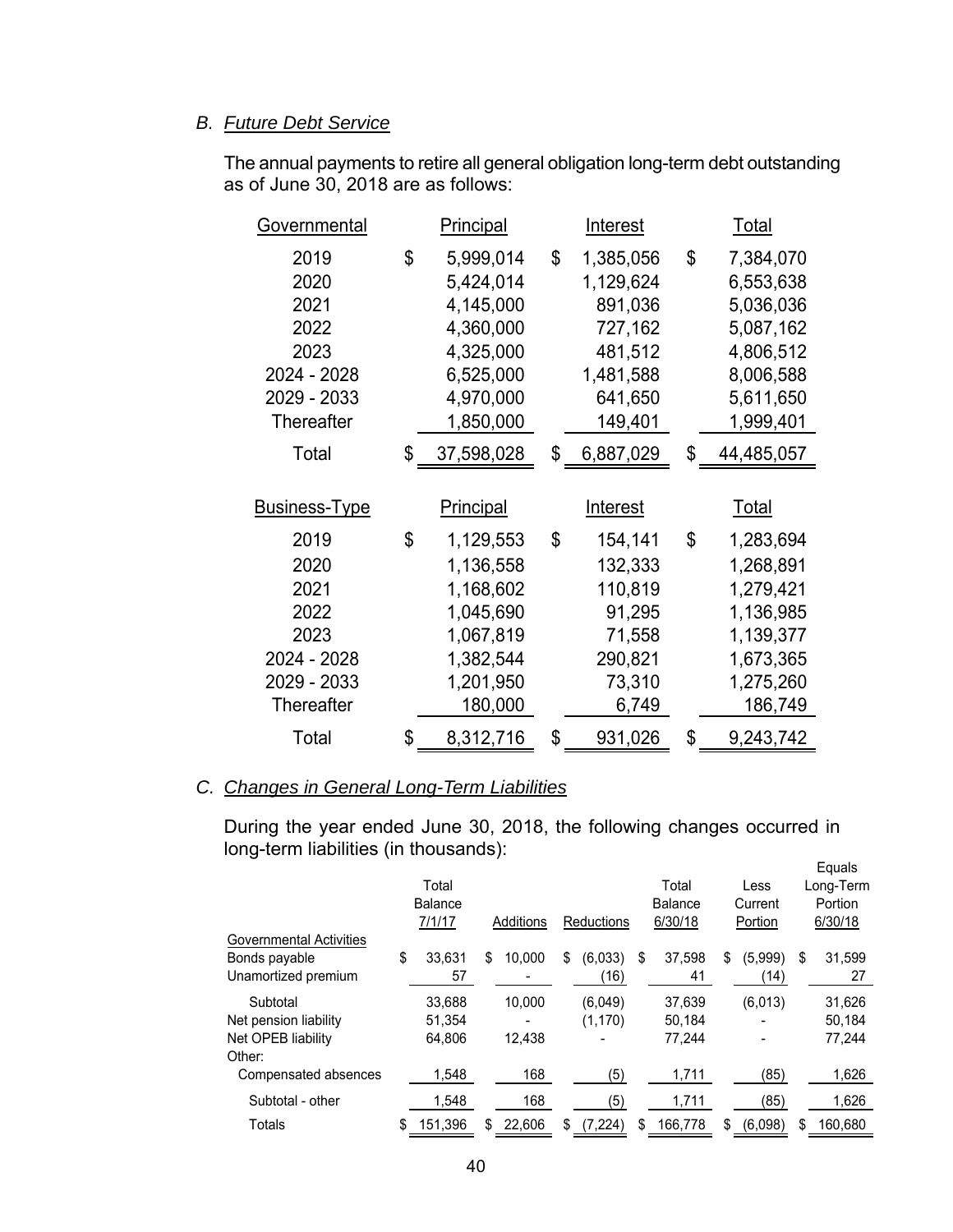# *B. Future Debt Service*

The annual payments to retire all general obligation long-term debt outstanding as of June 30, 2018 are as follows:

| <u>Governmental</u>                                                                     | <u>Principal</u>                                                                                           | Interest |                                                                                            | Total                                                                                                      |
|-----------------------------------------------------------------------------------------|------------------------------------------------------------------------------------------------------------|----------|--------------------------------------------------------------------------------------------|------------------------------------------------------------------------------------------------------------|
| 2019<br>2020<br>2021<br>2022<br>2023<br>2024 - 2028<br>2029 - 2033<br><b>Thereafter</b> | \$<br>5,999,014<br>5,424,014<br>4,145,000<br>4,360,000<br>4,325,000<br>6,525,000<br>4,970,000<br>1,850,000 | \$       | 1,385,056<br>1,129,624<br>891,036<br>727,162<br>481,512<br>1,481,588<br>641,650<br>149,401 | \$<br>7,384,070<br>6,553,638<br>5,036,036<br>5,087,162<br>4,806,512<br>8,006,588<br>5,611,650<br>1,999,401 |
| Total                                                                                   | \$<br>37,598,028                                                                                           | \$       | 6,887,029                                                                                  | \$<br>44,485,057                                                                                           |
|                                                                                         |                                                                                                            |          |                                                                                            |                                                                                                            |
| <b>Business-Type</b>                                                                    | Principal                                                                                                  |          | Interest                                                                                   | Total                                                                                                      |
| 2019<br>2020<br>2021<br>2022<br>2023<br>2024 - 2028<br>2029 - 2033<br><b>Thereafter</b> | \$<br>1,129,553<br>1,136,558<br>1,168,602<br>1,045,690<br>1,067,819<br>1,382,544<br>1,201,950<br>180,000   | \$       | 154,141<br>132,333<br>110,819<br>91,295<br>71,558<br>290,821<br>73,310<br>6,749            | \$<br>1,283,694<br>1,268,891<br>1,279,421<br>1,136,985<br>1,139,377<br>1,673,365<br>1,275,260<br>186,749   |

# *C. Changes in General Long-Term Liabilities*

During the year ended June 30, 2018, the following changes occurred in long-term liabilities (in thousands): Equals

|                                |                |                |                |                |                          |    | Lyuur     |
|--------------------------------|----------------|----------------|----------------|----------------|--------------------------|----|-----------|
|                                | Total          |                |                | Total          | Less                     |    | Long-Term |
|                                | <b>Balance</b> |                |                | <b>Balance</b> | Current                  |    | Portion   |
|                                | 7/1/17         | Additions      | Reductions     | 6/30/18        | Portion                  |    | 6/30/18   |
| <b>Governmental Activities</b> |                |                |                |                |                          |    |           |
| Bonds payable                  | \$<br>33,631   | \$<br>10,000   | \$<br>(6,033)  | \$<br>37,598   | \$<br>(5,999)            | S  | 31,599    |
| Unamortized premium            | 57             |                | (16)           | 41             | (14)                     |    | 27        |
| Subtotal                       | 33.688         | 10.000         | (6.049)        | 37.639         | (6,013)                  |    | 31,626    |
| Net pension liability          | 51.354         | $\blacksquare$ | (1, 170)       | 50,184         | $\overline{\phantom{0}}$ |    | 50,184    |
| Net OPEB liability             | 64,806         | 12.438         |                | 77.244         |                          |    | 77.244    |
| Other:                         |                |                |                |                |                          |    |           |
| Compensated absences           | 1.548          | 168            | (5)            | 1,711          | (85)                     |    | 1,626     |
| Subtotal - other               | 1.548          | 168            | (5)            | 1,711          | (85)                     |    | 1,626     |
| Totals                         | \$<br>151,396  | \$<br>22.606   | \$<br>(7, 224) | \$<br>166.778  | \$<br>(6.098)            | \$ | 160,680   |
|                                |                |                |                |                |                          |    |           |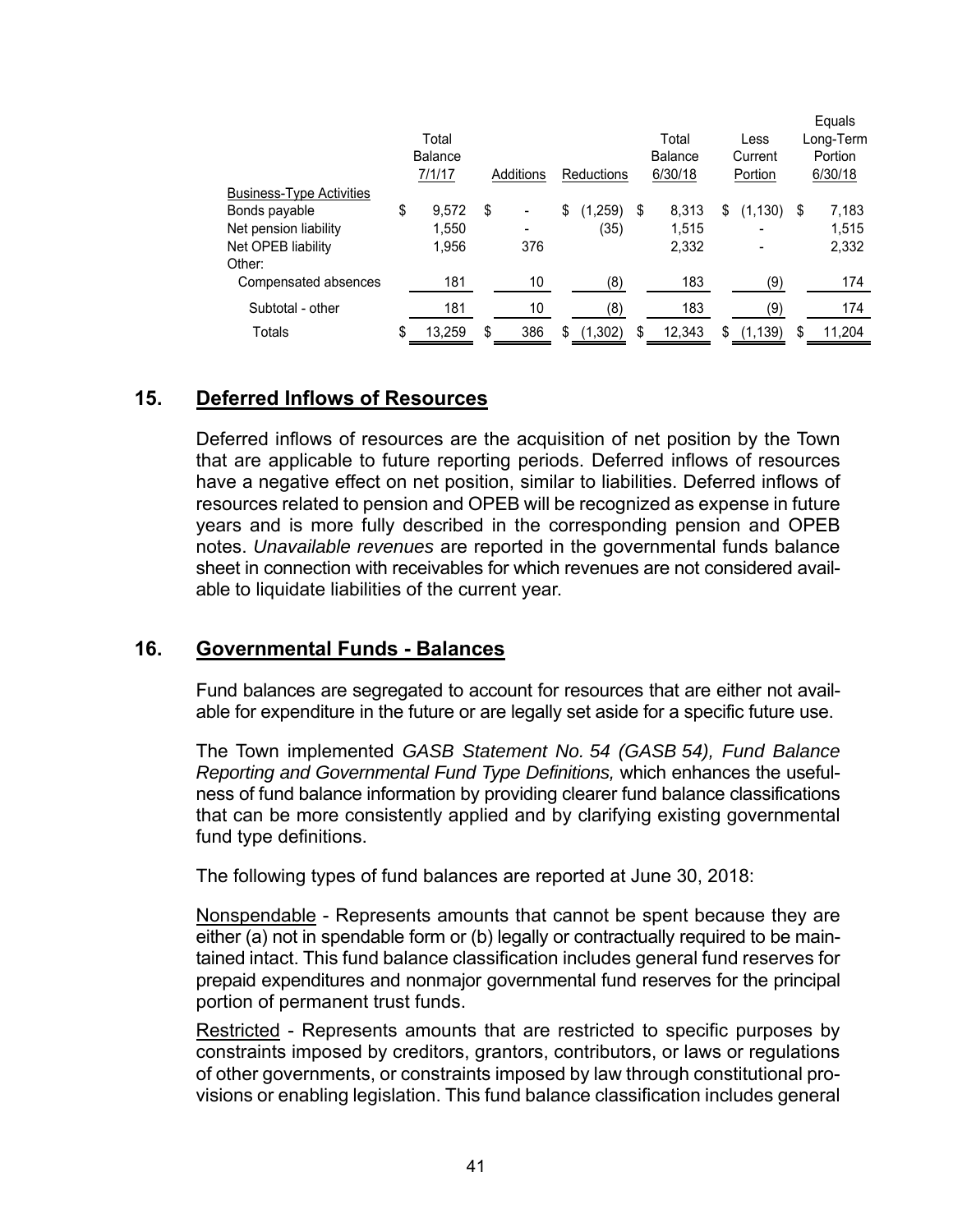|                                 |                |           |    |            |                |                | Equals       |
|---------------------------------|----------------|-----------|----|------------|----------------|----------------|--------------|
|                                 | Total          |           |    |            | Total          | Less           | Long-Term    |
|                                 | <b>Balance</b> |           |    |            | <b>Balance</b> | Current        | Portion      |
|                                 | 7/1/17         | Additions |    | Reductions | 6/30/18        | Portion        | 6/30/18      |
| <b>Business-Type Activities</b> |                |           |    |            |                |                |              |
| Bonds payable                   | \$<br>9.572    | \$        | \$ | (1,259)    | \$<br>8,313    | \$<br>(1, 130) | \$<br>7,183  |
| Net pension liability           | 1,550          |           |    | (35)       | 1,515          |                | 1,515        |
| Net OPEB liability              | 1,956          | 376       |    |            | 2,332          |                | 2,332        |
| Other:                          |                |           |    |            |                |                |              |
| Compensated absences            | 181            | 10        |    | (8)        | 183            | (9)            | 174          |
| Subtotal - other                | 181            | 10        |    | (8)        | 183            | (9)            | 174          |
| Totals                          | \$<br>13,259   | \$<br>386 | S  | (1,302)    | \$<br>12,343   | \$<br>(1, 139) | \$<br>11,204 |

# **15. Deferred Inflows of Resources**

Deferred inflows of resources are the acquisition of net position by the Town that are applicable to future reporting periods. Deferred inflows of resources have a negative effect on net position, similar to liabilities. Deferred inflows of resources related to pension and OPEB will be recognized as expense in future years and is more fully described in the corresponding pension and OPEB notes. *Unavailable revenues* are reported in the governmental funds balance sheet in connection with receivables for which revenues are not considered available to liquidate liabilities of the current year.

# **16. Governmental Funds - Balances**

Fund balances are segregated to account for resources that are either not available for expenditure in the future or are legally set aside for a specific future use.

The Town implemented *GASB Statement No. 54 (GASB 54), Fund Balance Reporting and Governmental Fund Type Definitions,* which enhances the usefulness of fund balance information by providing clearer fund balance classifications that can be more consistently applied and by clarifying existing governmental fund type definitions.

The following types of fund balances are reported at June 30, 2018:

Nonspendable - Represents amounts that cannot be spent because they are either (a) not in spendable form or (b) legally or contractually required to be maintained intact. This fund balance classification includes general fund reserves for prepaid expenditures and nonmajor governmental fund reserves for the principal portion of permanent trust funds.

Restricted - Represents amounts that are restricted to specific purposes by constraints imposed by creditors, grantors, contributors, or laws or regulations of other governments, or constraints imposed by law through constitutional provisions or enabling legislation. This fund balance classification includes general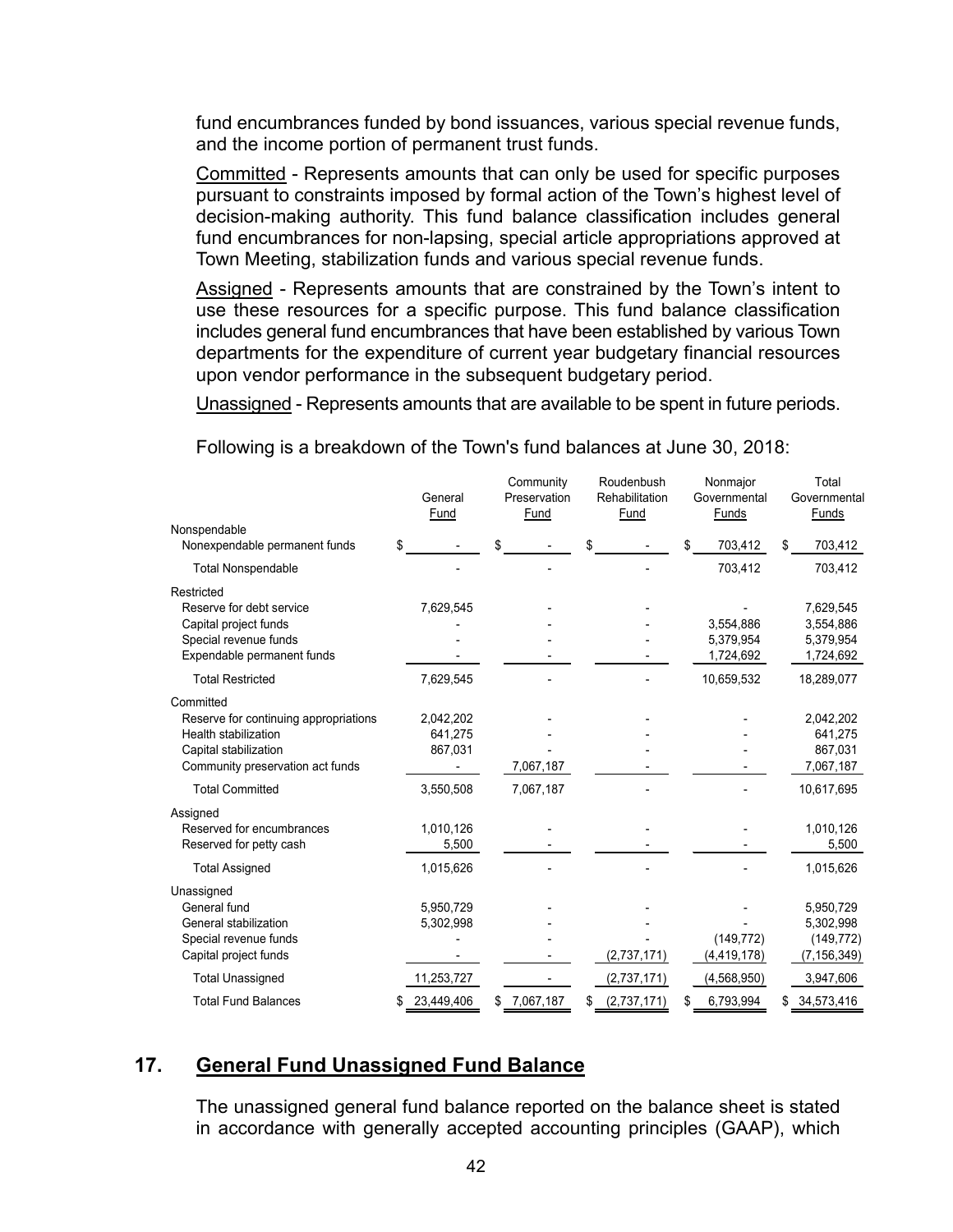fund encumbrances funded by bond issuances, various special revenue funds, and the income portion of permanent trust funds.

Committed - Represents amounts that can only be used for specific purposes pursuant to constraints imposed by formal action of the Town's highest level of decision-making authority. This fund balance classification includes general fund encumbrances for non-lapsing, special article appropriations approved at Town Meeting, stabilization funds and various special revenue funds.

Assigned - Represents amounts that are constrained by the Town's intent to use these resources for a specific purpose. This fund balance classification includes general fund encumbrances that have been established by various Town departments for the expenditure of current year budgetary financial resources upon vendor performance in the subsequent budgetary period.

Unassigned - Represents amounts that are available to be spent in future periods.

|                                                                                                                                         |    | General<br>Fund                 | Community<br>Preservation<br>Fund | Roudenbush<br>Rehabilitation<br>Fund | Nonmajor<br>Governmental<br><b>Funds</b> | Total<br>Governmental<br><b>Funds</b>                 |
|-----------------------------------------------------------------------------------------------------------------------------------------|----|---------------------------------|-----------------------------------|--------------------------------------|------------------------------------------|-------------------------------------------------------|
| Nonspendable<br>Nonexpendable permanent funds                                                                                           | \$ |                                 | \$                                | \$                                   | \$<br>703,412                            | \$<br>703,412                                         |
| <b>Total Nonspendable</b>                                                                                                               |    |                                 |                                   |                                      | 703,412                                  | 703,412                                               |
| Restricted<br>Reserve for debt service<br>Capital project funds<br>Special revenue funds<br>Expendable permanent funds                  |    | 7,629,545                       |                                   |                                      | 3,554,886<br>5,379,954<br>1,724,692      | 7,629,545<br>3,554,886<br>5,379,954<br>1,724,692      |
| <b>Total Restricted</b>                                                                                                                 |    | 7,629,545                       |                                   |                                      | 10,659,532                               | 18,289,077                                            |
| Committed<br>Reserve for continuing appropriations<br>Health stabilization<br>Capital stabilization<br>Community preservation act funds |    | 2,042,202<br>641,275<br>867,031 | 7,067,187                         |                                      |                                          | 2,042,202<br>641,275<br>867,031<br>7,067,187          |
| <b>Total Committed</b>                                                                                                                  |    | 3,550,508                       | 7,067,187                         |                                      |                                          | 10,617,695                                            |
| Assigned<br>Reserved for encumbrances<br>Reserved for petty cash<br><b>Total Assigned</b>                                               |    | 1,010,126<br>5,500<br>1,015,626 |                                   |                                      |                                          | 1,010,126<br>5,500<br>1,015,626                       |
| Unassigned<br>General fund<br>General stabilization<br>Special revenue funds<br>Capital project funds                                   |    | 5,950,729<br>5,302,998          |                                   | (2,737,171)                          | (149, 772)<br>(4, 419, 178)              | 5,950,729<br>5,302,998<br>(149, 772)<br>(7, 156, 349) |
| <b>Total Unassigned</b>                                                                                                                 |    | 11,253,727                      |                                   | (2,737,171)                          | (4,568,950)                              | 3,947,606                                             |
| <b>Total Fund Balances</b>                                                                                                              | S  | 23,449,406                      | \$<br>7,067,187                   | \$<br>(2,737,171)                    | \$<br>6,793,994                          | \$<br>34,573,416                                      |

Following is a breakdown of the Town's fund balances at June 30, 2018:

# **17. General Fund Unassigned Fund Balance**

The unassigned general fund balance reported on the balance sheet is stated in accordance with generally accepted accounting principles (GAAP), which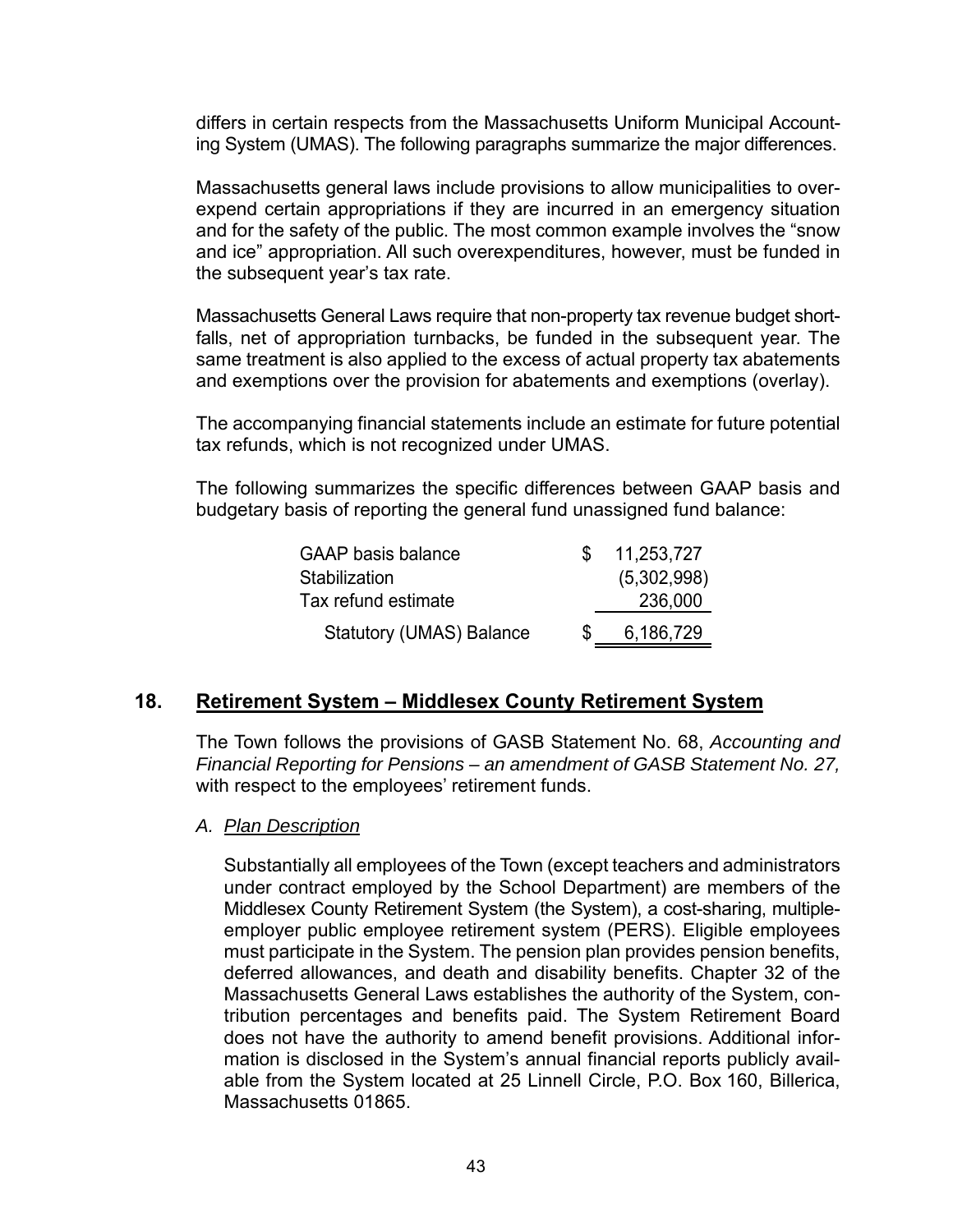differs in certain respects from the Massachusetts Uniform Municipal Accounting System (UMAS). The following paragraphs summarize the major differences.

Massachusetts general laws include provisions to allow municipalities to overexpend certain appropriations if they are incurred in an emergency situation and for the safety of the public. The most common example involves the "snow and ice" appropriation. All such overexpenditures, however, must be funded in the subsequent year's tax rate.

Massachusetts General Laws require that non-property tax revenue budget shortfalls, net of appropriation turnbacks, be funded in the subsequent year. The same treatment is also applied to the excess of actual property tax abatements and exemptions over the provision for abatements and exemptions (overlay).

The accompanying financial statements include an estimate for future potential tax refunds, which is not recognized under UMAS.

The following summarizes the specific differences between GAAP basis and budgetary basis of reporting the general fund unassigned fund balance:

| GAAP basis balance              | 11,253,727  |
|---------------------------------|-------------|
| Stabilization                   | (5,302,998) |
| Tax refund estimate             | 236,000     |
| <b>Statutory (UMAS) Balance</b> | 6,186,729   |

# **18. Retirement System – Middlesex County Retirement System**

The Town follows the provisions of GASB Statement No. 68, *Accounting and Financial Reporting for Pensions – an amendment of GASB Statement No. 27,*  with respect to the employees' retirement funds.

#### *A. Plan Description*

Substantially all employees of the Town (except teachers and administrators under contract employed by the School Department) are members of the Middlesex County Retirement System (the System), a cost-sharing, multipleemployer public employee retirement system (PERS). Eligible employees must participate in the System. The pension plan provides pension benefits, deferred allowances, and death and disability benefits. Chapter 32 of the Massachusetts General Laws establishes the authority of the System, contribution percentages and benefits paid. The System Retirement Board does not have the authority to amend benefit provisions. Additional information is disclosed in the System's annual financial reports publicly available from the System located at 25 Linnell Circle, P.O. Box 160, Billerica, Massachusetts 01865.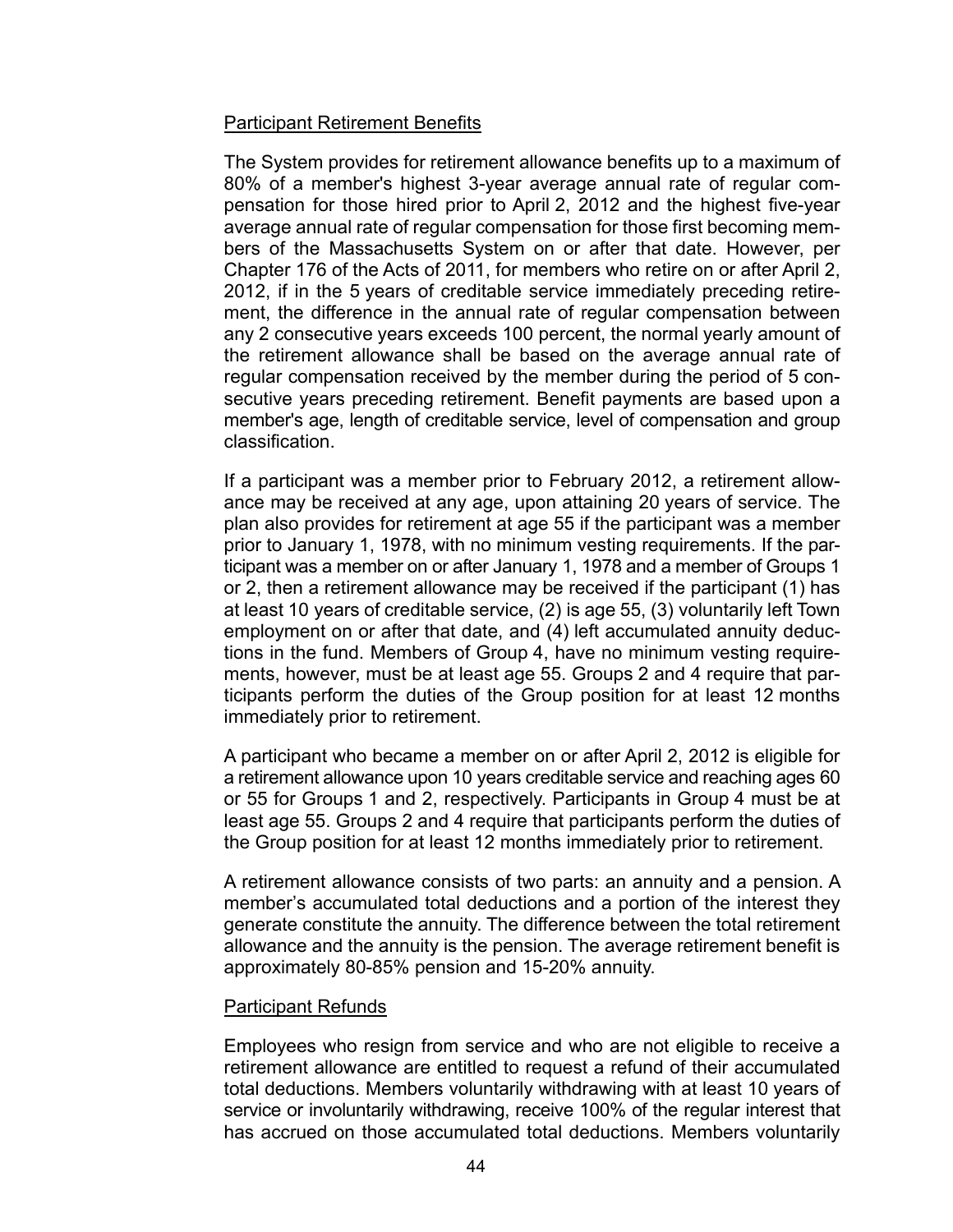### Participant Retirement Benefits

The System provides for retirement allowance benefits up to a maximum of 80% of a member's highest 3-year average annual rate of regular compensation for those hired prior to April 2, 2012 and the highest five-year average annual rate of regular compensation for those first becoming members of the Massachusetts System on or after that date. However, per Chapter 176 of the Acts of 2011, for members who retire on or after April 2, 2012, if in the 5 years of creditable service immediately preceding retirement, the difference in the annual rate of regular compensation between any 2 consecutive years exceeds 100 percent, the normal yearly amount of the retirement allowance shall be based on the average annual rate of regular compensation received by the member during the period of 5 consecutive years preceding retirement. Benefit payments are based upon a member's age, length of creditable service, level of compensation and group classification.

If a participant was a member prior to February 2012, a retirement allowance may be received at any age, upon attaining 20 years of service. The plan also provides for retirement at age 55 if the participant was a member prior to January 1, 1978, with no minimum vesting requirements. If the participant was a member on or after January 1, 1978 and a member of Groups 1 or 2, then a retirement allowance may be received if the participant (1) has at least 10 years of creditable service, (2) is age 55, (3) voluntarily left Town employment on or after that date, and (4) left accumulated annuity deductions in the fund. Members of Group 4, have no minimum vesting requirements, however, must be at least age 55. Groups 2 and 4 require that participants perform the duties of the Group position for at least 12 months immediately prior to retirement.

A participant who became a member on or after April 2, 2012 is eligible for a retirement allowance upon 10 years creditable service and reaching ages 60 or 55 for Groups 1 and 2, respectively. Participants in Group 4 must be at least age 55. Groups 2 and 4 require that participants perform the duties of the Group position for at least 12 months immediately prior to retirement.

A retirement allowance consists of two parts: an annuity and a pension. A member's accumulated total deductions and a portion of the interest they generate constitute the annuity. The difference between the total retirement allowance and the annuity is the pension. The average retirement benefit is approximately 80-85% pension and 15-20% annuity.

#### Participant Refunds

Employees who resign from service and who are not eligible to receive a retirement allowance are entitled to request a refund of their accumulated total deductions. Members voluntarily withdrawing with at least 10 years of service or involuntarily withdrawing, receive 100% of the regular interest that has accrued on those accumulated total deductions. Members voluntarily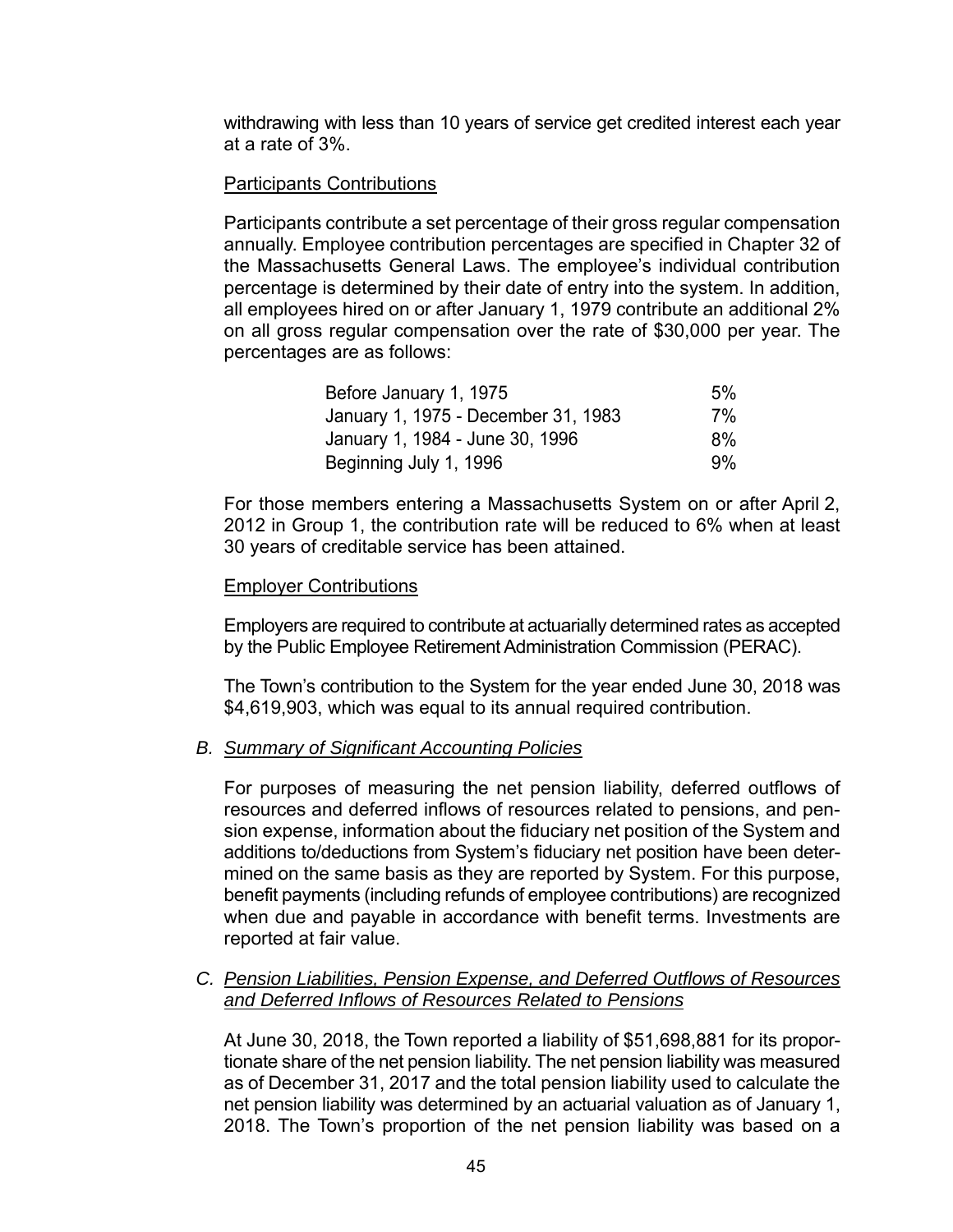withdrawing with less than 10 years of service get credited interest each year at a rate of 3%.

## Participants Contributions

Participants contribute a set percentage of their gross regular compensation annually. Employee contribution percentages are specified in Chapter 32 of the Massachusetts General Laws. The employee's individual contribution percentage is determined by their date of entry into the system. In addition, all employees hired on or after January 1, 1979 contribute an additional 2% on all gross regular compensation over the rate of \$30,000 per year. The percentages are as follows:

| Before January 1, 1975              | 5% |
|-------------------------------------|----|
| January 1, 1975 - December 31, 1983 | 7% |
| January 1, 1984 - June 30, 1996     | 8% |
| Beginning July 1, 1996              | 9% |

For those members entering a Massachusetts System on or after April 2, 2012 in Group 1, the contribution rate will be reduced to 6% when at least 30 years of creditable service has been attained.

## Employer Contributions

Employers are required to contribute at actuarially determined rates as accepted by the Public Employee Retirement Administration Commission (PERAC).

The Town's contribution to the System for the year ended June 30, 2018 was \$4,619,903, which was equal to its annual required contribution.

# *B. Summary of Significant Accounting Policies*

For purposes of measuring the net pension liability, deferred outflows of resources and deferred inflows of resources related to pensions, and pension expense, information about the fiduciary net position of the System and additions to/deductions from System's fiduciary net position have been determined on the same basis as they are reported by System. For this purpose, benefit payments (including refunds of employee contributions) are recognized when due and payable in accordance with benefit terms. Investments are reported at fair value.

## *C. Pension Liabilities, Pension Expense, and Deferred Outflows of Resources and Deferred Inflows of Resources Related to Pensions*

At June 30, 2018, the Town reported a liability of \$51,698,881 for its proportionate share of the net pension liability. The net pension liability was measured as of December 31, 2017 and the total pension liability used to calculate the net pension liability was determined by an actuarial valuation as of January 1, 2018. The Town's proportion of the net pension liability was based on a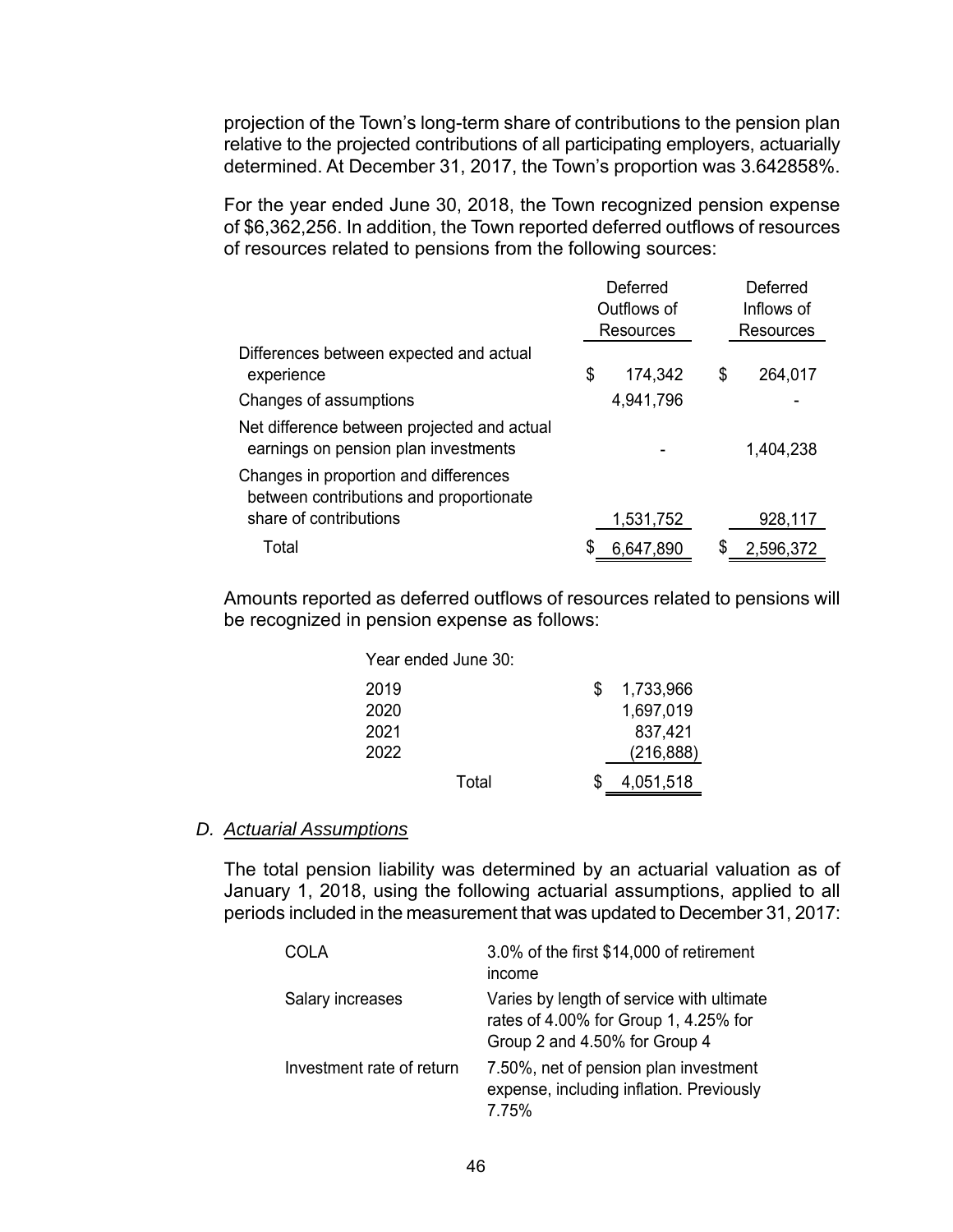projection of the Town's long-term share of contributions to the pension plan relative to the projected contributions of all participating employers, actuarially determined. At December 31, 2017, the Town's proportion was 3.642858%.

For the year ended June 30, 2018, the Town recognized pension expense of \$6,362,256. In addition, the Town reported deferred outflows of resources of resources related to pensions from the following sources:

|                                                                                     | Deferred<br>Outflows of<br>Resources |           | Deferred<br>Inflows of<br>Resources |
|-------------------------------------------------------------------------------------|--------------------------------------|-----------|-------------------------------------|
| Differences between expected and actual<br>experience                               | \$                                   | 174,342   | \$<br>264,017                       |
| Changes of assumptions                                                              |                                      | 4,941,796 |                                     |
| Net difference between projected and actual<br>earnings on pension plan investments |                                      |           | 1,404,238                           |
| Changes in proportion and differences<br>between contributions and proportionate    |                                      |           |                                     |
| share of contributions                                                              |                                      | 1,531,752 | 928,117                             |
| Total                                                                               |                                      | 6,647,890 | 2,596,372                           |

Amounts reported as deferred outflows of resources related to pensions will be recognized in pension expense as follows:

| Year ended June 30: |       |   |            |
|---------------------|-------|---|------------|
| 2019                |       | S | 1,733,966  |
| 2020                |       |   | 1,697,019  |
| 2021                |       |   | 837,421    |
| 2022                |       |   | (216, 888) |
|                     | Total |   | 4,051,518  |
|                     |       |   |            |

#### *D. Actuarial Assumptions*

The total pension liability was determined by an actuarial valuation as of January 1, 2018, using the following actuarial assumptions, applied to all periods included in the measurement that was updated to December 31, 2017:

| COLA                      | 3.0% of the first \$14,000 of retirement<br>income                                                                  |
|---------------------------|---------------------------------------------------------------------------------------------------------------------|
| Salary increases          | Varies by length of service with ultimate<br>rates of 4.00% for Group 1, 4.25% for<br>Group 2 and 4.50% for Group 4 |
| Investment rate of return | 7.50%, net of pension plan investment<br>expense, including inflation. Previously<br>7 75%                          |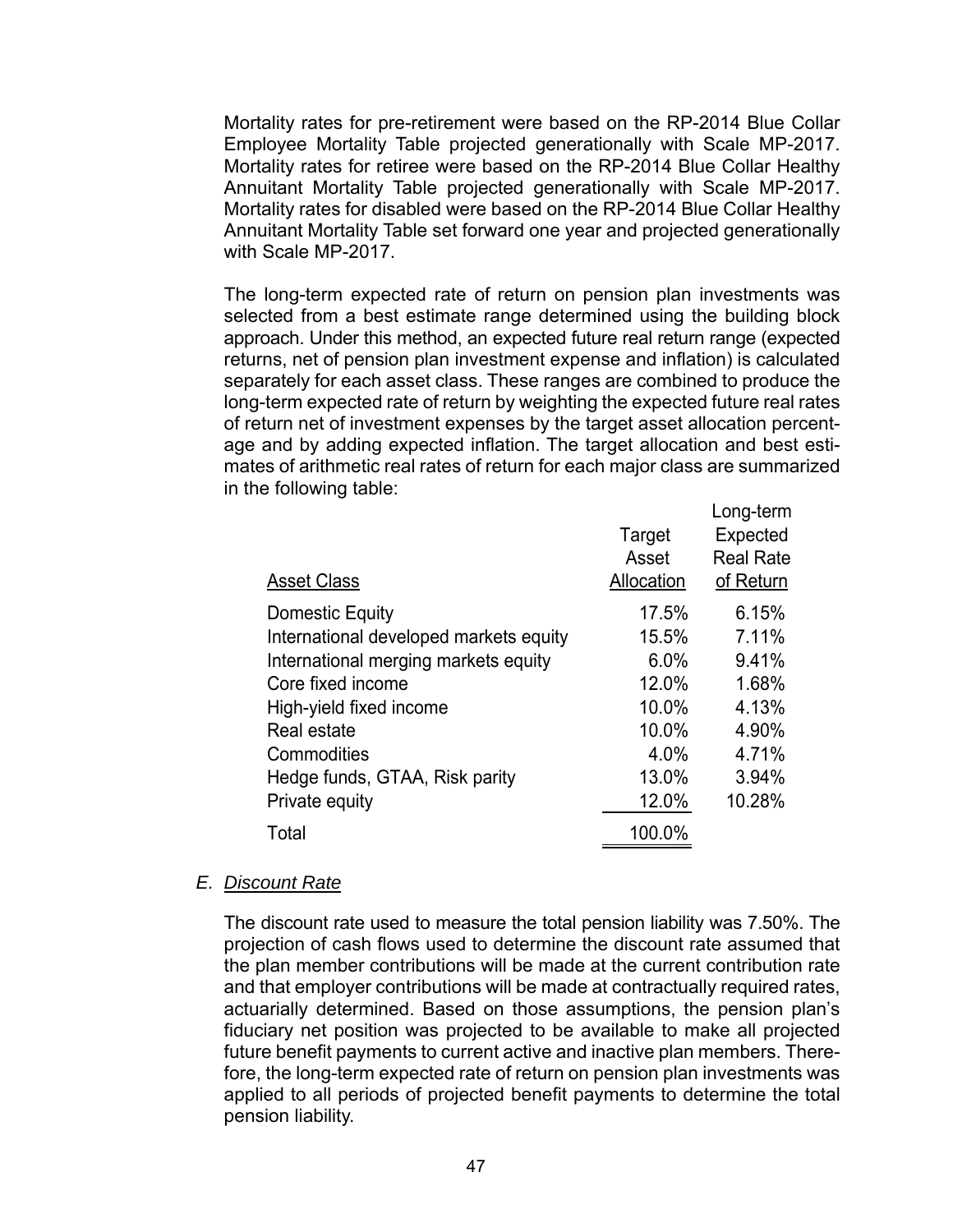Mortality rates for pre-retirement were based on the RP-2014 Blue Collar Employee Mortality Table projected generationally with Scale MP-2017. Mortality rates for retiree were based on the RP-2014 Blue Collar Healthy Annuitant Mortality Table projected generationally with Scale MP-2017. Mortality rates for disabled were based on the RP-2014 Blue Collar Healthy Annuitant Mortality Table set forward one year and projected generationally with Scale MP-2017

The long-term expected rate of return on pension plan investments was selected from a best estimate range determined using the building block approach. Under this method, an expected future real return range (expected returns, net of pension plan investment expense and inflation) is calculated separately for each asset class. These ranges are combined to produce the long-term expected rate of return by weighting the expected future real rates of return net of investment expenses by the target asset allocation percentage and by adding expected inflation. The target allocation and best estimates of arithmetic real rates of return for each major class are summarized in the following table:

| <b>Asset Class</b>                     | Target<br>Asset<br>Allocation | Long-term<br>Expected<br><b>Real Rate</b><br>of Return |
|----------------------------------------|-------------------------------|--------------------------------------------------------|
| Domestic Equity                        | 17.5%                         | 6.15%                                                  |
| International developed markets equity | 15.5%                         | 7.11%                                                  |
| International merging markets equity   | 6.0%                          | 9.41%                                                  |
| Core fixed income                      | 12.0%                         | 1.68%                                                  |
| High-yield fixed income                | 10.0%                         | 4.13%                                                  |
| Real estate                            | 10.0%                         | 4.90%                                                  |
| Commodities                            | 4.0%                          | 4.71%                                                  |
| Hedge funds, GTAA, Risk parity         | 13.0%                         | 3.94%                                                  |
| Private equity                         | 12.0%                         | 10.28%                                                 |
| Total                                  | 100.0%                        |                                                        |

#### *E. Discount Rate*

The discount rate used to measure the total pension liability was 7.50%. The projection of cash flows used to determine the discount rate assumed that the plan member contributions will be made at the current contribution rate and that employer contributions will be made at contractually required rates, actuarially determined. Based on those assumptions, the pension plan's fiduciary net position was projected to be available to make all projected future benefit payments to current active and inactive plan members. Therefore, the long-term expected rate of return on pension plan investments was applied to all periods of projected benefit payments to determine the total pension liability.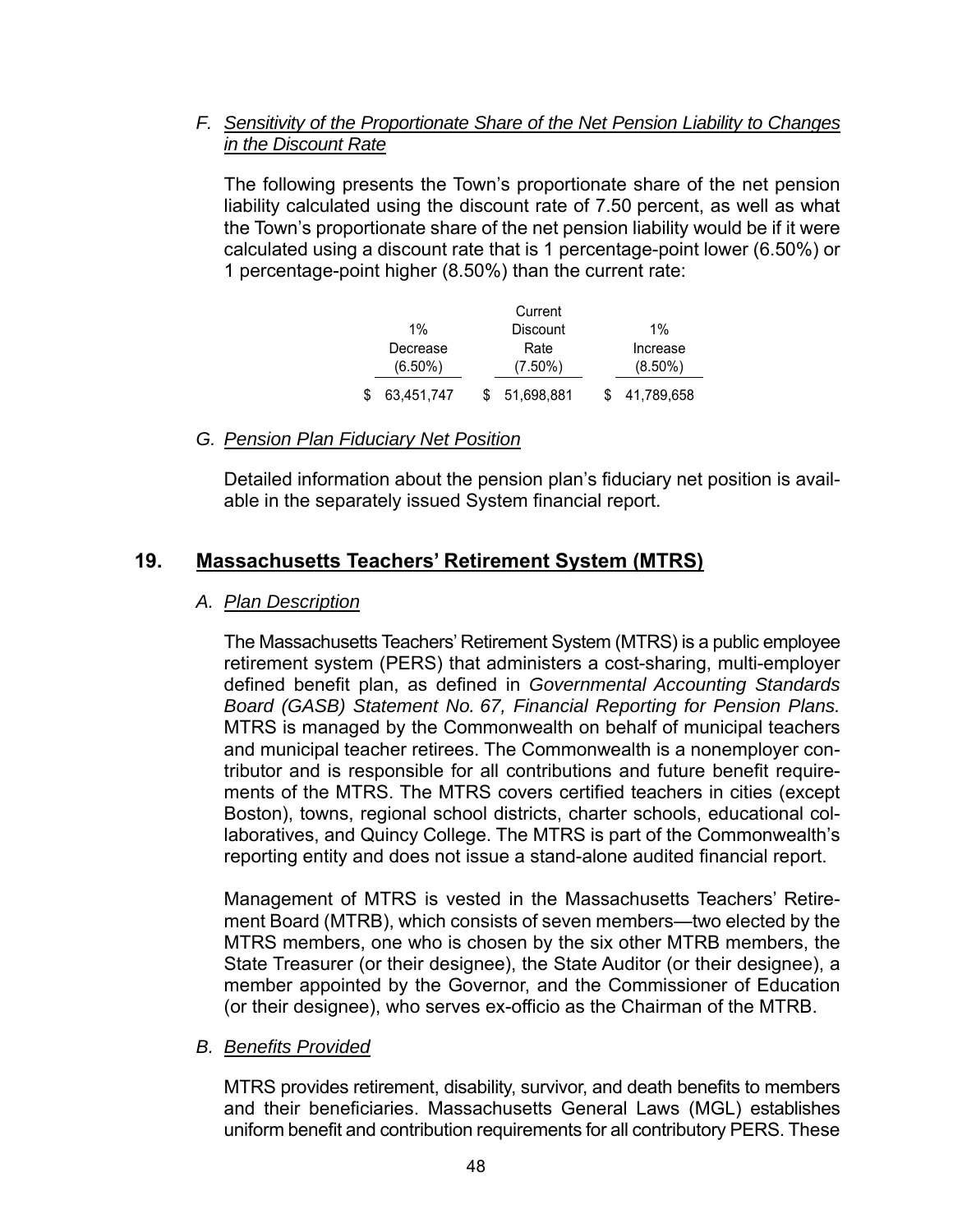## *F. Sensitivity of the Proportionate Share of the Net Pension Liability to Changes in the Discount Rate*

The following presents the Town's proportionate share of the net pension liability calculated using the discount rate of 7.50 percent, as well as what the Town's proportionate share of the net pension liability would be if it were calculated using a discount rate that is 1 percentage-point lower (6.50%) or 1 percentage-point higher (8.50%) than the current rate:

|            | Current    |            |
|------------|------------|------------|
| $1\%$      | Discount   | $1\%$      |
| Decrease   | Rate       | Increase   |
| $(6.50\%)$ | $(7.50\%)$ | $(8.50\%)$ |
| 63.451.747 | 51,698,881 | 41.789.658 |

### *G. Pension Plan Fiduciary Net Position*

Detailed information about the pension plan's fiduciary net position is available in the separately issued System financial report.

# **19. Massachusetts Teachers' Retirement System (MTRS)**

### *A. Plan Description*

The Massachusetts Teachers' Retirement System (MTRS) is a public employee retirement system (PERS) that administers a cost-sharing, multi-employer defined benefit plan, as defined in *Governmental Accounting Standards Board (GASB) Statement No. 67, Financial Reporting for Pension Plans.* MTRS is managed by the Commonwealth on behalf of municipal teachers and municipal teacher retirees. The Commonwealth is a nonemployer contributor and is responsible for all contributions and future benefit requirements of the MTRS. The MTRS covers certified teachers in cities (except Boston), towns, regional school districts, charter schools, educational collaboratives, and Quincy College. The MTRS is part of the Commonwealth's reporting entity and does not issue a stand-alone audited financial report.

Management of MTRS is vested in the Massachusetts Teachers' Retirement Board (MTRB), which consists of seven members—two elected by the MTRS members, one who is chosen by the six other MTRB members, the State Treasurer (or their designee), the State Auditor (or their designee), a member appointed by the Governor, and the Commissioner of Education (or their designee), who serves ex-officio as the Chairman of the MTRB.

### *B. Benefits Provided*

MTRS provides retirement, disability, survivor, and death benefits to members and their beneficiaries. Massachusetts General Laws (MGL) establishes uniform benefit and contribution requirements for all contributory PERS. These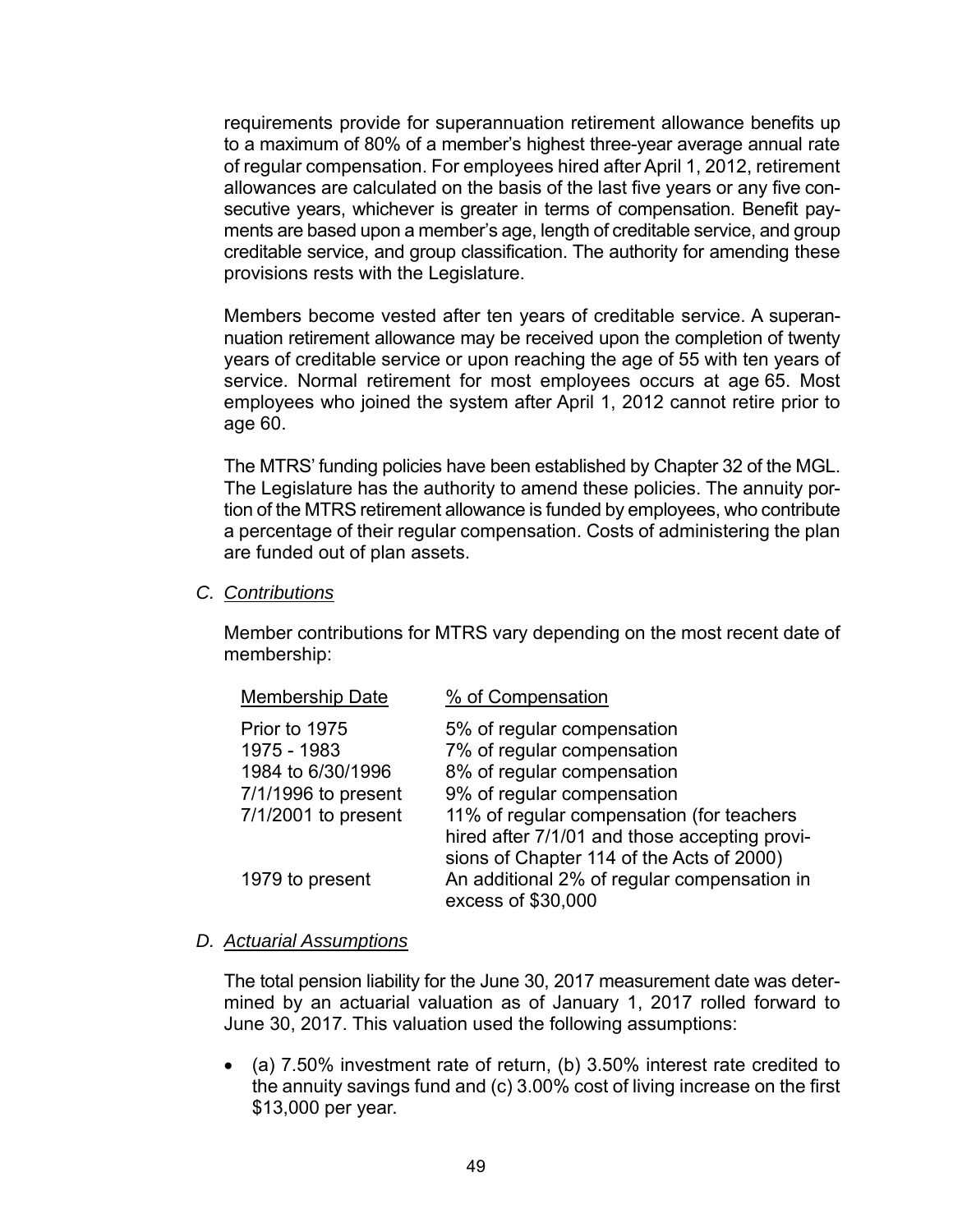requirements provide for superannuation retirement allowance benefits up to a maximum of 80% of a member's highest three-year average annual rate of regular compensation. For employees hired after April 1, 2012, retirement allowances are calculated on the basis of the last five years or any five consecutive years, whichever is greater in terms of compensation. Benefit payments are based upon a member's age, length of creditable service, and group creditable service, and group classification. The authority for amending these provisions rests with the Legislature.

Members become vested after ten years of creditable service. A superannuation retirement allowance may be received upon the completion of twenty years of creditable service or upon reaching the age of 55 with ten years of service. Normal retirement for most employees occurs at age 65. Most employees who joined the system after April 1, 2012 cannot retire prior to age 60.

The MTRS' funding policies have been established by Chapter 32 of the MGL. The Legislature has the authority to amend these policies. The annuity portion of the MTRS retirement allowance is funded by employees, who contribute a percentage of their regular compensation. Costs of administering the plan are funded out of plan assets.

#### *C. Contributions*

Member contributions for MTRS vary depending on the most recent date of membership:

| % of Compensation                                                                          |
|--------------------------------------------------------------------------------------------|
| 5% of regular compensation<br>7% of regular compensation                                   |
| 8% of regular compensation                                                                 |
| 9% of regular compensation                                                                 |
| 11% of regular compensation (for teachers<br>hired after 7/1/01 and those accepting provi- |
| sions of Chapter 114 of the Acts of 2000)                                                  |
| An additional 2% of regular compensation in<br>excess of \$30,000                          |
|                                                                                            |

#### *D. Actuarial Assumptions*

The total pension liability for the June 30, 2017 measurement date was determined by an actuarial valuation as of January 1, 2017 rolled forward to June 30, 2017. This valuation used the following assumptions:

 (a) 7.50% investment rate of return, (b) 3.50% interest rate credited to the annuity savings fund and (c) 3.00% cost of living increase on the first \$13,000 per year.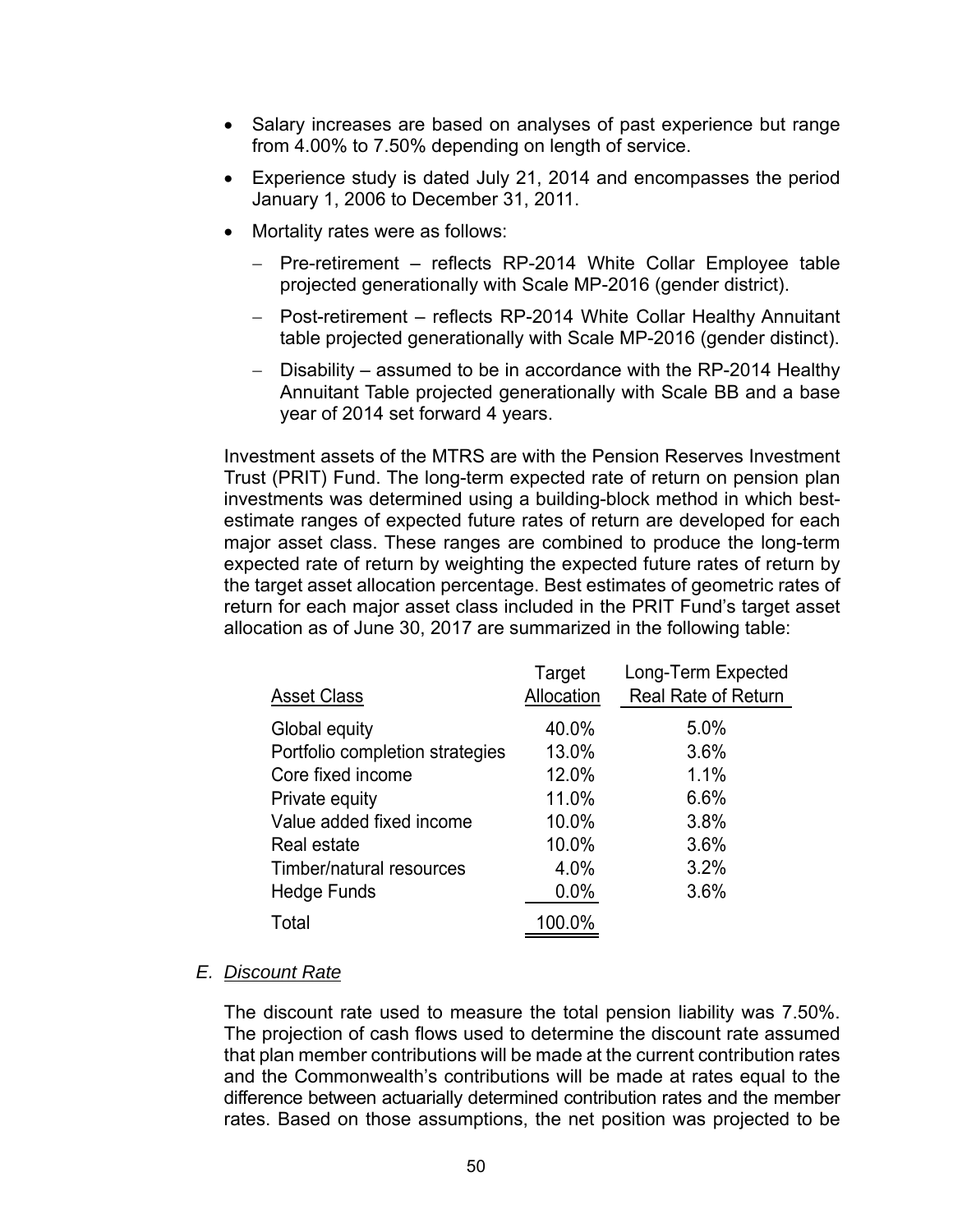- Salary increases are based on analyses of past experience but range from 4.00% to 7.50% depending on length of service.
- Experience study is dated July 21, 2014 and encompasses the period January 1, 2006 to December 31, 2011.
- Mortality rates were as follows:
	- $-$  Pre-retirement reflects RP-2014 White Collar Employee table projected generationally with Scale MP-2016 (gender district).
	- Post-retirement reflects RP-2014 White Collar Healthy Annuitant table projected generationally with Scale MP-2016 (gender distinct).
	- $-$  Disability assumed to be in accordance with the RP-2014 Healthy Annuitant Table projected generationally with Scale BB and a base year of 2014 set forward 4 years.

Investment assets of the MTRS are with the Pension Reserves Investment Trust (PRIT) Fund. The long-term expected rate of return on pension plan investments was determined using a building-block method in which bestestimate ranges of expected future rates of return are developed for each major asset class. These ranges are combined to produce the long-term expected rate of return by weighting the expected future rates of return by the target asset allocation percentage. Best estimates of geometric rates of return for each major asset class included in the PRIT Fund's target asset allocation as of June 30, 2017 are summarized in the following table:

| <b>Asset Class</b>              | Target<br>Allocation | Long-Term Expected<br><b>Real Rate of Return</b> |
|---------------------------------|----------------------|--------------------------------------------------|
| Global equity                   | 40.0%                | 5.0%                                             |
| Portfolio completion strategies | 13.0%                | 3.6%                                             |
| Core fixed income               | 12.0%                | 1.1%                                             |
| Private equity                  | 11.0%                | 6.6%                                             |
| Value added fixed income        | 10.0%                | 3.8%                                             |
| Real estate                     | 10.0%                | 3.6%                                             |
| Timber/natural resources        | 4.0%                 | 3.2%                                             |
| <b>Hedge Funds</b>              | 0.0%                 | 3.6%                                             |
| Total                           | 100.0%               |                                                  |

### *E. Discount Rate*

The discount rate used to measure the total pension liability was 7.50%. The projection of cash flows used to determine the discount rate assumed that plan member contributions will be made at the current contribution rates and the Commonwealth's contributions will be made at rates equal to the difference between actuarially determined contribution rates and the member rates. Based on those assumptions, the net position was projected to be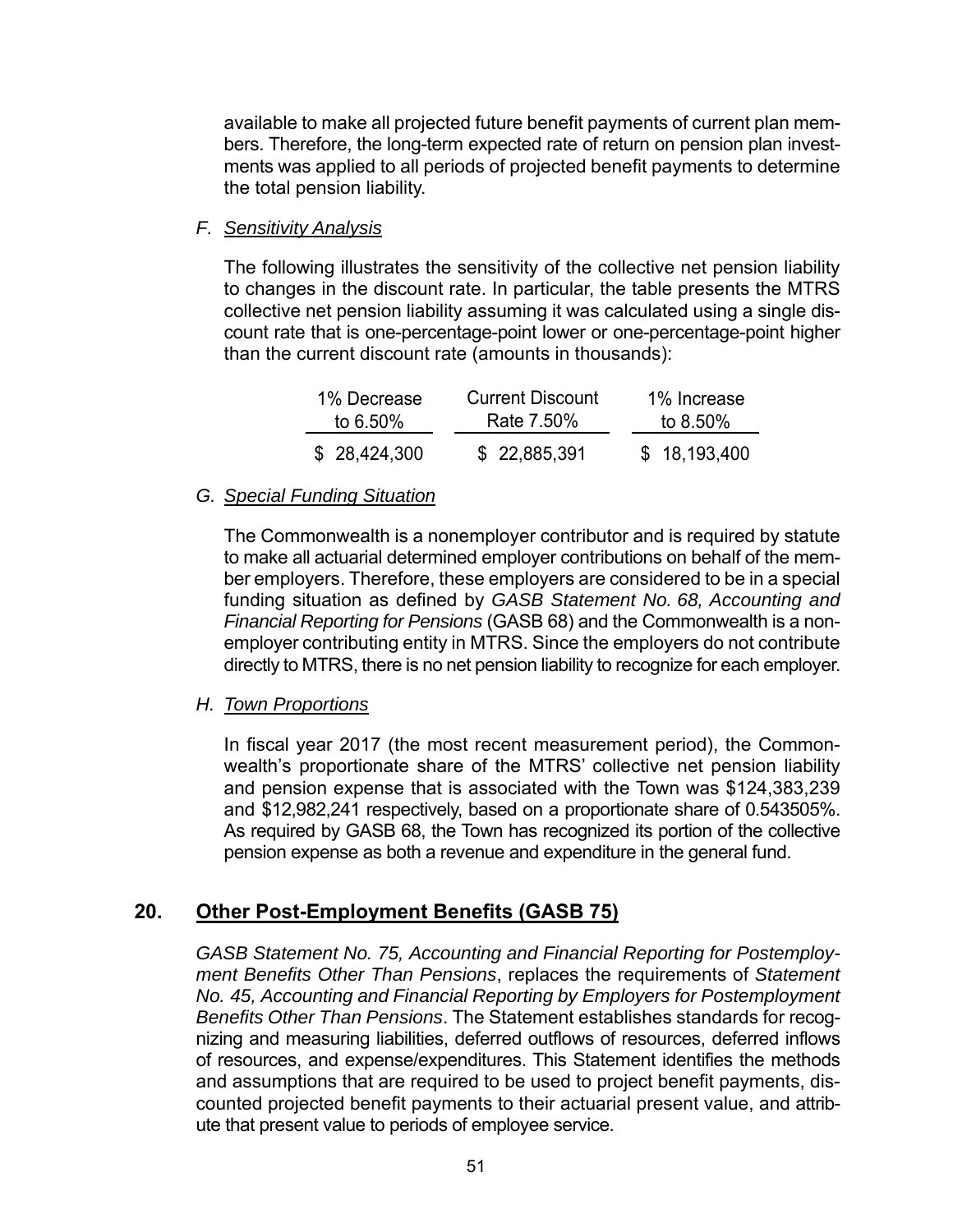available to make all projected future benefit payments of current plan members. Therefore, the long-term expected rate of return on pension plan investments was applied to all periods of projected benefit payments to determine the total pension liability.

## *F. Sensitivity Analysis*

The following illustrates the sensitivity of the collective net pension liability to changes in the discount rate. In particular, the table presents the MTRS collective net pension liability assuming it was calculated using a single discount rate that is one-percentage-point lower or one-percentage-point higher than the current discount rate (amounts in thousands):

| 1% Decrease  | <b>Current Discount</b> | 1% Increase  |
|--------------|-------------------------|--------------|
| to $6.50\%$  | Rate 7.50%              | to 8.50%     |
| \$28,424,300 | \$22,885,391            | \$18,193,400 |

# *G. Special Funding Situation*

The Commonwealth is a nonemployer contributor and is required by statute to make all actuarial determined employer contributions on behalf of the member employers. Therefore, these employers are considered to be in a special funding situation as defined by *GASB Statement No. 68, Accounting and Financial Reporting for Pensions* (GASB 68) and the Commonwealth is a nonemployer contributing entity in MTRS. Since the employers do not contribute directly to MTRS, there is no net pension liability to recognize for each employer.

# *H. Town Proportions*

In fiscal year 2017 (the most recent measurement period), the Commonwealth's proportionate share of the MTRS' collective net pension liability and pension expense that is associated with the Town was \$124,383,239 and \$12,982,241 respectively, based on a proportionate share of 0.543505%. As required by GASB 68, the Town has recognized its portion of the collective pension expense as both a revenue and expenditure in the general fund.

# **20. Other Post-Employment Benefits (GASB 75)**

*GASB Statement No. 75, Accounting and Financial Reporting for Postemployment Benefits Other Than Pensions*, replaces the requirements of *Statement No. 45, Accounting and Financial Reporting by Employers for Postemployment Benefits Other Than Pensions*. The Statement establishes standards for recognizing and measuring liabilities, deferred outflows of resources, deferred inflows of resources, and expense/expenditures. This Statement identifies the methods and assumptions that are required to be used to project benefit payments, discounted projected benefit payments to their actuarial present value, and attribute that present value to periods of employee service.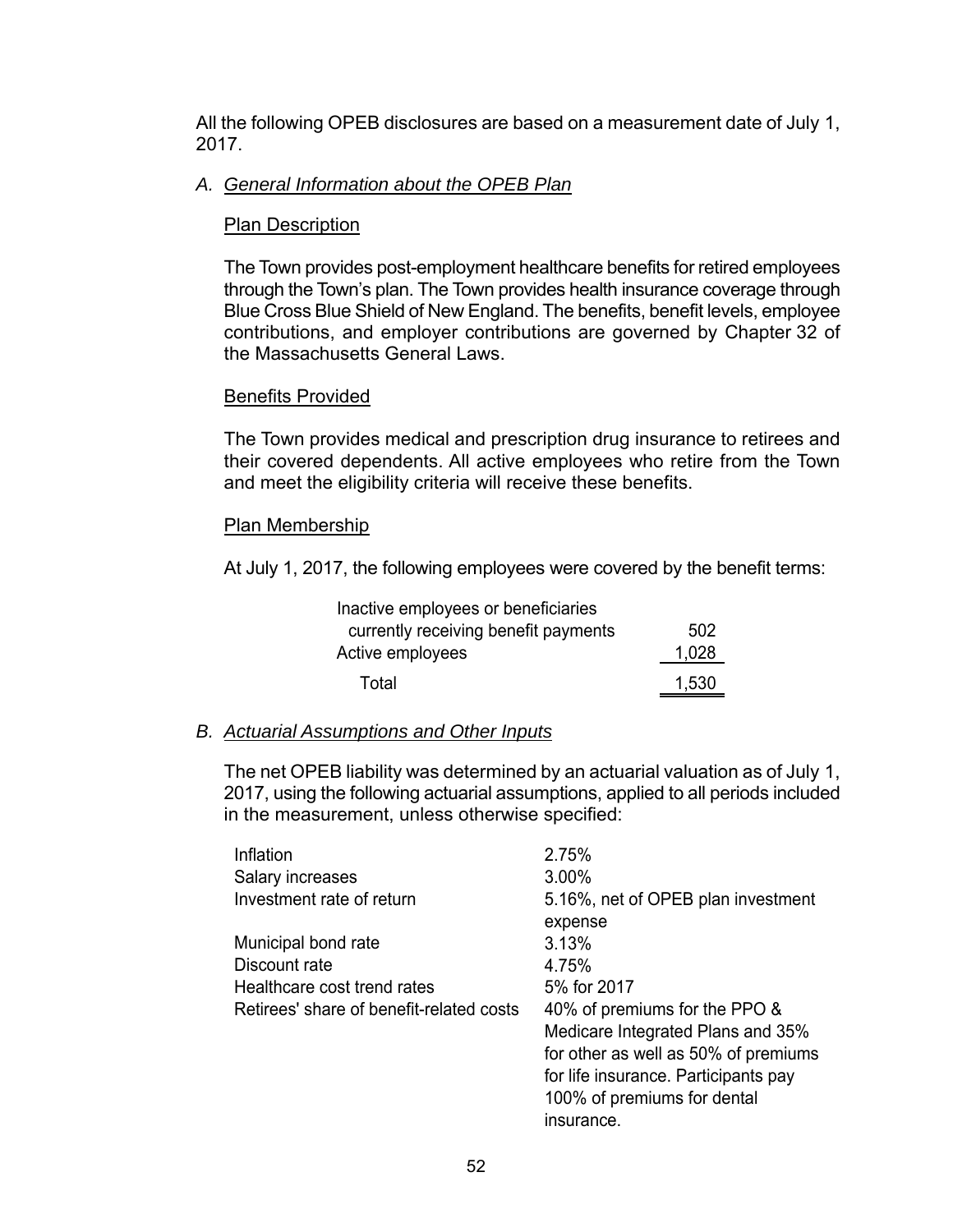All the following OPEB disclosures are based on a measurement date of July 1, 2017.

#### *A. General Information about the OPEB Plan*

### Plan Description

The Town provides post-employment healthcare benefits for retired employees through the Town's plan. The Town provides health insurance coverage through Blue Cross Blue Shield of New England. The benefits, benefit levels, employee contributions, and employer contributions are governed by Chapter 32 of the Massachusetts General Laws

#### Benefits Provided

The Town provides medical and prescription drug insurance to retirees and their covered dependents. All active employees who retire from the Town and meet the eligibility criteria will receive these benefits.

#### Plan Membership

At July 1, 2017, the following employees were covered by the benefit terms:

| Inactive employees or beneficiaries  |       |
|--------------------------------------|-------|
| currently receiving benefit payments | 502   |
| Active employees                     | 1.028 |
| Total                                | 1,530 |

### *B. Actuarial Assumptions and Other Inputs*

The net OPEB liability was determined by an actuarial valuation as of July 1, 2017, using the following actuarial assumptions, applied to all periods included in the measurement, unless otherwise specified:

| Inflation                                | 2.75%                                |
|------------------------------------------|--------------------------------------|
| Salary increases                         | 3.00%                                |
| Investment rate of return                | 5.16%, net of OPEB plan investment   |
|                                          | expense                              |
| Municipal bond rate                      | 3.13%                                |
| Discount rate                            | 4.75%                                |
| Healthcare cost trend rates              | 5% for 2017                          |
| Retirees' share of benefit-related costs | 40% of premiums for the PPO &        |
|                                          | Medicare Integrated Plans and 35%    |
|                                          | for other as well as 50% of premiums |
|                                          | for life insurance. Participants pay |
|                                          | 100% of premiums for dental          |
|                                          | insurance.                           |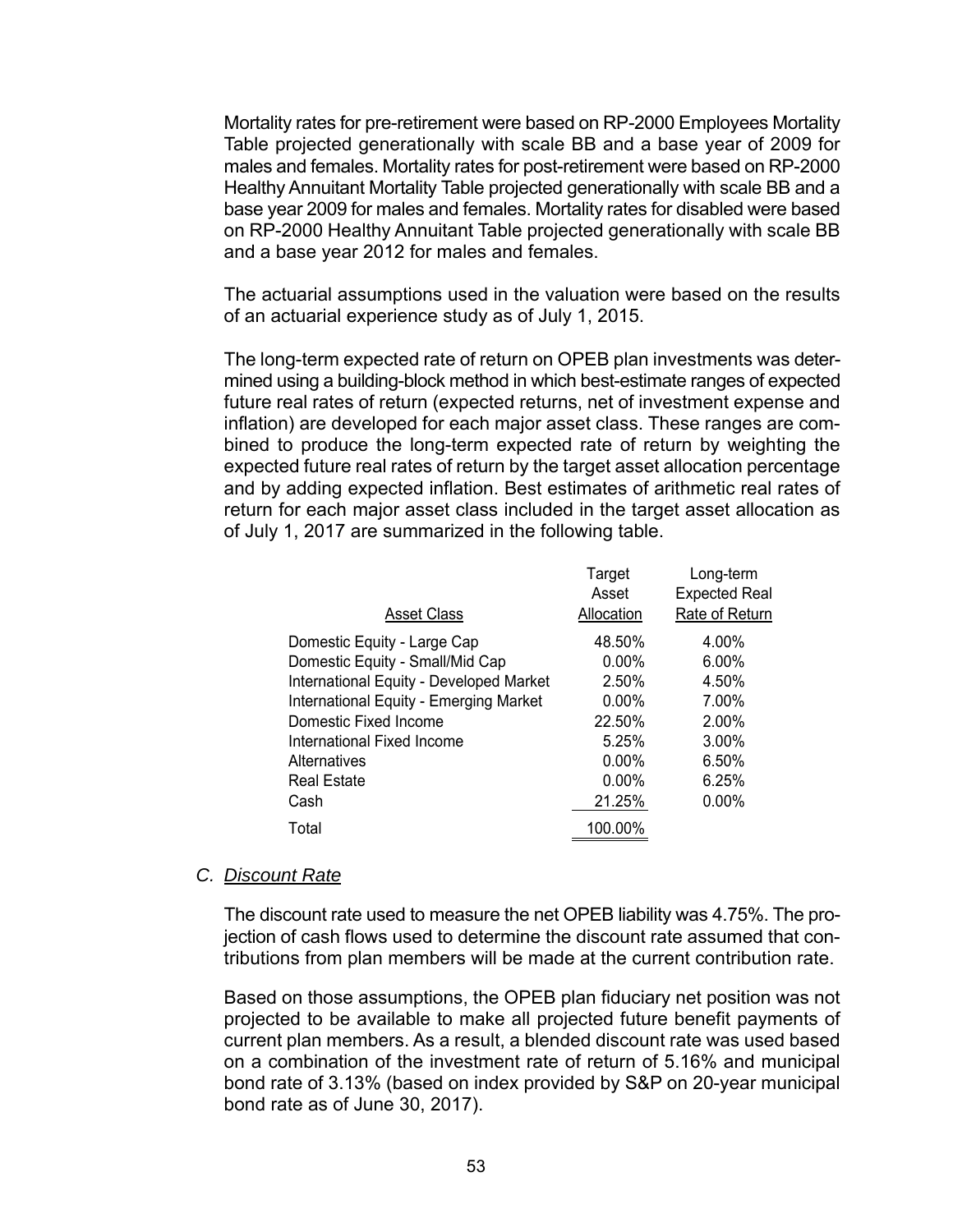Mortality rates for pre-retirement were based on RP-2000 Employees Mortality Table projected generationally with scale BB and a base year of 2009 for males and females. Mortality rates for post-retirement were based on RP-2000 Healthy Annuitant Mortality Table projected generationally with scale BB and a base year 2009 for males and females. Mortality rates for disabled were based on RP-2000 Healthy Annuitant Table projected generationally with scale BB and a base year 2012 for males and females.

The actuarial assumptions used in the valuation were based on the results of an actuarial experience study as of July 1, 2015.

The long-term expected rate of return on OPEB plan investments was determined using a building-block method in which best-estimate ranges of expected future real rates of return (expected returns, net of investment expense and inflation) are developed for each major asset class. These ranges are combined to produce the long-term expected rate of return by weighting the expected future real rates of return by the target asset allocation percentage and by adding expected inflation. Best estimates of arithmetic real rates of return for each major asset class included in the target asset allocation as of July 1, 2017 are summarized in the following table.

|                                         | Target<br>Asset | Long-term<br><b>Expected Real</b> |
|-----------------------------------------|-----------------|-----------------------------------|
| <b>Asset Class</b>                      | Allocation      | Rate of Return                    |
| Domestic Equity - Large Cap             | 48.50%          | 4.00%                             |
| Domestic Equity - Small/Mid Cap         | $0.00\%$        | 6.00%                             |
| International Equity - Developed Market | 2.50%           | 4.50%                             |
| International Equity - Emerging Market  | $0.00\%$        | 7.00%                             |
| Domestic Fixed Income                   | 22.50%          | 2.00%                             |
| International Fixed Income              | 5.25%           | $3.00\%$                          |
| Alternatives                            | $0.00\%$        | 6.50%                             |
| <b>Real Estate</b>                      | $0.00\%$        | 6.25%                             |
| Cash                                    | 21.25%          | $0.00\%$                          |
| Total                                   | 100.00%         |                                   |

#### *C. Discount Rate*

The discount rate used to measure the net OPEB liability was 4.75%. The projection of cash flows used to determine the discount rate assumed that contributions from plan members will be made at the current contribution rate.

Based on those assumptions, the OPEB plan fiduciary net position was not projected to be available to make all projected future benefit payments of current plan members. As a result, a blended discount rate was used based on a combination of the investment rate of return of 5.16% and municipal bond rate of 3.13% (based on index provided by S&P on 20-year municipal bond rate as of June 30, 2017).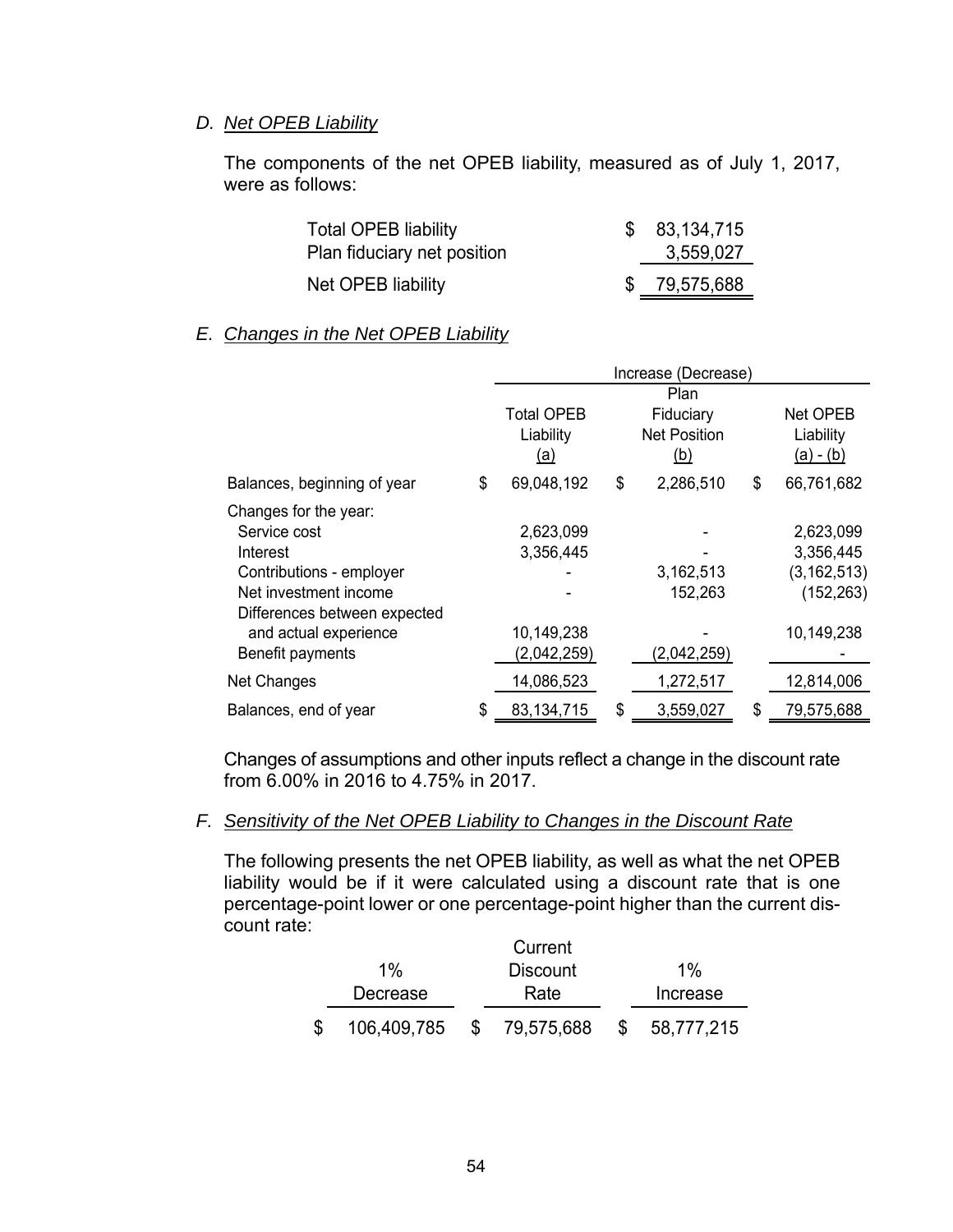#### *D. Net OPEB Liability*

The components of the net OPEB liability, measured as of July 1, 2017, were as follows:

| <b>Total OPEB liability</b> | \$83,134,715 |
|-----------------------------|--------------|
| Plan fiduciary net position | 3,559,027    |
| Net OPEB liability          | \$79,575,688 |

#### *E. Changes in the Net OPEB Liability*

|                                                                                                                                                                 | Increase (Decrease)                          |    |                                                        |    |                                                                     |
|-----------------------------------------------------------------------------------------------------------------------------------------------------------------|----------------------------------------------|----|--------------------------------------------------------|----|---------------------------------------------------------------------|
|                                                                                                                                                                 | <b>Total OPEB</b><br>Liability<br><u>(a)</u> |    | Plan<br>Fiduciary<br><b>Net Position</b><br><u>(b)</u> |    | Net OPEB<br>Liability<br>$(a) - (b)$                                |
| Balances, beginning of year                                                                                                                                     | \$<br>69,048,192                             | \$ | 2,286,510                                              | \$ | 66,761,682                                                          |
| Changes for the year:<br>Service cost<br>Interest<br>Contributions - employer<br>Net investment income<br>Differences between expected<br>and actual experience | 2,623,099<br>3,356,445<br>10,149,238         |    | 3,162,513<br>152,263                                   |    | 2,623,099<br>3,356,445<br>(3, 162, 513)<br>(152, 263)<br>10,149,238 |
| Benefit payments                                                                                                                                                | (2,042,259)                                  |    | (2,042,259)                                            |    |                                                                     |
| Net Changes                                                                                                                                                     | 14,086,523                                   |    | 1,272,517                                              |    | 12,814,006                                                          |
| Balances, end of year                                                                                                                                           | \$<br>83,134,715                             | \$ | 3,559,027                                              | \$ | 79,575,688                                                          |

Changes of assumptions and other inputs reflect a change in the discount rate from 6.00% in 2016 to 4.75% in 2017.

#### *F. Sensitivity of the Net OPEB Liability to Changes in the Discount Rate*

The following presents the net OPEB liability, as well as what the net OPEB liability would be if it were calculated using a discount rate that is one percentage-point lower or one percentage-point higher than the current discount rate:

|                                               | Current         |          |
|-----------------------------------------------|-----------------|----------|
| $1\%$                                         | <b>Discount</b> | $1\%$    |
| Decrease                                      | Rate            | Increase |
| \$<br>106,409,785 \$ 79,575,688 \$ 58,777,215 |                 |          |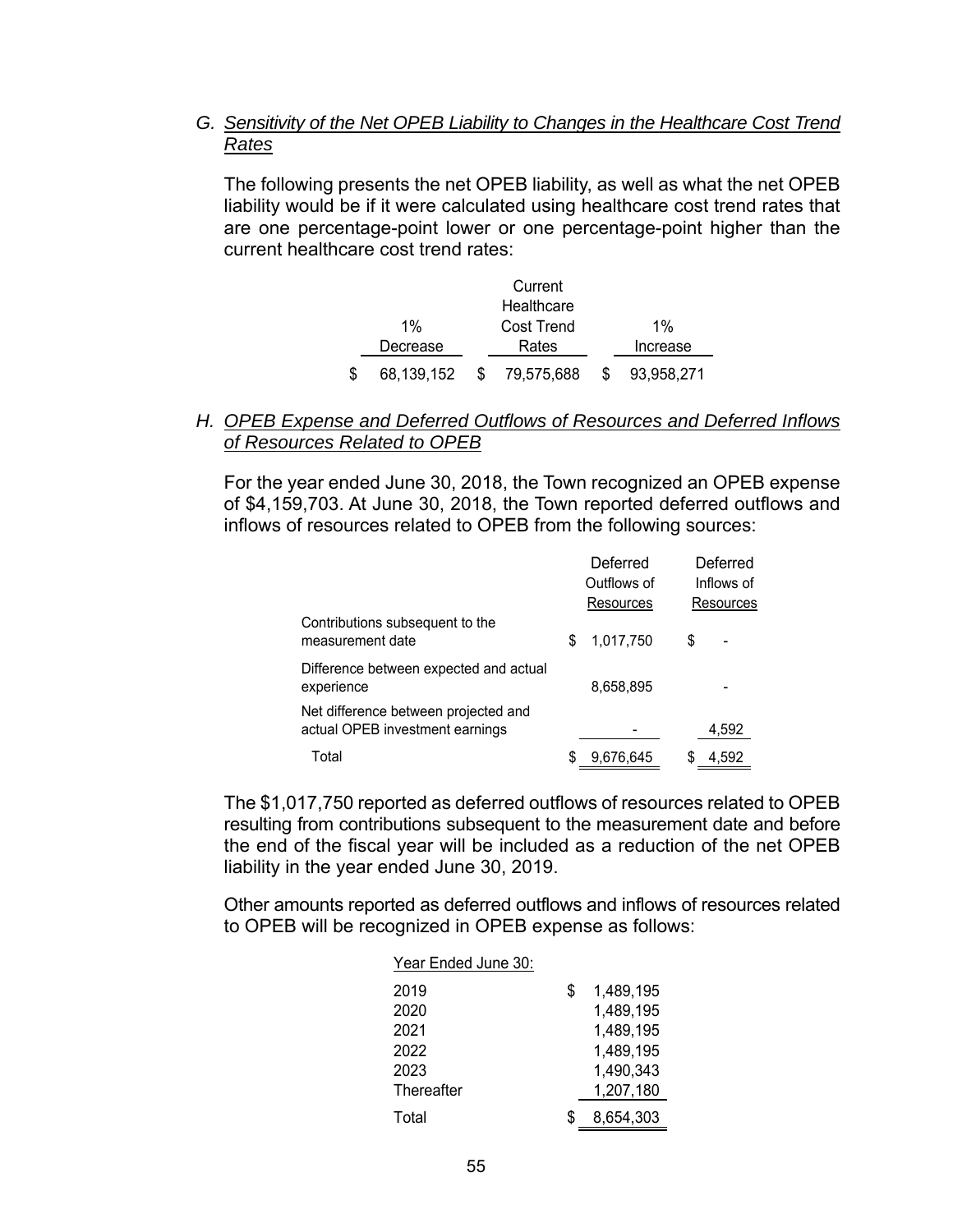## *G. Sensitivity of the Net OPEB Liability to Changes in the Healthcare Cost Trend Rates*

The following presents the net OPEB liability, as well as what the net OPEB liability would be if it were calculated using healthcare cost trend rates that are one percentage-point lower or one percentage-point higher than the current healthcare cost trend rates:

|    |          | Current                  |                  |
|----|----------|--------------------------|------------------|
|    |          | Healthcare               |                  |
|    | $1\%$    | Cost Trend               | $1\%$            |
|    | Decrease | Rates                    | Increase         |
| ß. |          | 68,139,152 \$ 79,575,688 | \$<br>93,958,271 |

#### *H. OPEB Expense and Deferred Outflows of Resources and Deferred Inflows of Resources Related to OPEB*

For the year ended June 30, 2018, the Town recognized an OPEB expense of \$4,159,703. At June 30, 2018, the Town reported deferred outflows and inflows of resources related to OPEB from the following sources:

|                                                                         |   | Deferred<br>Outflows of | Deferred<br>Inflows of |
|-------------------------------------------------------------------------|---|-------------------------|------------------------|
|                                                                         |   | Resources               | Resources              |
| Contributions subsequent to the<br>measurement date                     | S | 1,017,750               | \$                     |
| Difference between expected and actual<br>experience                    |   | 8,658,895               |                        |
| Net difference between projected and<br>actual OPEB investment earnings |   |                         | 4,592                  |
| Total                                                                   |   | 9,676,645               | 4,592                  |

The \$1,017,750 reported as deferred outflows of resources related to OPEB resulting from contributions subsequent to the measurement date and before the end of the fiscal year will be included as a reduction of the net OPEB liability in the year ended June 30, 2019.

Other amounts reported as deferred outflows and inflows of resources related to OPEB will be recognized in OPEB expense as follows:

| Year Ended June 30: |   |           |
|---------------------|---|-----------|
| 2019                | S | 1,489,195 |
| 2020                |   | 1,489,195 |
| 2021                |   | 1,489,195 |
| 2022                |   | 1,489,195 |
| 2023                |   | 1,490,343 |
| Thereafter          |   | 1,207,180 |
| Total               |   | 8,654,303 |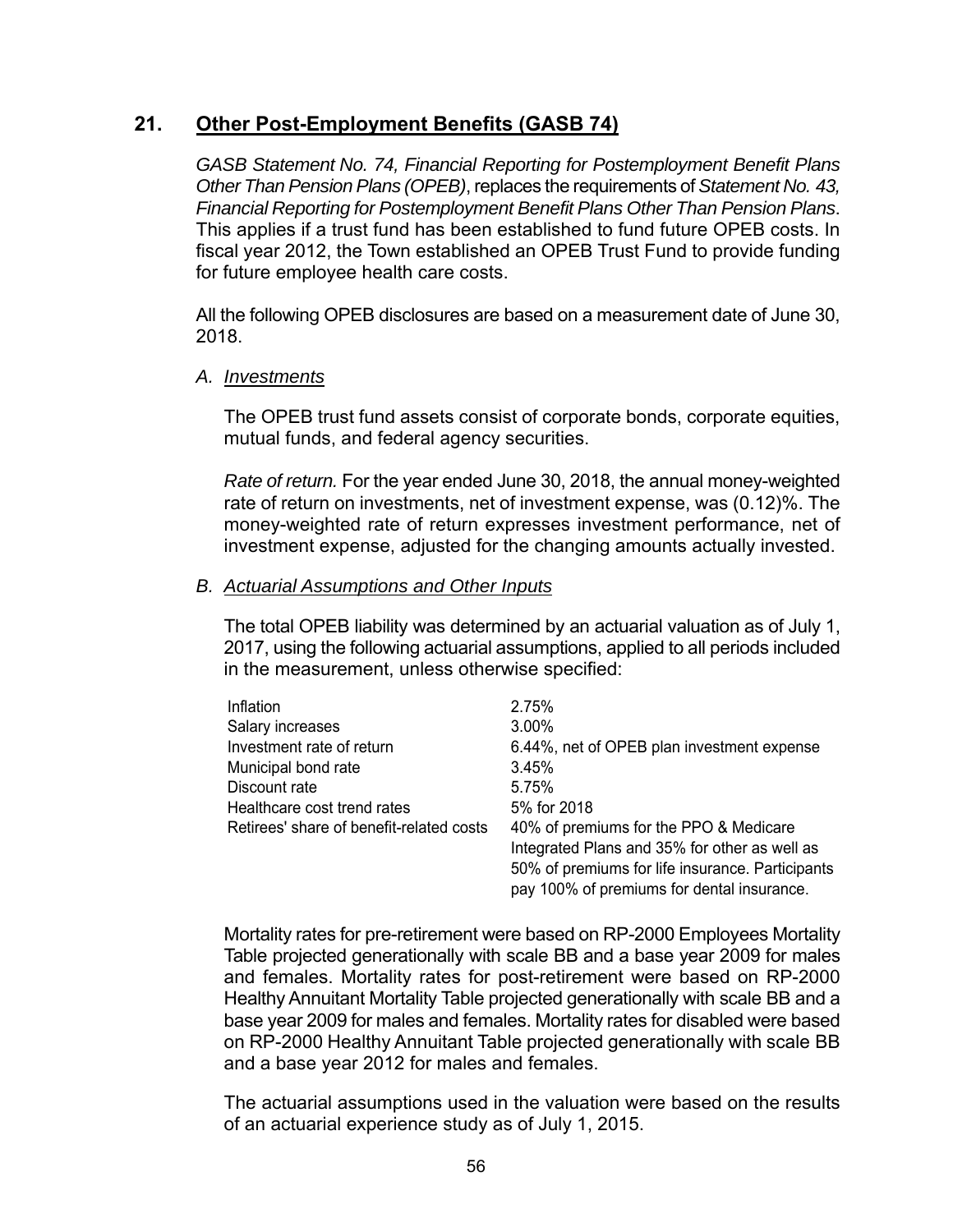# **21. Other Post-Employment Benefits (GASB 74)**

*GASB Statement No. 74, Financial Reporting for Postemployment Benefit Plans Other Than Pension Plans (OPEB)*, replaces the requirements of *Statement No. 43, Financial Reporting for Postemployment Benefit Plans Other Than Pension Plans*. This applies if a trust fund has been established to fund future OPEB costs. In fiscal year 2012, the Town established an OPEB Trust Fund to provide funding for future employee health care costs.

All the following OPEB disclosures are based on a measurement date of June 30, 2018.

#### *A. Investments*

The OPEB trust fund assets consist of corporate bonds, corporate equities, mutual funds, and federal agency securities.

*Rate of return.* For the year ended June 30, 2018, the annual money-weighted rate of return on investments, net of investment expense, was (0.12)%. The money-weighted rate of return expresses investment performance, net of investment expense, adjusted for the changing amounts actually invested.

#### *B. Actuarial Assumptions and Other Inputs*

The total OPEB liability was determined by an actuarial valuation as of July 1, 2017, using the following actuarial assumptions, applied to all periods included in the measurement, unless otherwise specified:

| Inflation                                | 2.75%                                            |
|------------------------------------------|--------------------------------------------------|
| Salary increases                         | 3.00%                                            |
| Investment rate of return                | 6.44%, net of OPEB plan investment expense       |
| Municipal bond rate                      | 3.45%                                            |
| Discount rate                            | 5.75%                                            |
| Healthcare cost trend rates              | 5% for 2018                                      |
| Retirees' share of benefit-related costs | 40% of premiums for the PPO & Medicare           |
|                                          | Integrated Plans and 35% for other as well as    |
|                                          | 50% of premiums for life insurance. Participants |
|                                          | pay 100% of premiums for dental insurance.       |

Mortality rates for pre-retirement were based on RP-2000 Employees Mortality Table projected generationally with scale BB and a base year 2009 for males and females. Mortality rates for post-retirement were based on RP-2000 Healthy Annuitant Mortality Table projected generationally with scale BB and a base year 2009 for males and females. Mortality rates for disabled were based on RP-2000 Healthy Annuitant Table projected generationally with scale BB and a base year 2012 for males and females.

The actuarial assumptions used in the valuation were based on the results of an actuarial experience study as of July 1, 2015.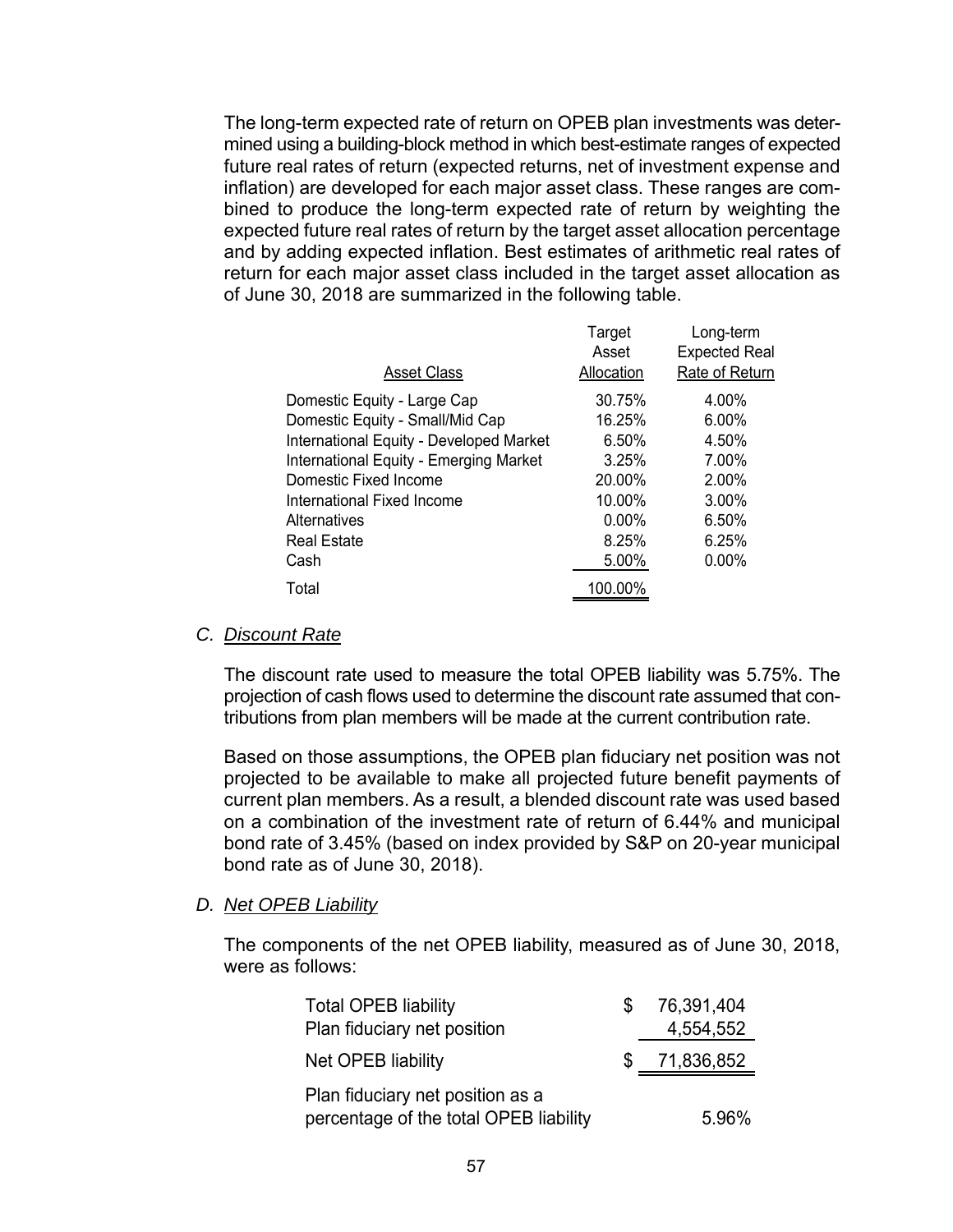The long-term expected rate of return on OPEB plan investments was determined using a building-block method in which best-estimate ranges of expected future real rates of return (expected returns, net of investment expense and inflation) are developed for each major asset class. These ranges are combined to produce the long-term expected rate of return by weighting the expected future real rates of return by the target asset allocation percentage and by adding expected inflation. Best estimates of arithmetic real rates of return for each major asset class included in the target asset allocation as of June 30, 2018 are summarized in the following table.

|                                         | Target<br>Asset | Long-term<br><b>Expected Real</b> |
|-----------------------------------------|-----------------|-----------------------------------|
| Asset Class                             | Allocation      | Rate of Return                    |
| Domestic Equity - Large Cap             | 30.75%          | 4.00%                             |
| Domestic Equity - Small/Mid Cap         | 16.25%          | 6.00%                             |
| International Equity - Developed Market | 6.50%           | 4.50%                             |
| International Equity - Emerging Market  | 3.25%           | 7.00%                             |
| Domestic Fixed Income                   | 20.00%          | 2.00%                             |
| International Fixed Income              | 10.00%          | 3.00%                             |
| Alternatives                            | $0.00\%$        | 6.50%                             |
| <b>Real Estate</b>                      | 8.25%           | 6.25%                             |
| Cash                                    | 5.00%           | $0.00\%$                          |
| Total                                   | 100.00%         |                                   |
|                                         |                 |                                   |

#### *C. Discount Rate*

The discount rate used to measure the total OPEB liability was 5.75%. The projection of cash flows used to determine the discount rate assumed that contributions from plan members will be made at the current contribution rate.

Based on those assumptions, the OPEB plan fiduciary net position was not projected to be available to make all projected future benefit payments of current plan members. As a result, a blended discount rate was used based on a combination of the investment rate of return of 6.44% and municipal bond rate of 3.45% (based on index provided by S&P on 20-year municipal bond rate as of June 30, 2018).

#### *D. Net OPEB Liability*

The components of the net OPEB liability, measured as of June 30, 2018, were as follows:

| <b>Total OPEB liability</b>            | 76,391,404 |
|----------------------------------------|------------|
| Plan fiduciary net position            | 4,554,552  |
| Net OPEB liability                     | 71,836,852 |
| Plan fiduciary net position as a       |            |
| percentage of the total OPEB liability | 5.96%      |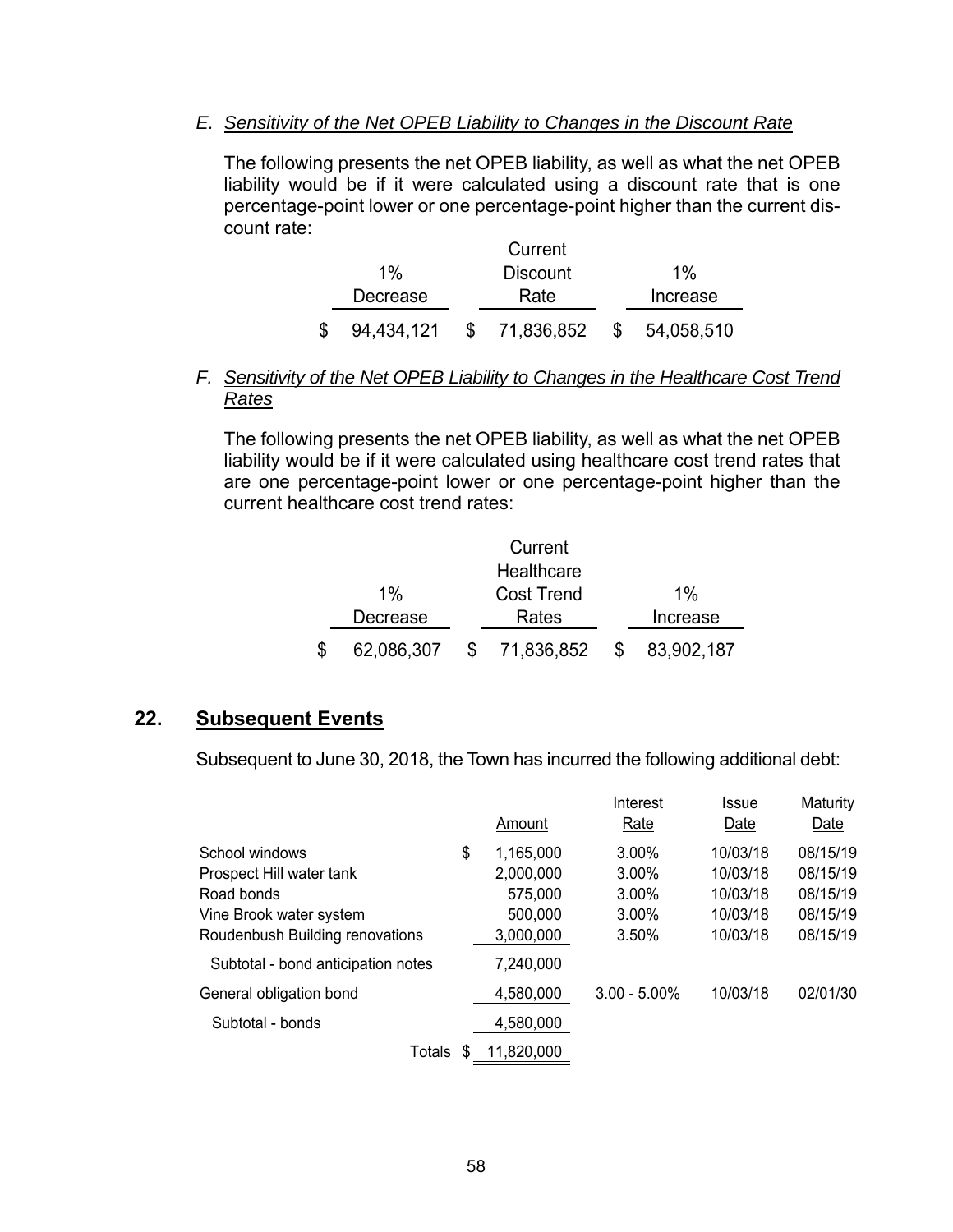*E. Sensitivity of the Net OPEB Liability to Changes in the Discount Rate* 

The following presents the net OPEB liability, as well as what the net OPEB liability would be if it were calculated using a discount rate that is one percentage-point lower or one percentage-point higher than the current discount rate:

|          | Current                                |  |          |
|----------|----------------------------------------|--|----------|
| $1\%$    | <b>Discount</b>                        |  | $1\%$    |
| Decrease | Rate                                   |  | Increase |
|          | 94,434,121 \$ 71,836,852 \$ 54,058,510 |  |          |

*F. Sensitivity of the Net OPEB Liability to Changes in the Healthcare Cost Trend Rates* 

The following presents the net OPEB liability, as well as what the net OPEB liability would be if it were calculated using healthcare cost trend rates that are one percentage-point lower or one percentage-point higher than the current healthcare cost trend rates:

|    |          | Current                                |          |
|----|----------|----------------------------------------|----------|
|    |          | Healthcare                             |          |
|    | $1\%$    | <b>Cost Trend</b>                      | $1\%$    |
|    | Decrease | Rates                                  | Increase |
| ß. |          | 62,086,307 \$ 71,836,852 \$ 83,902,187 |          |

# **22. Subsequent Events**

Subsequent to June 30, 2018, the Town has incurred the following additional debt:

|                                    |    | Amount     | Interest<br>Rate | Issue<br>Date | Maturity<br>Date |
|------------------------------------|----|------------|------------------|---------------|------------------|
| School windows                     | \$ | 1,165,000  | 3.00%            | 10/03/18      | 08/15/19         |
| Prospect Hill water tank           |    | 2,000,000  | 3.00%            | 10/03/18      | 08/15/19         |
| Road bonds                         |    | 575,000    | 3.00%            | 10/03/18      | 08/15/19         |
| Vine Brook water system            |    | 500,000    | $3.00\%$         | 10/03/18      | 08/15/19         |
| Roudenbush Building renovations    |    | 3,000,000  | $3.50\%$         | 10/03/18      | 08/15/19         |
| Subtotal - bond anticipation notes |    | 7,240,000  |                  |               |                  |
| General obligation bond            |    | 4,580,000  | $3.00 - 5.00\%$  | 10/03/18      | 02/01/30         |
| Subtotal - bonds                   |    | 4,580,000  |                  |               |                  |
| Totals                             | S  | 11,820,000 |                  |               |                  |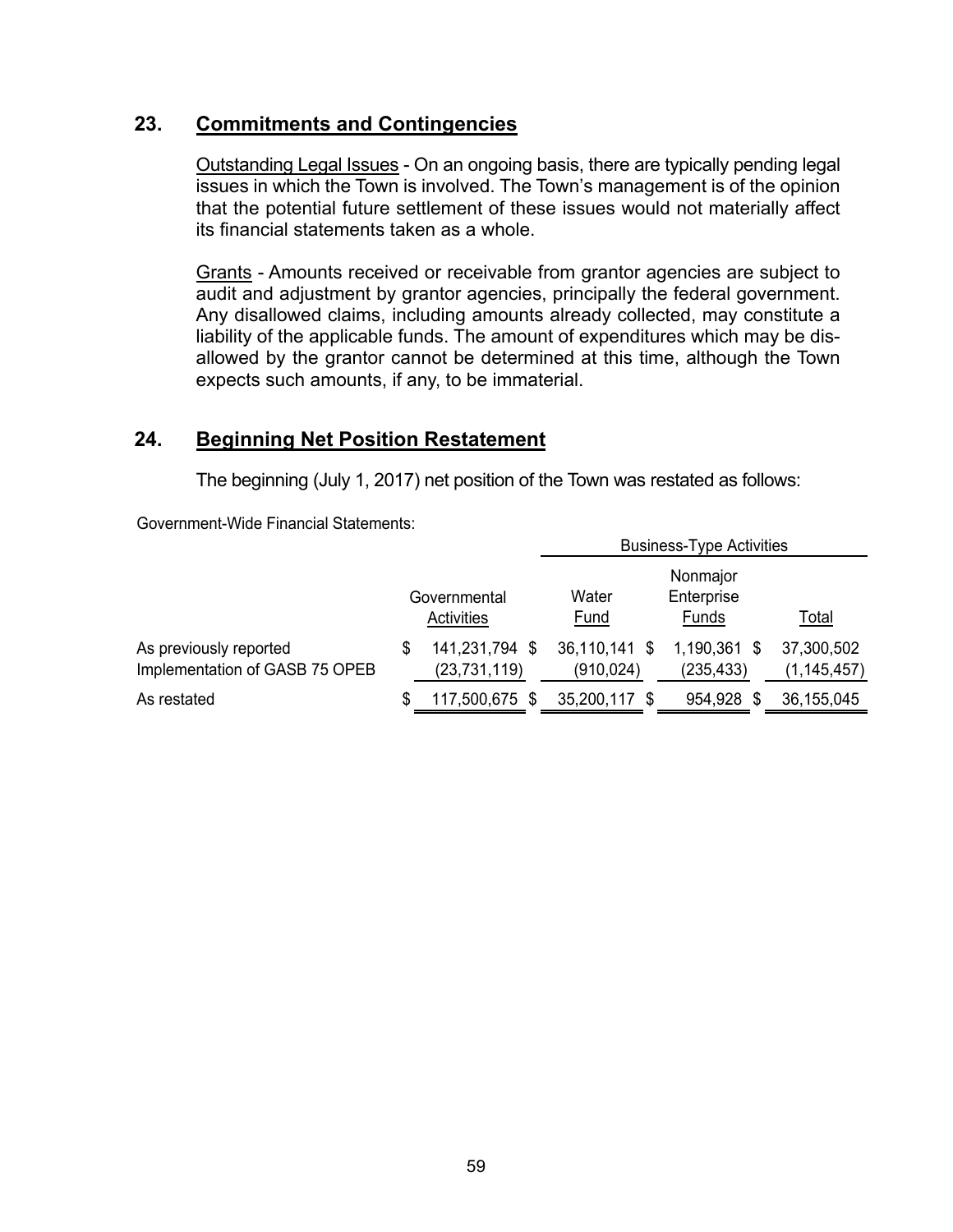# **23. Commitments and Contingencies**

Outstanding Legal Issues - On an ongoing basis, there are typically pending legal issues in which the Town is involved. The Town's management is of the opinion that the potential future settlement of these issues would not materially affect its financial statements taken as a whole.

Grants - Amounts received or receivable from grantor agencies are subject to audit and adjustment by grantor agencies, principally the federal government. Any disallowed claims, including amounts already collected, may constitute a liability of the applicable funds. The amount of expenditures which may be disallowed by the grantor cannot be determined at this time, although the Town expects such amounts, if any, to be immaterial.

# **24. Beginning Net Position Restatement**

The beginning (July 1, 2017) net position of the Town was restated as follows:

Government-Wide Financial Statements:

|                                                          |                            |                                  | <b>Business-Type Activities</b> |                                        |                             |  |  |
|----------------------------------------------------------|----------------------------|----------------------------------|---------------------------------|----------------------------------------|-----------------------------|--|--|
|                                                          | Governmental<br>Activities |                                  | Water<br><b>Fund</b>            | Nonmajor<br>Enterprise<br><b>Funds</b> | <u>Total</u>                |  |  |
| As previously reported<br>Implementation of GASB 75 OPEB |                            | 141,231,794 \$<br>(23, 731, 119) | 36,110,141 \$<br>(910, 024)     | 1,190,361 \$<br>(235, 433)             | 37,300,502<br>(1, 145, 457) |  |  |
| As restated                                              |                            | 117,500,675 \$                   | 35,200,117 \$                   | 954,928<br>-S                          | 36,155,045                  |  |  |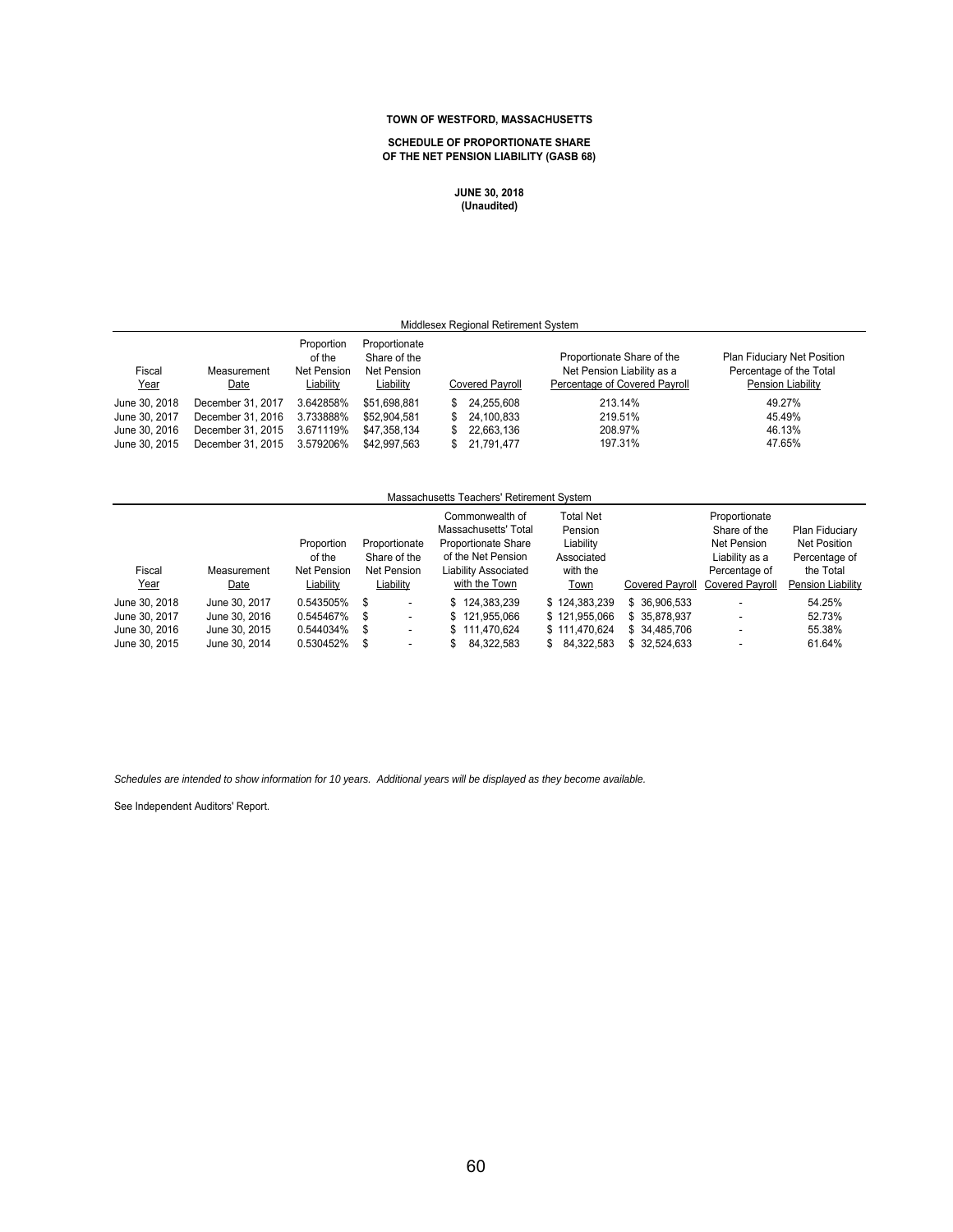#### **SCHEDULE OF PROPORTIONATE SHARE OF THE NET PENSION LIABILITY (GASB 68)**

**JUNE 30, 2018 (Unaudited)**

| Middlesex Regional Retirement System |                     |                          |                               |     |                 |                                                             |                                              |  |  |  |
|--------------------------------------|---------------------|--------------------------|-------------------------------|-----|-----------------|-------------------------------------------------------------|----------------------------------------------|--|--|--|
|                                      |                     | Proportion<br>of the     | Proportionate<br>Share of the |     |                 | Proportionate Share of the                                  | Plan Fiduciary Net Position                  |  |  |  |
| Fiscal                               | Measurement<br>Date | Net Pension<br>Liability | Net Pension<br>Liability      |     | Covered Payroll | Net Pension Liability as a<br>Percentage of Covered Payroll | Percentage of the Total<br>Pension Liability |  |  |  |
| <u>Year</u>                          |                     |                          |                               |     |                 |                                                             |                                              |  |  |  |
| June 30, 2018                        | December 31, 2017   | 3.642858%                | \$51.698.881                  |     | 24.255.608      | 213.14%                                                     | 49.27%                                       |  |  |  |
| June 30, 2017                        | December 31, 2016   | 3.733888%                | \$52,904.581                  |     | 24.100.833      | 219.51%                                                     | 45.49%                                       |  |  |  |
| June 30, 2016                        | December 31, 2015   | 3.671119%                | \$47.358.134                  | SS. | 22.663.136      | 208.97%                                                     | 46.13%                                       |  |  |  |
| June 30, 2015                        | December 31, 2015   | 3.579206%                | \$42,997,563                  |     | 21.791.477      | 197.31%                                                     | 47.65%                                       |  |  |  |

#### Massachusetts Teachers' Retirement System

| Fiscal        | Measurement   | Proportion<br>of the<br>Net Pension | Proportionate<br>Share of the<br>Net Pension | Commonwealth of<br>Massachusetts' Total<br><b>Proportionate Share</b><br>of the Net Pension<br>Liability Associated | Total Net<br>Pension<br>Liability<br>Associated<br>with the |              | Proportionate<br>Share of the<br>Net Pension<br>Liability as a<br>Percentage of | Plan Fiduciary<br>Net Position<br>Percentage of<br>the Total |
|---------------|---------------|-------------------------------------|----------------------------------------------|---------------------------------------------------------------------------------------------------------------------|-------------------------------------------------------------|--------------|---------------------------------------------------------------------------------|--------------------------------------------------------------|
| Year          | Date          | Liability                           | Liability                                    | with the Town                                                                                                       | Town                                                        |              | Covered Payroll Covered Payroll                                                 | Pension Liability                                            |
| June 30, 2018 | June 30, 2017 | 0.543505%                           |                                              | \$124.383.239                                                                                                       | \$124,383,239                                               | 36.906.533   |                                                                                 | 54.25%                                                       |
| June 30, 2017 | June 30, 2016 | 0.545467%                           | $\overline{\phantom{a}}$                     | \$121,955,066                                                                                                       | \$121,955,066                                               | \$35,878,937 | $\overline{\phantom{a}}$                                                        | 52.73%                                                       |
| June 30, 2016 | June 30, 2015 | 0.544034%                           | S<br>$\overline{\phantom{a}}$                | \$111.470.624                                                                                                       | \$111.470.624                                               | \$34,485,706 | $\overline{\phantom{a}}$                                                        | 55.38%                                                       |
| June 30, 2015 | June 30, 2014 | 0.530452%                           |                                              | 84.322.583                                                                                                          | 84.322.583                                                  | \$32,524,633 |                                                                                 | 61.64%                                                       |

*Schedules are intended to show information for 10 years. Additional years will be displayed as they become available.*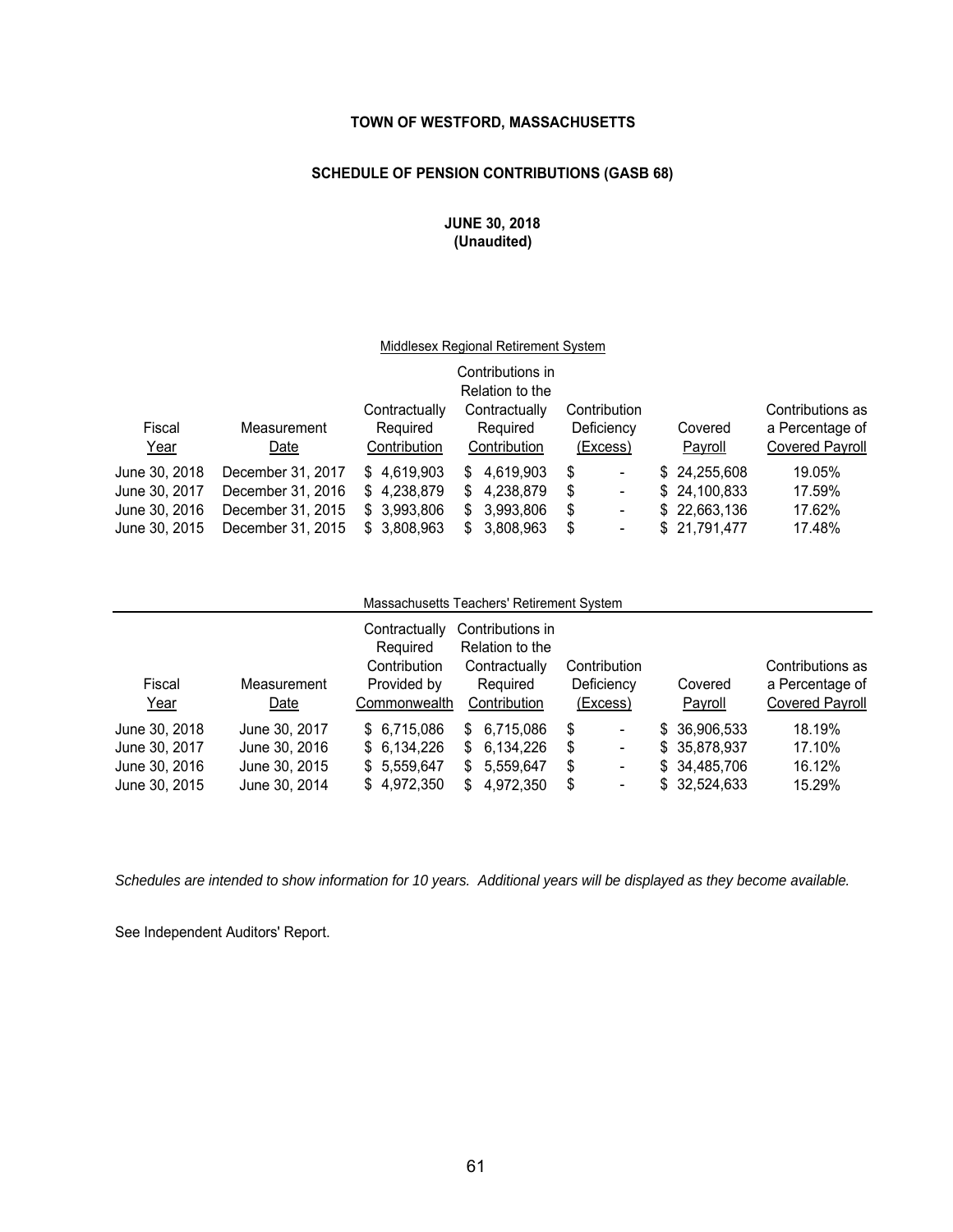#### **SCHEDULE OF PENSION CONTRIBUTIONS (GASB 68)**

#### **JUNE 30, 2018 (Unaudited)**

#### Middlesex Regional Retirement System

| Fiscal<br>Year | Measurement<br>Date | Contractually<br>Required<br>Contribution | Contributions in<br>Relation to the<br>Contractually<br>Required<br>Contribution | Contribution<br>Deficiency<br>(Excess) | Covered<br>Payroll | Contributions as<br>a Percentage of<br><b>Covered Payroll</b> |
|----------------|---------------------|-------------------------------------------|----------------------------------------------------------------------------------|----------------------------------------|--------------------|---------------------------------------------------------------|
| June 30, 2018  | December 31, 2017   | \$4,619,903                               | 4,619,903<br>S.                                                                  | \$<br>٠                                | \$24,255,608       | 19.05%                                                        |
| June 30, 2017  | December 31, 2016   | \$4,238,879                               | 4,238,879<br>S.                                                                  | \$<br>۰                                | \$24,100,833       | 17.59%                                                        |
| June 30, 2016  | December 31, 2015   | \$3,993,806                               | 3,993,806<br>SS.                                                                 | \$<br>٠                                | \$22,663,136       | 17.62%                                                        |
| June 30, 2015  | December 31, 2015   | \$3,808,963                               | 3,808,963<br>S.                                                                  | S<br>٠                                 | \$21,791,477       | 17.48%                                                        |

| Massachusetts Teachers' Retirement System |               |                                                          |                                                                  |                            |               |                                     |  |  |
|-------------------------------------------|---------------|----------------------------------------------------------|------------------------------------------------------------------|----------------------------|---------------|-------------------------------------|--|--|
| Fiscal                                    | Measurement   | Contractually<br>Required<br>Contribution<br>Provided by | Contributions in<br>Relation to the<br>Contractually<br>Required | Contribution<br>Deficiency | Covered       | Contributions as<br>a Percentage of |  |  |
| Year                                      | Date          | Commonwealth                                             | Contribution                                                     | (Excess)                   | Payroll       | <b>Covered Payroll</b>              |  |  |
| June 30, 2018                             | June 30, 2017 | \$ 6.715.086                                             | 6.715.086<br>\$.                                                 | S                          | \$ 36,906,533 | 18.19%                              |  |  |
| June 30, 2017                             | June 30, 2016 | \$6,134,226                                              | 6.134.226<br>S.                                                  | S<br>۰                     | \$35,878,937  | 17.10%                              |  |  |
| June 30, 2016                             | June 30, 2015 | \$5,559,647                                              | 5.559.647<br>S.                                                  | S<br>۰                     | \$ 34,485,706 | 16.12%                              |  |  |
| June 30, 2015                             | June 30, 2014 | \$4,972,350                                              | 4,972,350<br>S                                                   | S<br>۰                     | \$32,524,633  | 15.29%                              |  |  |

*Schedules are intended to show information for 10 years. Additional years will be displayed as they become available.*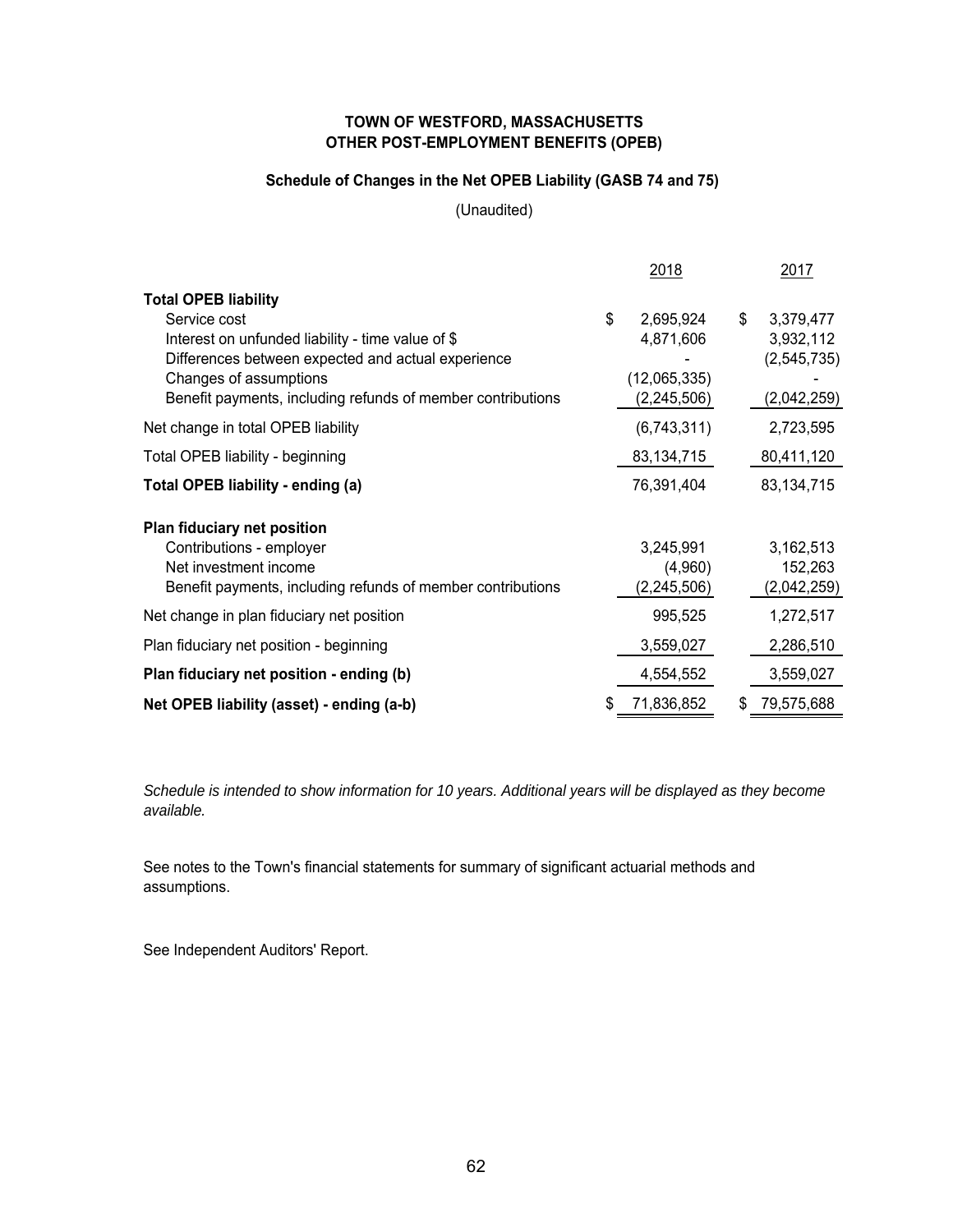#### **TOWN OF WESTFORD, MASSACHUSETTS OTHER POST-EMPLOYMENT BENEFITS (OPEB)**

#### **Schedule of Changes in the Net OPEB Liability (GASB 74 and 75)**

(Unaudited)

|                                                             | 2018            | 2017             |
|-------------------------------------------------------------|-----------------|------------------|
| <b>Total OPEB liability</b>                                 |                 |                  |
| Service cost                                                | \$<br>2,695,924 | \$<br>3,379,477  |
| Interest on unfunded liability - time value of $$$          | 4,871,606       | 3,932,112        |
| Differences between expected and actual experience          |                 | (2,545,735)      |
| Changes of assumptions                                      | (12,065,335)    |                  |
| Benefit payments, including refunds of member contributions | (2, 245, 506)   | (2,042,259)      |
| Net change in total OPEB liability                          | (6,743,311)     | 2,723,595        |
| Total OPEB liability - beginning                            | 83,134,715      | 80,411,120       |
| Total OPEB liability - ending (a)                           | 76,391,404      | 83,134,715       |
| Plan fiduciary net position                                 |                 |                  |
| Contributions - employer                                    | 3,245,991       | 3,162,513        |
| Net investment income                                       | (4,960)         | 152,263          |
| Benefit payments, including refunds of member contributions | (2, 245, 506)   | (2,042,259)      |
| Net change in plan fiduciary net position                   | 995,525         | 1,272,517        |
| Plan fiduciary net position - beginning                     | 3,559,027       | 2,286,510        |
| Plan fiduciary net position - ending (b)                    | 4,554,552       | 3,559,027        |
| Net OPEB liability (asset) - ending (a-b)                   | 71,836,852      | \$<br>79,575,688 |

*Schedule is intended to show information for 10 years. Additional years will be displayed as they become available.*

See notes to the Town's financial statements for summary of significant actuarial methods and assumptions.